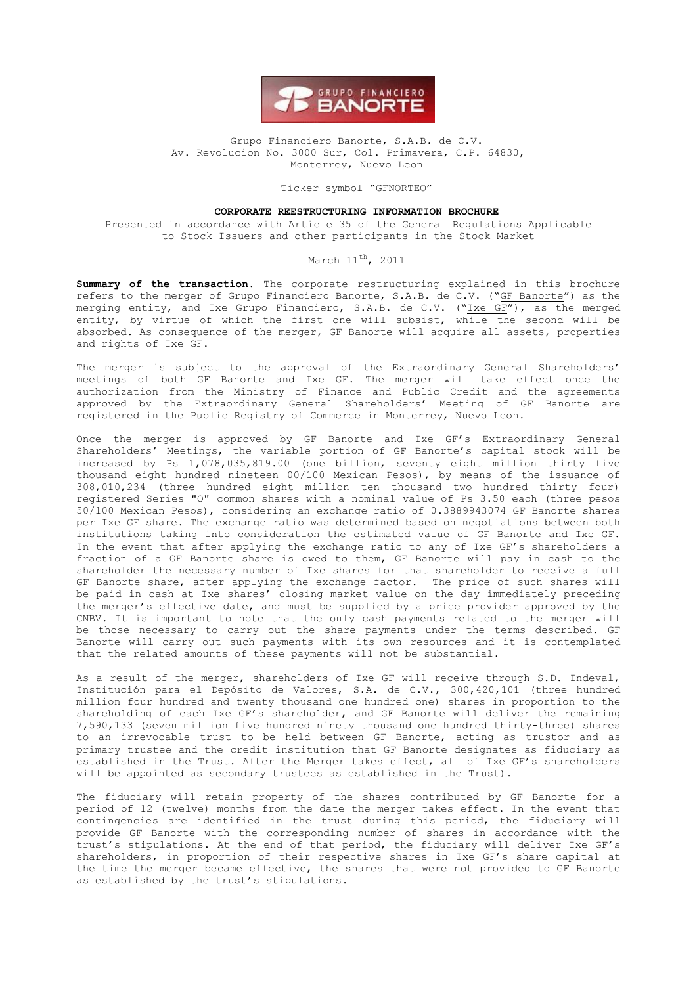

#### Grupo Financiero Banorte, S.A.B. de C.V. Av. Revolucion No. 3000 Sur, Col. Primavera, C.P. 64830, Monterrey, Nuevo Leon

Ticker symbol "GFNORTEO"

### **CORPORATE REESTRUCTURING INFORMATION BROCHURE**

Presented in accordance with Article 35 of the General Regulations Applicable to Stock Issuers and other participants in the Stock Market

#### March 11<sup>th</sup>, 2011

**Summary of the transaction.** The corporate restructuring explained in this brochure refers to the merger of Grupo Financiero Banorte, S.A.B. de C.V. ("GF Banorte") as the merging entity, and Ixe Grupo Financiero, S.A.B. de C.V. ("Ixe GF"), as the merged entity, by virtue of which the first one will subsist, while the second will be absorbed. As consequence of the merger, GF Banorte will acquire all assets, properties and rights of Ixe GF.

The merger is subject to the approval of the Extraordinary General Shareholders' meetings of both GF Banorte and Ixe GF. The merger will take effect once the authorization from the Ministry of Finance and Public Credit and the agreements approved by the Extraordinary General Shareholders' Meeting of GF Banorte are registered in the Public Registry of Commerce in Monterrey, Nuevo Leon.

Once the merger is approved by GF Banorte and Ixe GF's Extraordinary General Shareholders' Meetings, the variable portion of GF Banorte's capital stock will be increased by Ps 1,078,035,819.00 (one billion, seventy eight million thirty five thousand eight hundred nineteen 00/100 Mexican Pesos), by means of the issuance of 308,010,234 (three hundred eight million ten thousand two hundred thirty four) registered Series "O" common shares with a nominal value of Ps 3.50 each (three pesos 50/100 Mexican Pesos), considering an exchange ratio of 0.3889943074 GF Banorte shares per Ixe GF share. The exchange ratio was determined based on negotiations between both institutions taking into consideration the estimated value of GF Banorte and Ixe GF. In the event that after applying the exchange ratio to any of Ixe GF's shareholders a fraction of a GF Banorte share is owed to them, GF Banorte will pay in cash to the shareholder the necessary number of Ixe shares for that shareholder to receive a full GF Banorte share, after applying the exchange factor. The price of such shares will be paid in cash at Ixe shares' closing market value on the day immediately preceding the merger's effective date, and must be supplied by a price provider approved by the CNBV. It is important to note that the only cash payments related to the merger will be those necessary to carry out the share payments under the terms described. GF Banorte will carry out such payments with its own resources and it is contemplated that the related amounts of these payments will not be substantial.

As a result of the merger, shareholders of Ixe GF will receive through S.D. Indeval, Institución para el Depósito de Valores, S.A. de C.V., 300,420,101 (three hundred million four hundred and twenty thousand one hundred one) shares in proportion to the shareholding of each Ixe GF's shareholder, and GF Banorte will deliver the remaining 7,590,133 (seven million five hundred ninety thousand one hundred thirty-three) shares to an irrevocable trust to be held between GF Banorte, acting as trustor and as primary trustee and the credit institution that GF Banorte designates as fiduciary as established in the Trust. After the Merger takes effect, all of Ixe GF's shareholders will be appointed as secondary trustees as established in the Trust).

The fiduciary will retain property of the shares contributed by GF Banorte for a period of 12 (twelve) months from the date the merger takes effect. In the event that contingencies are identified in the trust during this period, the fiduciary will provide GF Banorte with the corresponding number of shares in accordance with the trust's stipulations. At the end of that period, the fiduciary will deliver Ixe GF's shareholders, in proportion of their respective shares in Ixe GF's share capital at the time the merger became effective, the shares that were not provided to GF Banorte as established by the trust's stipulations.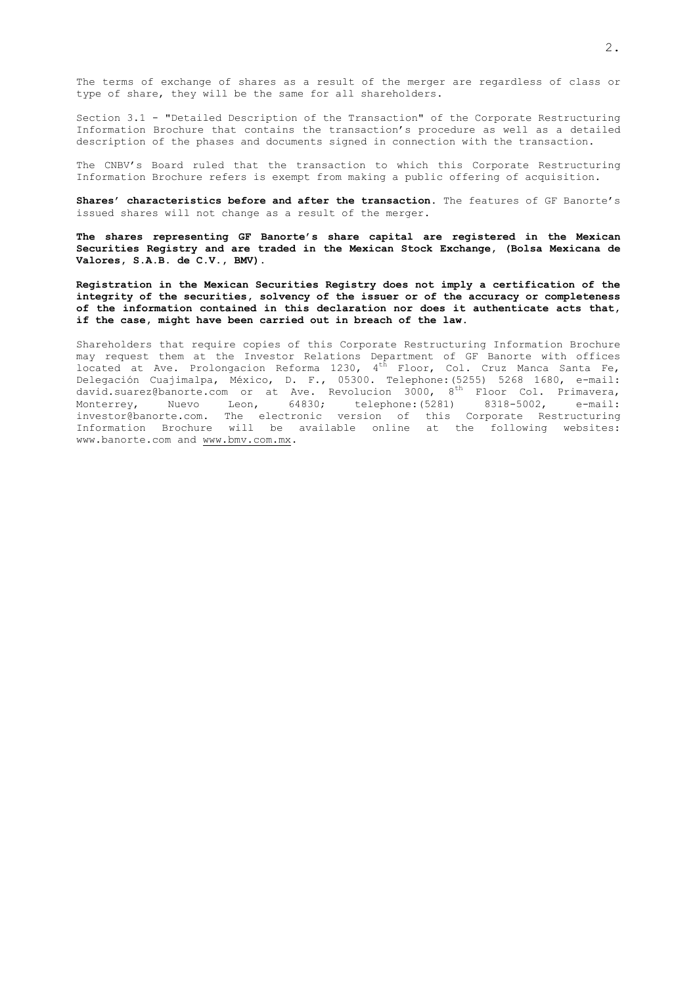Section 3.1 - "Detailed Description of the Transaction" of the Corporate Restructuring Information Brochure that contains the transaction's procedure as well as a detailed description of the phases and documents signed in connection with the transaction.

The CNBV's Board ruled that the transaction to which this Corporate Restructuring Information Brochure refers is exempt from making a public offering of acquisition.

**Shares' characteristics before and after the transaction**. The features of GF Banorte's issued shares will not change as a result of the merger.

**The shares representing GF Banorte's share capital are registered in the Mexican Securities Registry and are traded in the Mexican Stock Exchange, (Bolsa Mexicana de Valores, S.A.B. de C.V., BMV).**

**Registration in the Mexican Securities Registry does not imply a certification of the integrity of the securities, solvency of the issuer or of the accuracy or completeness of the information contained in this declaration nor does it authenticate acts that, if the case, might have been carried out in breach of the law.**

Shareholders that require copies of this Corporate Restructuring Information Brochure may request them at the Investor Relations Department of GF Banorte with offices located at Ave. Prolongacion Reforma 1230,  $4^{t\hbar}$  Floor, Col. Cruz Manca Santa Fe, Delegación Cuajimalpa, México, D. F., 05300. Telephone:(5255) 5268 1680, e-mail: david.suarez@banorte.com or at Ave. Revolucion 3000, 8th Floor Col. Primavera, Monterrey, Nuevo Leon, 64830; telephone:(5281) 8318-5002, e-mail: investor@banorte.com. The electronic version of this Corporate Restructuring Information Brochure will be available online at the following websites: www.banorte.com and [www.bmv.com.mx.](http://www.bmv.com.mx/)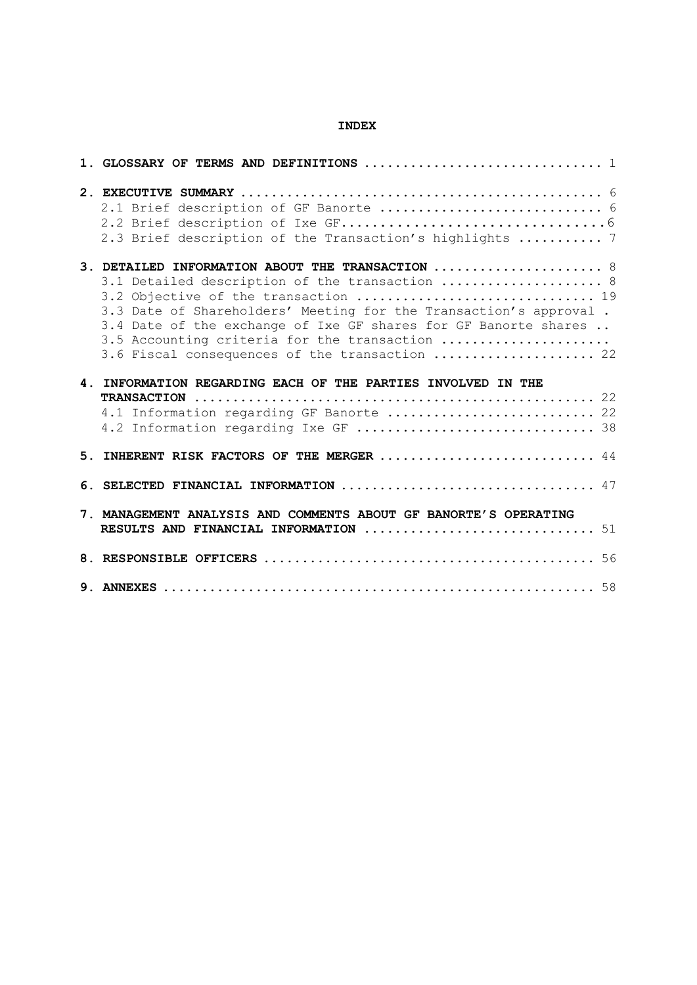## **INDEX**

| 2.1 Brief description of GF Banorte  6<br>2.3 Brief description of the Transaction's highlights  7                                                                                                                                                                                                                                                                                                                           |  |
|------------------------------------------------------------------------------------------------------------------------------------------------------------------------------------------------------------------------------------------------------------------------------------------------------------------------------------------------------------------------------------------------------------------------------|--|
| 3. DETAILED INFORMATION ABOUT THE TRANSACTION $\ldots \ldots \ldots \ldots \ldots \ldots$<br>3.1 Detailed description of the transaction  8<br>3.2 Objective of the transaction  19<br>3.3 Date of Shareholders' Meeting for the Transaction's approval.<br>3.4 Date of the exchange of Ixe GF shares for GF Banorte shares<br>3.5 Accounting criteria for the transaction<br>3.6 Fiscal consequences of the transaction  22 |  |
| 4. INFORMATION REGARDING EACH OF THE PARTIES INVOLVED IN THE<br>4.1 Information regarding GF Banorte  22<br>4.2 Information regarding Ixe GF  38                                                                                                                                                                                                                                                                             |  |
| 5. INHERENT RISK FACTORS OF THE MERGER  44                                                                                                                                                                                                                                                                                                                                                                                   |  |
| 6. SELECTED FINANCIAL INFORMATION  47                                                                                                                                                                                                                                                                                                                                                                                        |  |
| 7. MANAGEMENT ANALYSIS AND COMMENTS ABOUT GF BANORTE'S OPERATING<br>RESULTS AND FINANCIAL INFORMATION $\ldots \ldots \ldots \ldots \ldots \ldots \ldots \ldots \ldots \ldots \ldots$                                                                                                                                                                                                                                         |  |
|                                                                                                                                                                                                                                                                                                                                                                                                                              |  |
|                                                                                                                                                                                                                                                                                                                                                                                                                              |  |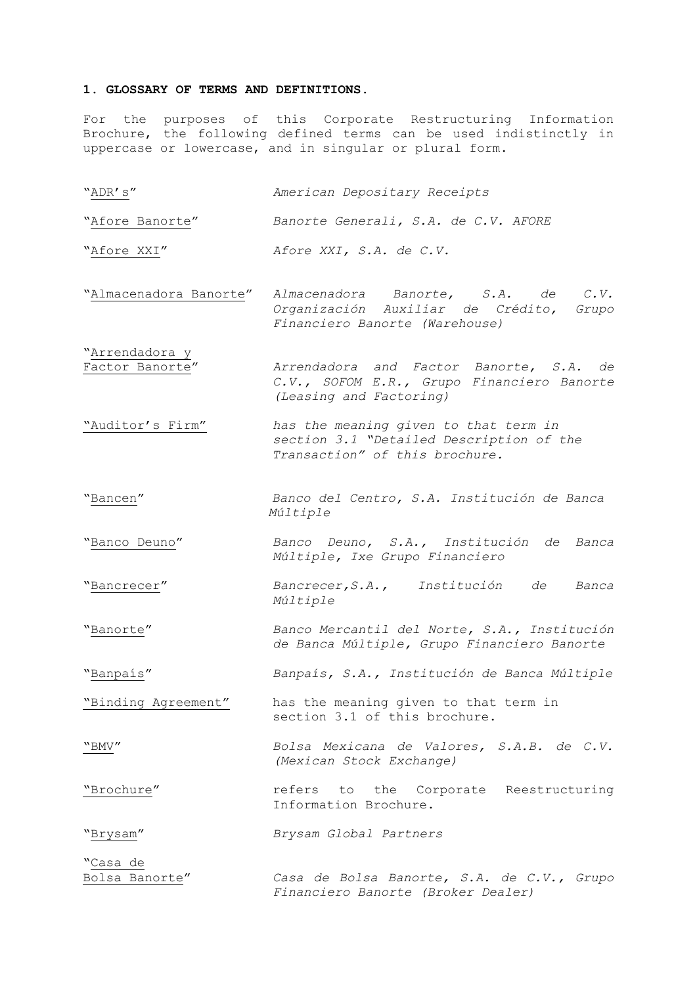#### <span id="page-3-0"></span>**1. GLOSSARY OF TERMS AND DEFINITIONS.**

For the purposes of this Corporate Restructuring Information Brochure, the following defined terms can be used indistinctly in uppercase or lowercase, and in singular or plural form.

"ADR's" *American Depositary Receipts*

"Afore Banorte" *Banorte Generali, S.A. de C.V. AFORE*

"Afore XXI" *Afore XXI, S.A. de C.V.*

- "Almacenadora Banorte" *Almacenadora Banorte, S.A. de C.V. Organización Auxiliar de Crédito, Grupo Financiero Banorte (Warehouse)*
- "Arrendadora y Factor Banorte" *Arrendadora and Factor Banorte, S.A. de C.V., SOFOM E.R., Grupo Financiero Banorte (Leasing and Factoring)*
- "Auditor's Firm" *has the meaning given to that term in section 3.1 "Detailed Description of the Transaction" of this brochure.*
- "Bancen" *Banco del Centro, S.A. Institución de Banca Múltiple*
- "Banco Deuno" *Banco Deuno, S.A., Institución de Banca Múltiple, Ixe Grupo Financiero*
- "Bancrecer" *Bancrecer,S.A., Institución de Banca Múltiple*
- "Banorte" *Banco Mercantil del Norte, S.A., Institución de Banca Múltiple, Grupo Financiero Banorte*

"Banpaís" *Banpaís, S.A., Institución de Banca Múltiple*

"Binding Agreement" has the meaning given to that term in section 3.1 of this brochure.

"BMV" *Bolsa Mexicana de Valores, S.A.B. de C.V. (Mexican Stock Exchange)*

"Brochure" refers to the Corporate Reestructuring Information Brochure.

"Brysam" *Brysam Global Partners*

<u>"Casa de</u><br><u>Bolsa Banorte</u>" Bolsa Banorte" *Casa de Bolsa Banorte, S.A. de C.V., Grupo Financiero Banorte (Broker Dealer)*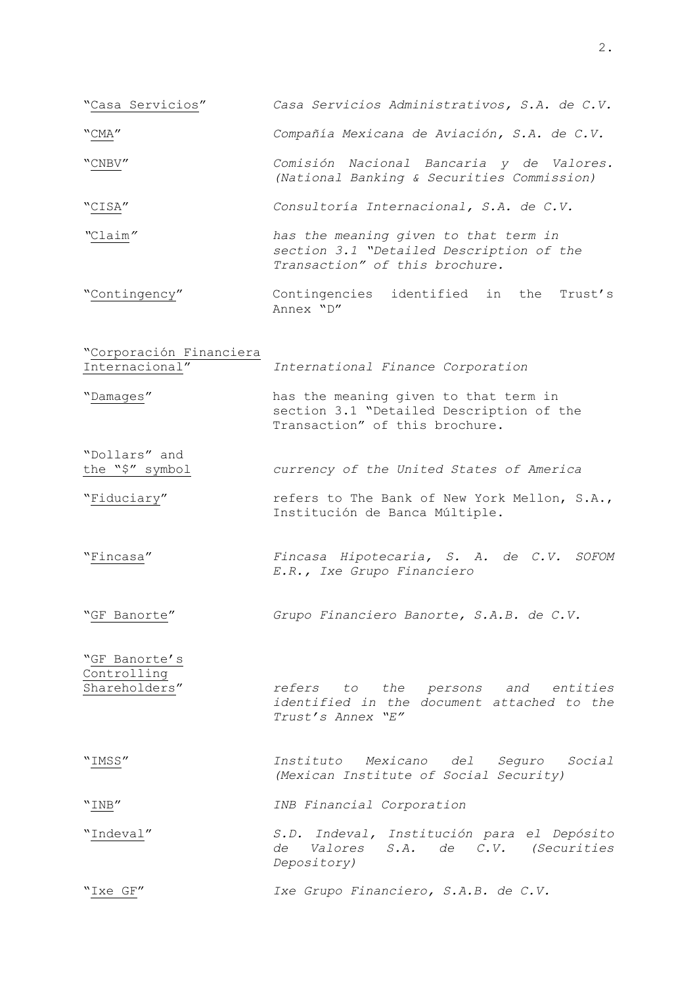- "Casa Servicios" *Casa Servicios Administrativos, S.A. de C.V.*
- "CMA" *Compañía Mexicana de Aviación, S.A. de C.V.*
- "CNBV" *Comisión Nacional Bancaria y de Valores. (National Banking & Securities Commission)*
- "CISA" *Consultoría Internacional, S.A. de C.V.*
- *"*Claim*" has the meaning given to that term in section 3.1 "Detailed Description of the Transaction" of this brochure.*
- "Contingency" Contingencies identified in the Trust's Annex "D"
- "Corporación Financiera Internacional" *International Finance Corporation*
- "Damages" has the meaning given to that term in section 3.1 "Detailed Description of the Transaction" of this brochure.
- the "\$" symbol *currency of the United States of America*
- "Fiduciary" refers to The Bank of New York Mellon, S.A., Institución de Banca Múltiple.
- "Fincasa" *Fincasa Hipotecaria, S. A. de C.V. SOFOM E.R., Ixe Grupo Financiero*
- "GF Banorte" *Grupo Financiero Banorte, S.A.B. de C.V.*

"GF Banorte's Controlling

"Dollars" and

Shareholders" *refers to the persons and entities identified in the document attached to the Trust's Annex "E"*

"IMSS" *Instituto Mexicano del Seguro Social (Mexican Institute of Social Security)*

"INB" *INB Financial Corporation*

"Indeval" *S.D. Indeval, Institución para el Depósito de Valores S.A. de C.V. (Securities Depository)*

"Ixe GF" *Ixe Grupo Financiero, S.A.B. de C.V.*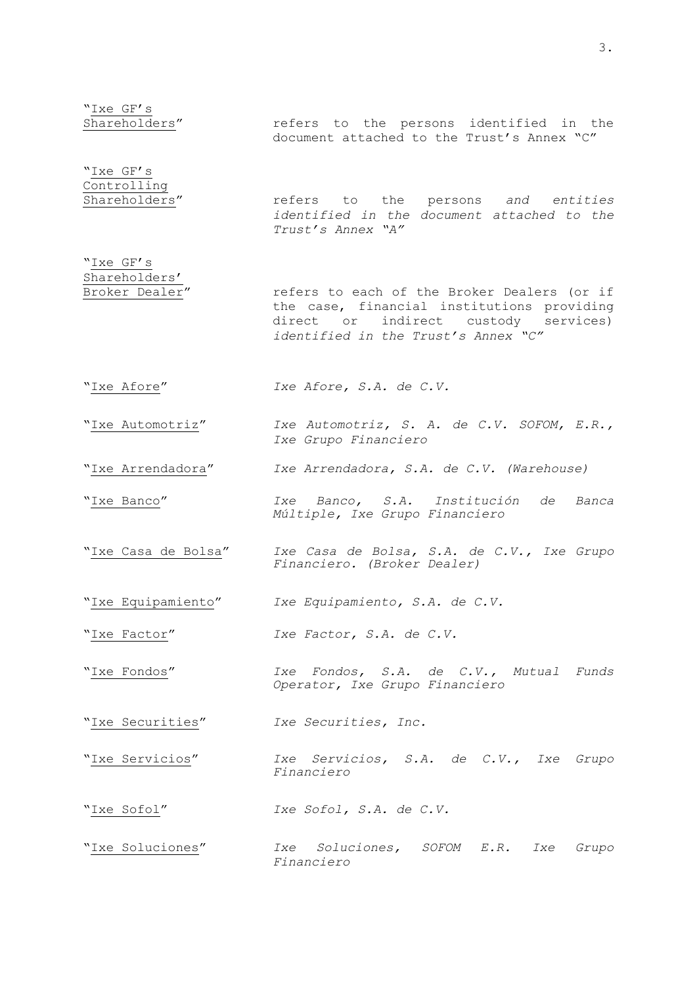"<u>Ixe GF's</u><br>Shareholders" refers to the persons identified in the document attached to the Trust's Annex "C" "Ixe GF's Controlling<br>Shareholders" refers to the persons and entities *identified in the document attached to the Trust's Annex "A"* "Ixe GF's Shareholders'<br>Broker Dealer" refers to each of the Broker Dealers (or if the case, financial institutions providing direct or indirect custody services) *identified in the Trust's Annex "C"* "Ixe Afore" *Ixe Afore, S.A. de C.V.* "Ixe Automotriz" *Ixe Automotriz, S. A. de C.V. SOFOM, E.R., Ixe Grupo Financiero* "Ixe Arrendadora" *Ixe Arrendadora, S.A. de C.V. (Warehouse)* "Ixe Banco" *Ixe Banco, S.A. Institución de Banca Múltiple, Ixe Grupo Financiero* "Ixe Casa de Bolsa" *Ixe Casa de Bolsa, S.A. de C.V., Ixe Grupo Financiero. (Broker Dealer)* "Ixe Equipamiento" *Ixe Equipamiento, S.A. de C.V.* "Ixe Factor" *Ixe Factor, S.A. de C.V.* "Ixe Fondos" *Ixe Fondos, S.A. de C.V., Mutual Funds Operator, Ixe Grupo Financiero* "Ixe Securities" *Ixe Securities, Inc.* "Ixe Servicios" *Ixe Servicios, S.A. de C.V., Ixe Grupo Financiero* "Ixe Sofol" *Ixe Sofol, S.A. de C.V.* "Ixe Soluciones" *Ixe Soluciones, SOFOM E.R. Ixe Grupo Financiero*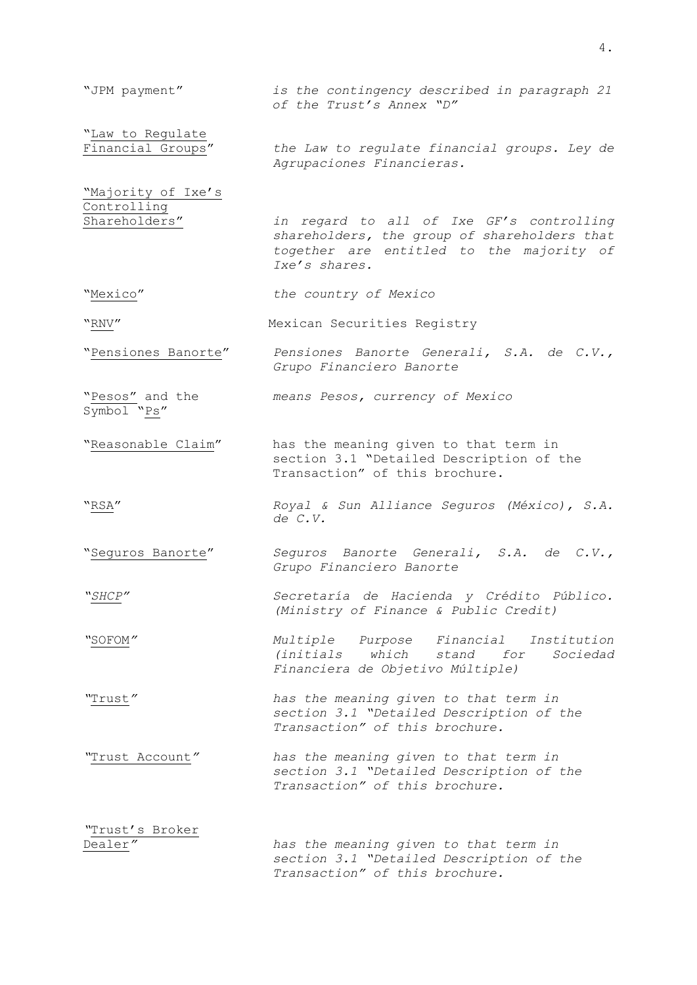| "JPM payment"                                      | is the contingency described in paragraph 21<br>of the Trust's Annex "D"                                                                              |
|----------------------------------------------------|-------------------------------------------------------------------------------------------------------------------------------------------------------|
| "Law to Regulate<br>Financial Groups"              | the Law to regulate financial groups. Ley de<br>Agrupaciones Financieras.                                                                             |
| "Majority of Ixe's<br>Controlling<br>Shareholders" | in regard to all of Ixe GF's controlling<br>shareholders, the group of shareholders that<br>together are entitled to the majority of<br>Ixe's shares. |
| "Mexico"                                           | the country of Mexico                                                                                                                                 |
| "RNV"                                              | Mexican Securities Registry                                                                                                                           |
| "Pensiones Banorte"                                | Pensiones Banorte Generali, S.A. de C.V.,<br>Grupo Financiero Banorte                                                                                 |
| "Pesos" and the<br>Symbol "Ps"                     | means Pesos, currency of Mexico                                                                                                                       |
| "Reasonable Claim"                                 | has the meaning given to that term in<br>section 3.1 "Detailed Description of the<br>Transaction" of this brochure.                                   |
| "RSA"                                              | Royal & Sun Alliance Seguros (México), S.A.<br>de C.V.                                                                                                |
| "Seguros Banorte"                                  | Seguros Banorte Generali, S.A. de C.V.,<br>Grupo Financiero Banorte                                                                                   |
| "SHCP"                                             | Secretaría de Hacienda y Crédito Público.<br>(Ministry of Finance & Public Credit)                                                                    |
| "SOFOM"                                            | Multiple Purpose Financial Institution<br>which stand for Sociedad<br><i>(initials</i><br>Financiera de Objetivo Múltiple)                            |
| "Trust"                                            | has the meaning given to that term in<br>section 3.1 "Detailed Description of the<br>Transaction" of this brochure.                                   |
| "Trust Account"                                    | has the meaning given to that term in<br>section 3.1 "Detailed Description of the<br>Transaction" of this brochure.                                   |
| "Trust's Broker<br>Dealer"                         | has the meaning given to that term in<br>section 3.1 "Detailed Description of the<br>Transaction" of this brochure.                                   |

4.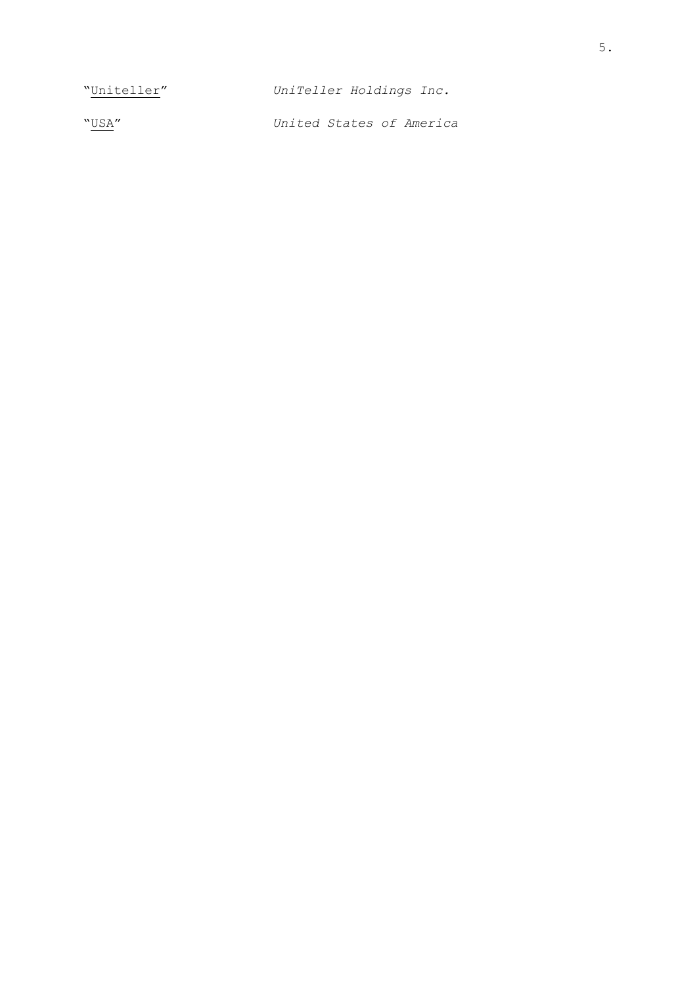"Uniteller" *UniTeller Holdings Inc.* "USA" *United States of America*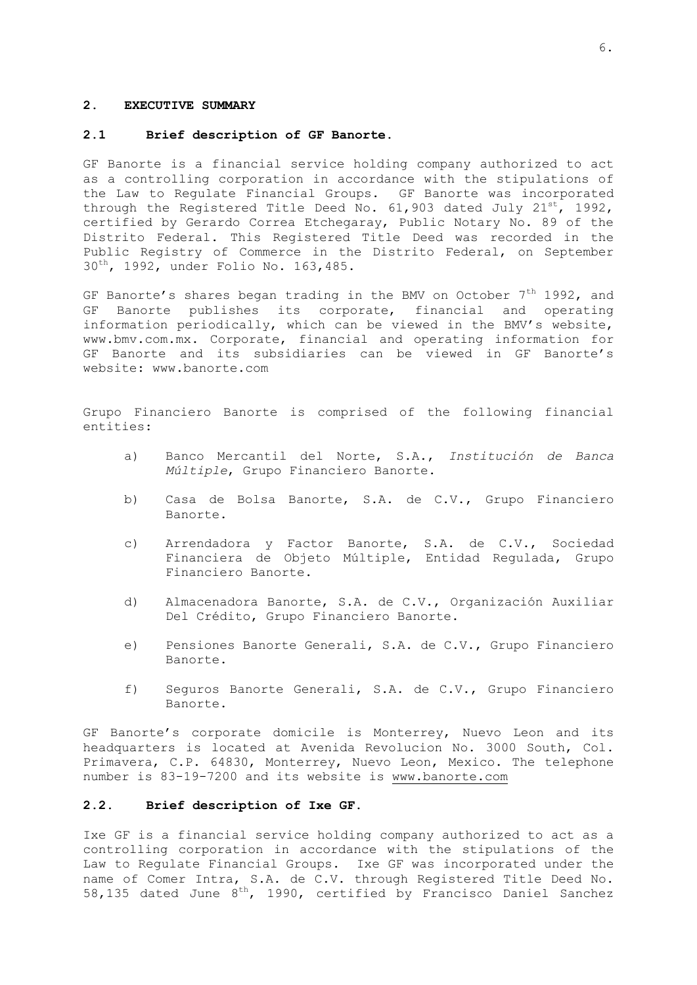#### <span id="page-8-0"></span>**2. EXECUTIVE SUMMARY**

### **2.1 Brief description of GF Banorte.**

GF Banorte is a financial service holding company authorized to act as a controlling corporation in accordance with the stipulations of the Law to Regulate Financial Groups. GF Banorte was incorporated through the Registered Title Deed No. 61,903 dated July  $21^{st}$ , 1992, certified by Gerardo Correa Etchegaray, Public Notary No. 89 of the Distrito Federal. This Registered Title Deed was recorded in the Public Registry of Commerce in the Distrito Federal, on September 30th, 1992, under Folio No. 163,485.

GF Banorte's shares began trading in the BMV on October  $7<sup>th</sup>$  1992, and GF Banorte publishes its corporate, financial and operating information periodically, which can be viewed in the BMV's website, www.bmv.com.mx. Corporate, financial and operating information for GF Banorte and its subsidiaries can be viewed in GF Banorte's website: www.banorte.com

Grupo Financiero Banorte is comprised of the following financial entities:

- a) Banco Mercantil del Norte, S.A., *Institución de Banca Múltiple*, Grupo Financiero Banorte.
- b) Casa de Bolsa Banorte, S.A. de C.V., Grupo Financiero Banorte.
- c) Arrendadora y Factor Banorte, S.A. de C.V., Sociedad Financiera de Objeto Múltiple, Entidad Regulada, Grupo Financiero Banorte.
- d) Almacenadora Banorte, S.A. de C.V., Organización Auxiliar Del Crédito, Grupo Financiero Banorte.
- e) Pensiones Banorte Generali, S.A. de C.V., Grupo Financiero Banorte.
- <span id="page-8-1"></span>f) Seguros Banorte Generali, S.A. de C.V., Grupo Financiero Banorte.

GF Banorte's corporate domicile is Monterrey, Nuevo Leon and its headquarters is located at Avenida Revolucion No. 3000 South, Col. Primavera, C.P. 64830, Monterrey, Nuevo Leon, Mexico. The telephone number is 83-19-7200 and its website is [www.banorte.com](http://www.banorte.com/)

### **2.2. Brief description of Ixe GF.**

Ixe GF is a financial service holding company authorized to act as a controlling corporation in accordance with the stipulations of the Law to Regulate Financial Groups. Ixe GF was incorporated under the name of Comer Intra, S.A. de C.V. through Registered Title Deed No. 58,135 dated June  $8^{th}$ , 1990, certified by Francisco Daniel Sanchez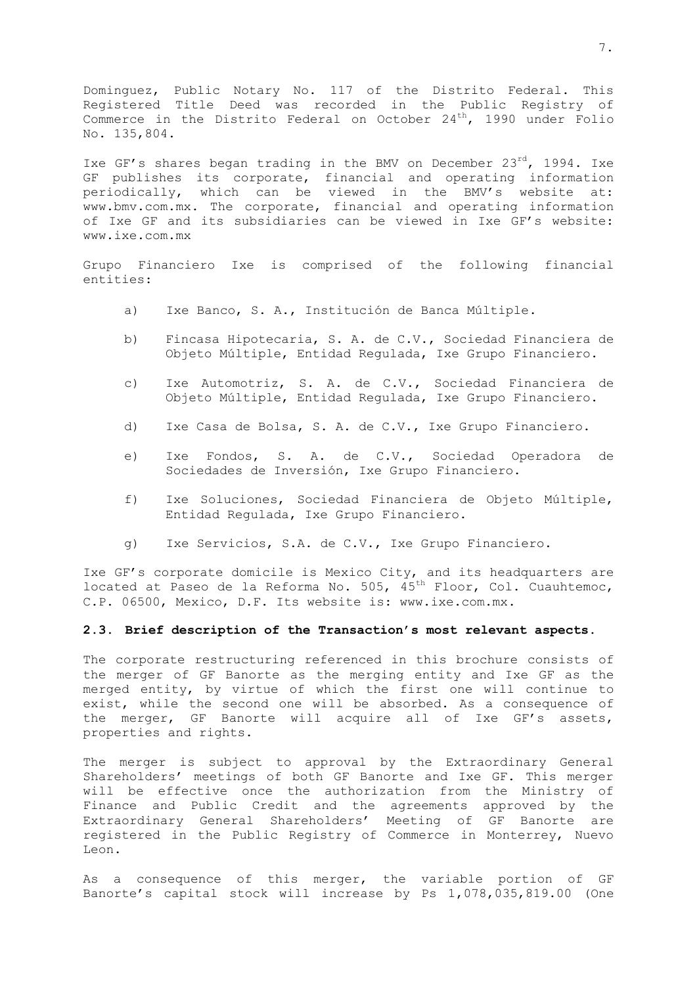Dominguez, Public Notary No. 117 of the Distrito Federal. This Registered Title Deed was recorded in the Public Registry of Commerce in the Distrito Federal on October 24<sup>th</sup>, 1990 under Folio No. 135,804.

Ixe GF's shares began trading in the BMV on December 23rd, 1994. Ixe GF publishes its corporate, financial and operating information periodically, which can be viewed in the BMV's website at: www.bmv.com.mx. The corporate, financial and operating information of Ixe GF and its subsidiaries can be viewed in Ixe GF's website: www.ixe.com.mx

Grupo Financiero Ixe is comprised of the following financial entities:

- a) Ixe Banco, S. A., Institución de Banca Múltiple.
- b) Fincasa Hipotecaria, S. A. de C.V., Sociedad Financiera de Objeto Múltiple, Entidad Regulada, Ixe Grupo Financiero.
- c) Ixe Automotriz, S. A. de C.V., Sociedad Financiera de Objeto Múltiple, Entidad Regulada, Ixe Grupo Financiero.
- d) Ixe Casa de Bolsa, S. A. de C.V., Ixe Grupo Financiero.
- e) Ixe Fondos, S. A. de C.V., Sociedad Operadora de Sociedades de Inversión, Ixe Grupo Financiero.
- f) Ixe Soluciones, Sociedad Financiera de Objeto Múltiple, Entidad Regulada, Ixe Grupo Financiero.
- <span id="page-9-0"></span>g) Ixe Servicios, S.A. de C.V., Ixe Grupo Financiero.

Ixe GF's corporate domicile is Mexico City, and its headquarters are located at Paseo de la Reforma No. 505,  $45^{th}$  Floor, Col. Cuauhtemoc, C.P. 06500, Mexico, D.F. Its website is: www.ixe.com.mx.

#### **2.3. Brief description of the Transaction's most relevant aspects.**

The corporate restructuring referenced in this brochure consists of the merger of GF Banorte as the merging entity and Ixe GF as the merged entity, by virtue of which the first one will continue to exist, while the second one will be absorbed. As a consequence of the merger, GF Banorte will acquire all of Ixe GF's assets, properties and rights.

The merger is subject to approval by the Extraordinary General Shareholders' meetings of both GF Banorte and Ixe GF. This merger will be effective once the authorization from the Ministry of Finance and Public Credit and the agreements approved by the Extraordinary General Shareholders' Meeting of GF Banorte are registered in the Public Registry of Commerce in Monterrey, Nuevo Leon.

As a consequence of this merger, the variable portion of GF Banorte's capital stock will increase by Ps 1,078,035,819.00 (One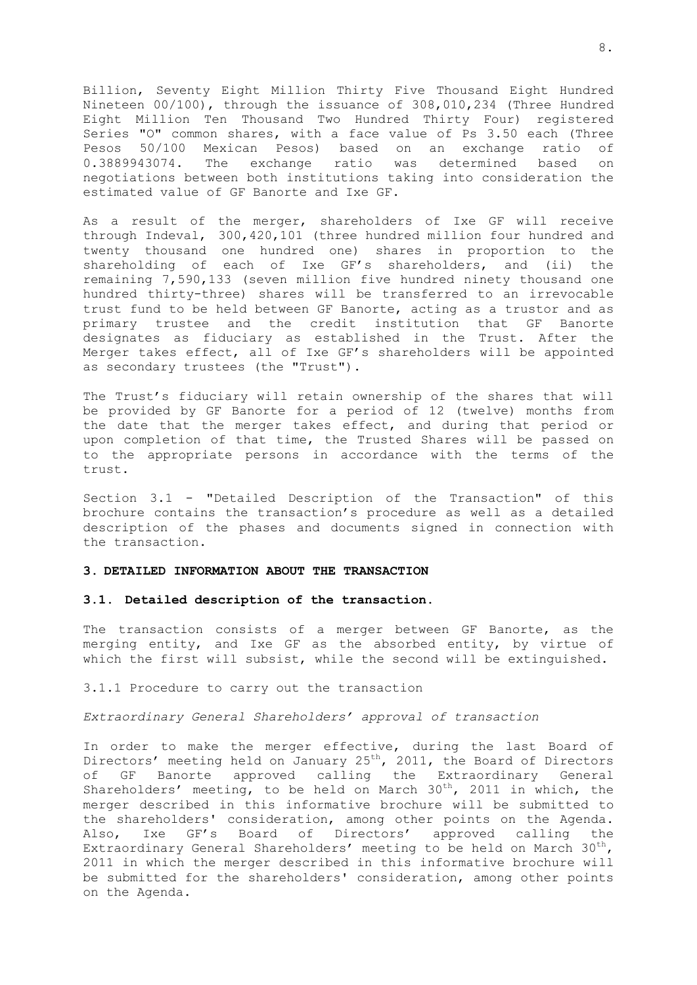Billion, Seventy Eight Million Thirty Five Thousand Eight Hundred Nineteen 00/100), through the issuance of 308,010,234 (Three Hundred Eight Million Ten Thousand Two Hundred Thirty Four) registered Series "O" common shares, with a face value of Ps 3.50 each (Three Pesos 50/100 Mexican Pesos) based on an exchange ratio of 0.3889943074. The exchange ratio was determined based on negotiations between both institutions taking into consideration the estimated value of GF Banorte and Ixe GF.

As a result of the merger, shareholders of Ixe GF will receive through Indeval, 300,420,101 (three hundred million four hundred and twenty thousand one hundred one) shares in proportion to the shareholding of each of Ixe GF's shareholders, and (ii) the remaining 7,590,133 (seven million five hundred ninety thousand one hundred thirty-three) shares will be transferred to an irrevocable trust fund to be held between GF Banorte, acting as a trustor and as primary trustee and the credit institution that GF Banorte designates as fiduciary as established in the Trust. After the Merger takes effect, all of Ixe GF's shareholders will be appointed as secondary trustees (the "Trust").

The Trust's fiduciary will retain ownership of the shares that will be provided by GF Banorte for a period of 12 (twelve) months from the date that the merger takes effect, and during that period or upon completion of that time, the Trusted Shares will be passed on to the appropriate persons in accordance with the terms of the trust.

Section 3.1 - "Detailed Description of the Transaction" of this brochure contains the transaction's procedure as well as a detailed description of the phases and documents signed in connection with the transaction.

### <span id="page-10-0"></span>**3. DETAILED INFORMATION ABOUT THE TRANSACTION**

#### <span id="page-10-1"></span>**3.1. Detailed description of the transaction.**

The transaction consists of a merger between GF Banorte, as the merging entity, and Ixe GF as the absorbed entity, by virtue of which the first will subsist, while the second will be extinguished.

3.1.1 Procedure to carry out the transaction

## *Extraordinary General Shareholders' approval of transaction*

In order to make the merger effective, during the last Board of Directors' meeting held on January 25<sup>th</sup>, 2011, the Board of Directors of GF Banorte approved calling the Extraordinary General Shareholders' meeting, to be held on March  $30<sup>th</sup>$ , 2011 in which, the merger described in this informative brochure will be submitted to the shareholders' consideration, among other points on the Agenda. Also, Ixe GF's Board of Directors' approved calling the Extraordinary General Shareholders' meeting to be held on March  $30^{th}$ , 2011 in which the merger described in this informative brochure will be submitted for the shareholders' consideration, among other points on the Agenda.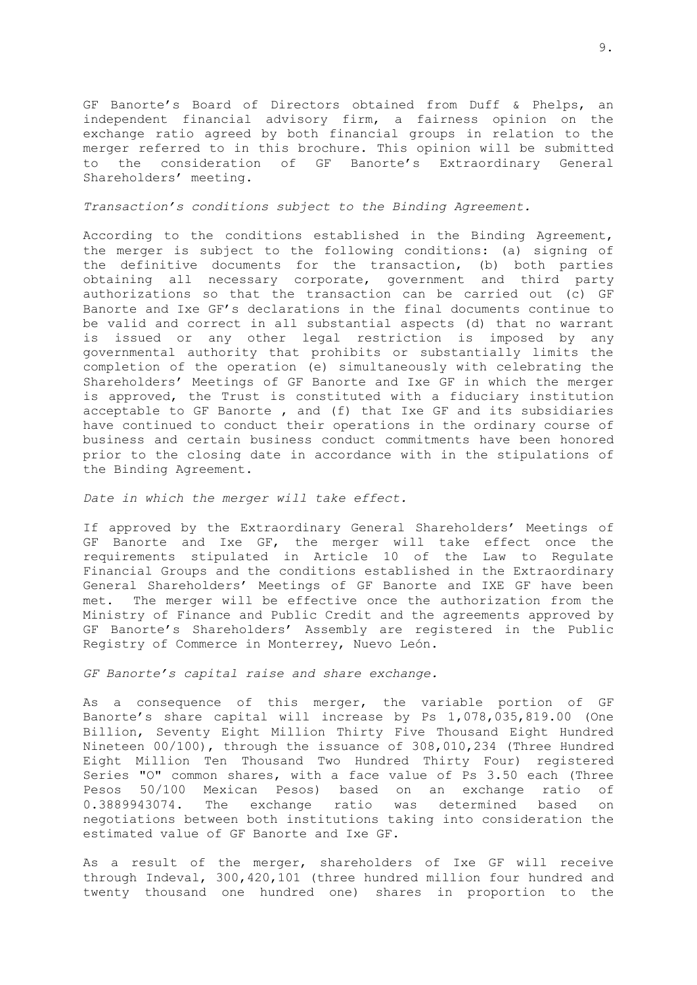GF Banorte's Board of Directors obtained from Duff & Phelps, an independent financial advisory firm, a fairness opinion on the exchange ratio agreed by both financial groups in relation to the merger referred to in this brochure. This opinion will be submitted to the consideration of GF Banorte's Extraordinary General Shareholders' meeting.

#### *Transaction's conditions subject to the Binding Agreement.*

According to the conditions established in the Binding Agreement, the merger is subject to the following conditions: (a) signing of the definitive documents for the transaction, (b) both parties obtaining all necessary corporate, government and third party authorizations so that the transaction can be carried out (c) GF Banorte and Ixe GF's declarations in the final documents continue to be valid and correct in all substantial aspects (d) that no warrant is issued or any other legal restriction is imposed by any governmental authority that prohibits or substantially limits the completion of the operation (e) simultaneously with celebrating the Shareholders' Meetings of GF Banorte and Ixe GF in which the merger is approved, the Trust is constituted with a fiduciary institution acceptable to GF Banorte , and (f) that Ixe GF and its subsidiaries have continued to conduct their operations in the ordinary course of business and certain business conduct commitments have been honored prior to the closing date in accordance with in the stipulations of the Binding Agreement.

#### *Date in which the merger will take effect.*

If approved by the Extraordinary General Shareholders' Meetings of GF Banorte and Ixe GF, the merger will take effect once the requirements stipulated in Article 10 of the Law to Regulate Financial Groups and the conditions established in the Extraordinary General Shareholders' Meetings of GF Banorte and IXE GF have been met. The merger will be effective once the authorization from the Ministry of Finance and Public Credit and the agreements approved by GF Banorte's Shareholders' Assembly are registered in the Public Registry of Commerce in Monterrey, Nuevo León.

### *GF Banorte's capital raise and share exchange.*

As a consequence of this merger, the variable portion of GF Banorte's share capital will increase by Ps 1,078,035,819.00 (One Billion, Seventy Eight Million Thirty Five Thousand Eight Hundred Nineteen 00/100), through the issuance of 308,010,234 (Three Hundred Eight Million Ten Thousand Two Hundred Thirty Four) registered Series "O" common shares, with a face value of Ps 3.50 each (Three Pesos 50/100 Mexican Pesos) based on an exchange ratio of 0.3889943074. The exchange ratio was determined based on negotiations between both institutions taking into consideration the estimated value of GF Banorte and Ixe GF.

As a result of the merger, shareholders of Ixe GF will receive through Indeval, 300,420,101 (three hundred million four hundred and twenty thousand one hundred one) shares in proportion to the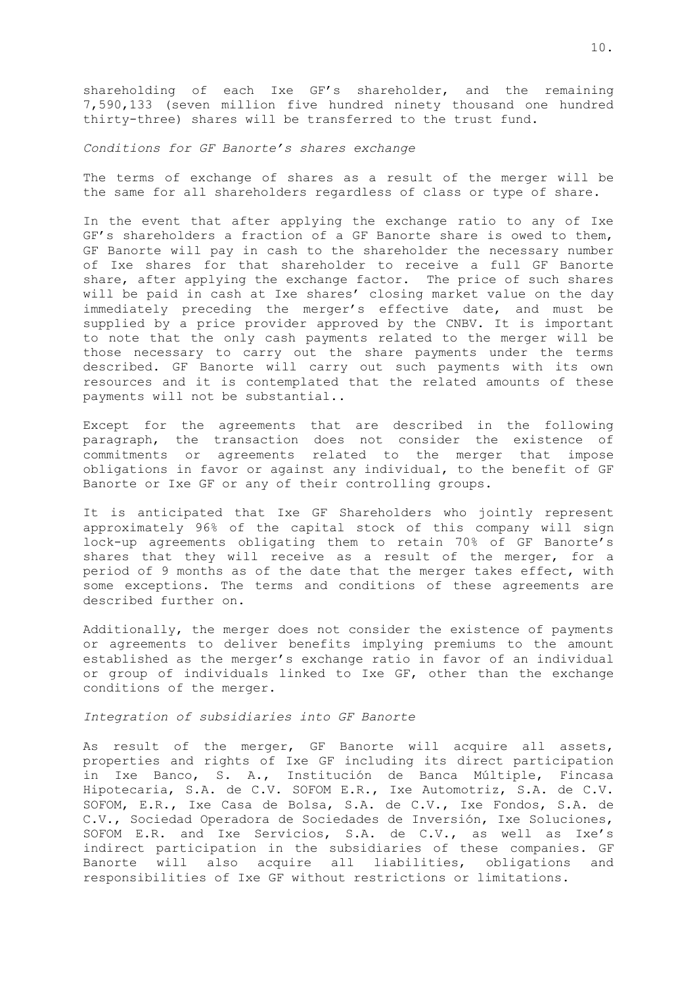shareholding of each Ixe GF's shareholder, and the remaining 7,590,133 (seven million five hundred ninety thousand one hundred thirty-three) shares will be transferred to the trust fund.

### *Conditions for GF Banorte's shares exchange*

The terms of exchange of shares as a result of the merger will be the same for all shareholders regardless of class or type of share.

In the event that after applying the exchange ratio to any of Ixe GF's shareholders a fraction of a GF Banorte share is owed to them, GF Banorte will pay in cash to the shareholder the necessary number of Ixe shares for that shareholder to receive a full GF Banorte share, after applying the exchange factor. The price of such shares will be paid in cash at Ixe shares' closing market value on the day immediately preceding the merger's effective date, and must be supplied by a price provider approved by the CNBV. It is important to note that the only cash payments related to the merger will be those necessary to carry out the share payments under the terms described. GF Banorte will carry out such payments with its own resources and it is contemplated that the related amounts of these payments will not be substantial..

Except for the agreements that are described in the following paragraph, the transaction does not consider the existence of commitments or agreements related to the merger that impose obligations in favor or against any individual, to the benefit of GF Banorte or Ixe GF or any of their controlling groups.

It is anticipated that Ixe GF Shareholders who jointly represent approximately 96% of the capital stock of this company will sign lock-up agreements obligating them to retain 70% of GF Banorte's shares that they will receive as a result of the merger, for a period of 9 months as of the date that the merger takes effect, with some exceptions. The terms and conditions of these agreements are described further on.

Additionally, the merger does not consider the existence of payments or agreements to deliver benefits implying premiums to the amount established as the merger's exchange ratio in favor of an individual or group of individuals linked to Ixe GF, other than the exchange conditions of the merger.

### *Integration of subsidiaries into GF Banorte*

As result of the merger, GF Banorte will acquire all assets, properties and rights of Ixe GF including its direct participation in Ixe Banco, S. A., Institución de Banca Múltiple, Fincasa Hipotecaria, S.A. de C.V. SOFOM E.R., Ixe Automotriz, S.A. de C.V. SOFOM, E.R., Ixe Casa de Bolsa, S.A. de C.V., Ixe Fondos, S.A. de C.V., Sociedad Operadora de Sociedades de Inversión, Ixe Soluciones, SOFOM E.R. and Ixe Servicios, S.A. de C.V., as well as Ixe's indirect participation in the subsidiaries of these companies. GF Banorte will also acquire all liabilities, obligations and responsibilities of Ixe GF without restrictions or limitations.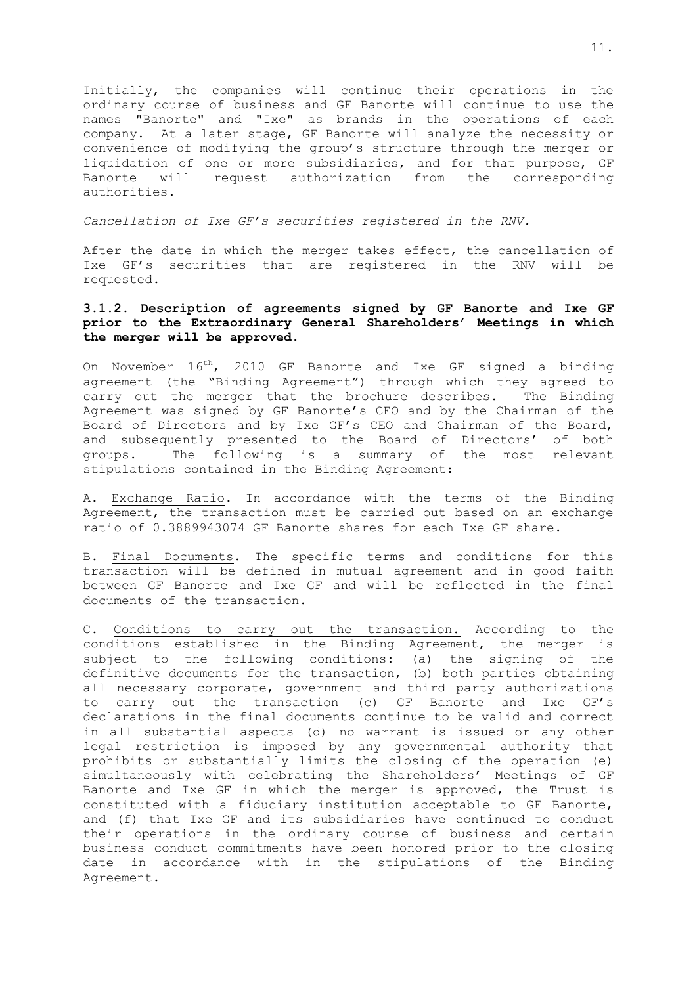Initially, the companies will continue their operations in the ordinary course of business and GF Banorte will continue to use the names "Banorte" and "Ixe" as brands in the operations of each company. At a later stage, GF Banorte will analyze the necessity or convenience of modifying the group's structure through the merger or liquidation of one or more subsidiaries, and for that purpose, GF Banorte will request authorization from the corresponding authorities.

*Cancellation of Ixe GF's securities registered in the RNV.*

After the date in which the merger takes effect, the cancellation of Ixe GF's securities that are registered in the RNV will be requested.

## **3.1.2. Description of agreements signed by GF Banorte and Ixe GF prior to the Extraordinary General Shareholders' Meetings in which the merger will be approved.**

On November 16<sup>th</sup>, 2010 GF Banorte and Ixe GF signed a binding agreement (the "Binding Agreement") through which they agreed to carry out the merger that the brochure describes. The Binding Agreement was signed by GF Banorte's CEO and by the Chairman of the Board of Directors and by Ixe GF's CEO and Chairman of the Board, and subsequently presented to the Board of Directors' of both groups. The following is a summary of the most relevant stipulations contained in the Binding Agreement:

A. Exchange Ratio. In accordance with the terms of the Binding Agreement, the transaction must be carried out based on an exchange ratio of 0.3889943074 GF Banorte shares for each Ixe GF share.

B. Final Documents. The specific terms and conditions for this transaction will be defined in mutual agreement and in good faith between GF Banorte and Ixe GF and will be reflected in the final documents of the transaction.

C. Conditions to carry out the transaction. According to the conditions established in the Binding Agreement, the merger is subject to the following conditions: (a) the signing of the definitive documents for the transaction, (b) both parties obtaining all necessary corporate, government and third party authorizations to carry out the transaction (c) GF Banorte and Ixe GF's declarations in the final documents continue to be valid and correct in all substantial aspects (d) no warrant is issued or any other legal restriction is imposed by any governmental authority that prohibits or substantially limits the closing of the operation (e) simultaneously with celebrating the Shareholders' Meetings of GF Banorte and Ixe GF in which the merger is approved, the Trust is constituted with a fiduciary institution acceptable to GF Banorte, and (f) that Ixe GF and its subsidiaries have continued to conduct their operations in the ordinary course of business and certain business conduct commitments have been honored prior to the closing date in accordance with in the stipulations of the Binding Agreement.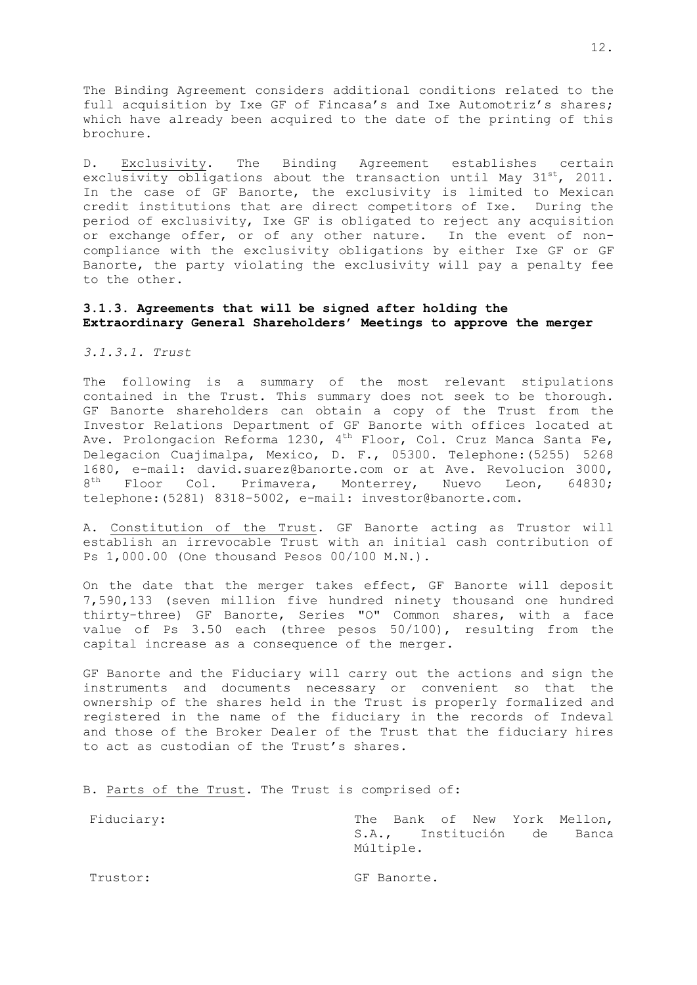The Binding Agreement considers additional conditions related to the full acquisition by Ixe GF of Fincasa's and Ixe Automotriz's shares; which have already been acquired to the date of the printing of this brochure.

D. Exclusivity. The Binding Agreement establishes certain exclusivity obligations about the transaction until May  $31^{st}$ , 2011. In the case of GF Banorte, the exclusivity is limited to Mexican credit institutions that are direct competitors of Ixe. During the period of exclusivity, Ixe GF is obligated to reject any acquisition or exchange offer, or of any other nature. In the event of noncompliance with the exclusivity obligations by either Ixe GF or GF Banorte, the party violating the exclusivity will pay a penalty fee to the other.

### **3.1.3. Agreements that will be signed after holding the Extraordinary General Shareholders' Meetings to approve the merger**

*3.1.3.1. Trust*

The following is a summary of the most relevant stipulations contained in the Trust. This summary does not seek to be thorough. GF Banorte shareholders can obtain a copy of the Trust from the Investor Relations Department of GF Banorte with offices located at Ave. Prolongacion Reforma 1230, 4<sup>th</sup> Floor, Col. Cruz Manca Santa Fe, Delegacion Cuajimalpa, Mexico, D. F., 05300. Telephone:(5255) 5268 1680, e-mail: david.suarez@banorte.com or at Ave. Revolucion 3000, 8<sup>th</sup> Floor Col. Primavera, Monterrey, Nuevo Leon, 64830; telephone:(5281) 8318-5002, e-mail: investor@banorte.com.

A. Constitution of the Trust. GF Banorte acting as Trustor will establish an irrevocable Trust with an initial cash contribution of Ps 1,000.00 (One thousand Pesos 00/100 M.N.).

On the date that the merger takes effect, GF Banorte will deposit 7,590,133 (seven million five hundred ninety thousand one hundred thirty-three) GF Banorte, Series "O" Common shares, with a face value of Ps 3.50 each (three pesos 50/100), resulting from the capital increase as a consequence of the merger.

GF Banorte and the Fiduciary will carry out the actions and sign the instruments and documents necessary or convenient so that the ownership of the shares held in the Trust is properly formalized and registered in the name of the fiduciary in the records of Indeval and those of the Broker Dealer of the Trust that the fiduciary hires to act as custodian of the Trust's shares.

B. Parts of the Trust. The Trust is comprised of:

| Fiduciary: | Múltiple.   |  | The Bank of New York Mellon,<br>S.A., Institución de Banca |
|------------|-------------|--|------------------------------------------------------------|
| Trustor:   | GF Banorte. |  |                                                            |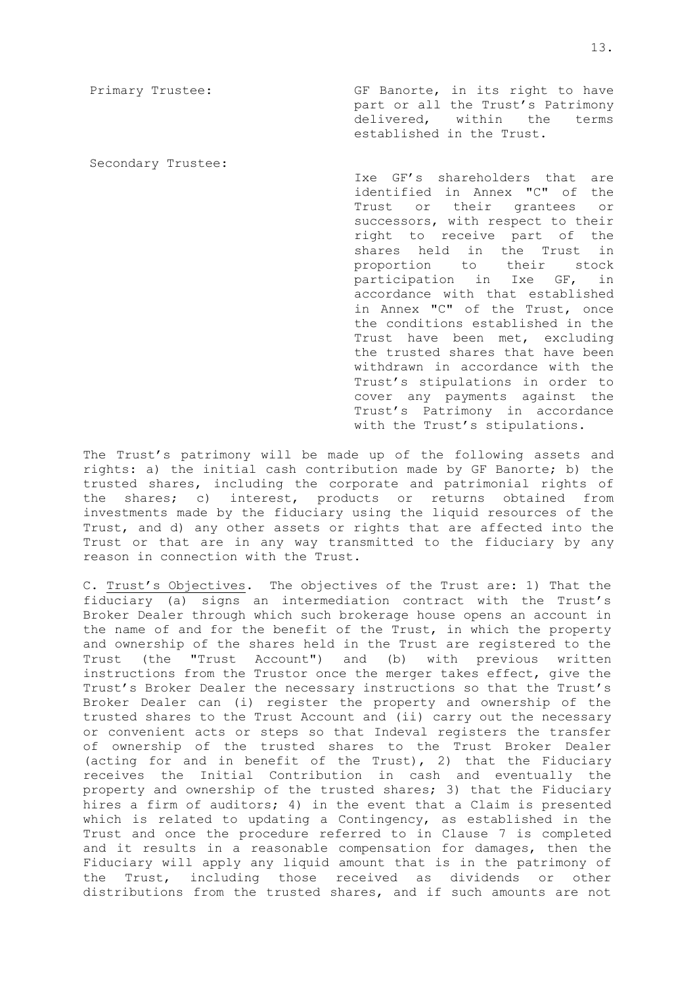Primary Trustee: GF Banorte, in its right to have part or all the Trust's Patrimony delivered, within the terms established in the Trust.

Secondary Trustee:

Ixe GF's shareholders that are identified in Annex "C" of the Trust or their grantees or successors, with respect to their right to receive part of the shares held in the Trust in proportion to their stock participation in Ixe GF, in accordance with that established in Annex "C" of the Trust, once the conditions established in the Trust have been met, excluding the trusted shares that have been withdrawn in accordance with the Trust's stipulations in order to cover any payments against the Trust's Patrimony in accordance with the Trust's stipulations.

The Trust's patrimony will be made up of the following assets and rights: a) the initial cash contribution made by GF Banorte; b) the trusted shares, including the corporate and patrimonial rights of the shares; c) interest, products or returns obtained from investments made by the fiduciary using the liquid resources of the Trust, and d) any other assets or rights that are affected into the Trust or that are in any way transmitted to the fiduciary by any reason in connection with the Trust.

C. Trust's Objectives. The objectives of the Trust are: 1) That the fiduciary (a) signs an intermediation contract with the Trust's Broker Dealer through which such brokerage house opens an account in the name of and for the benefit of the Trust, in which the property and ownership of the shares held in the Trust are registered to the Trust (the "Trust Account") and (b) with previous written instructions from the Trustor once the merger takes effect, give the Trust's Broker Dealer the necessary instructions so that the Trust's Broker Dealer can (i) register the property and ownership of the trusted shares to the Trust Account and (ii) carry out the necessary or convenient acts or steps so that Indeval registers the transfer of ownership of the trusted shares to the Trust Broker Dealer (acting for and in benefit of the Trust), 2) that the Fiduciary receives the Initial Contribution in cash and eventually the property and ownership of the trusted shares; 3) that the Fiduciary hires a firm of auditors; 4) in the event that a Claim is presented which is related to updating a Contingency, as established in the Trust and once the procedure referred to in Clause 7 is completed and it results in a reasonable compensation for damages, then the Fiduciary will apply any liquid amount that is in the patrimony of the Trust, including those received as dividends or other distributions from the trusted shares, and if such amounts are not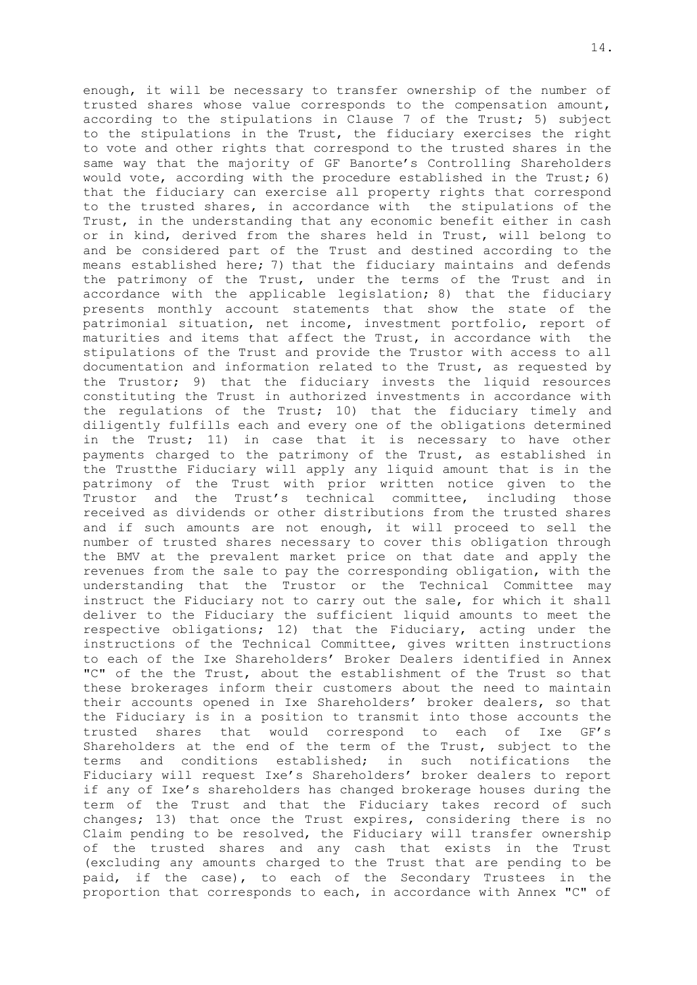enough, it will be necessary to transfer ownership of the number of trusted shares whose value corresponds to the compensation amount, according to the stipulations in Clause 7 of the Trust; 5) subject to the stipulations in the Trust, the fiduciary exercises the right to vote and other rights that correspond to the trusted shares in the same way that the majority of GF Banorte's Controlling Shareholders would vote, according with the procedure established in the Trust; 6) that the fiduciary can exercise all property rights that correspond to the trusted shares, in accordance with the stipulations of the Trust, in the understanding that any economic benefit either in cash or in kind, derived from the shares held in Trust, will belong to and be considered part of the Trust and destined according to the means established here; 7) that the fiduciary maintains and defends the patrimony of the Trust, under the terms of the Trust and in accordance with the applicable legislation; 8) that the fiduciary presents monthly account statements that show the state of the patrimonial situation, net income, investment portfolio, report of maturities and items that affect the Trust, in accordance with the stipulations of the Trust and provide the Trustor with access to all documentation and information related to the Trust, as requested by the Trustor; 9) that the fiduciary invests the liquid resources constituting the Trust in authorized investments in accordance with the regulations of the Trust; 10) that the fiduciary timely and diligently fulfills each and every one of the obligations determined in the Trust; 11) in case that it is necessary to have other payments charged to the patrimony of the Trust, as established in the Trustthe Fiduciary will apply any liquid amount that is in the patrimony of the Trust with prior written notice given to the Trustor and the Trust's technical committee, including those received as dividends or other distributions from the trusted shares and if such amounts are not enough, it will proceed to sell the number of trusted shares necessary to cover this obligation through the BMV at the prevalent market price on that date and apply the revenues from the sale to pay the corresponding obligation, with the understanding that the Trustor or the Technical Committee may instruct the Fiduciary not to carry out the sale, for which it shall deliver to the Fiduciary the sufficient liquid amounts to meet the respective obligations; 12) that the Fiduciary, acting under the instructions of the Technical Committee, gives written instructions to each of the Ixe Shareholders' Broker Dealers identified in Annex "C" of the the Trust, about the establishment of the Trust so that these brokerages inform their customers about the need to maintain their accounts opened in Ixe Shareholders' broker dealers, so that the Fiduciary is in a position to transmit into those accounts the trusted shares that would correspond to each of Ixe GF's Shareholders at the end of the term of the Trust, subject to the terms and conditions established; in such notifications the Fiduciary will request Ixe's Shareholders' broker dealers to report if any of Ixe's shareholders has changed brokerage houses during the term of the Trust and that the Fiduciary takes record of such changes; 13) that once the Trust expires, considering there is no Claim pending to be resolved, the Fiduciary will transfer ownership of the trusted shares and any cash that exists in the Trust (excluding any amounts charged to the Trust that are pending to be paid, if the case), to each of the Secondary Trustees in the proportion that corresponds to each, in accordance with Annex "C" of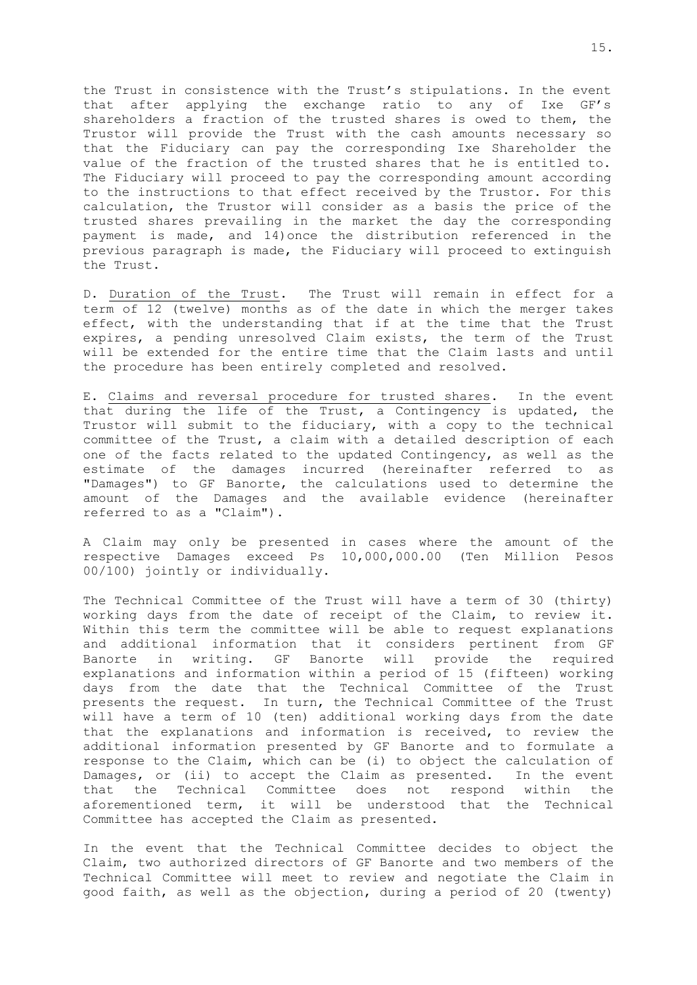the Trust in consistence with the Trust's stipulations. In the event that after applying the exchange ratio to any of Ixe GF's shareholders a fraction of the trusted shares is owed to them, the Trustor will provide the Trust with the cash amounts necessary so that the Fiduciary can pay the corresponding Ixe Shareholder the value of the fraction of the trusted shares that he is entitled to. The Fiduciary will proceed to pay the corresponding amount according to the instructions to that effect received by the Trustor. For this calculation, the Trustor will consider as a basis the price of the trusted shares prevailing in the market the day the corresponding payment is made, and 14)once the distribution referenced in the previous paragraph is made, the Fiduciary will proceed to extinguish the Trust.

D. Duration of the Trust. The Trust will remain in effect for a term of 12 (twelve) months as of the date in which the merger takes effect, with the understanding that if at the time that the Trust expires, a pending unresolved Claim exists, the term of the Trust will be extended for the entire time that the Claim lasts and until the procedure has been entirely completed and resolved.

E. Claims and reversal procedure for trusted shares.In the event that during the life of the Trust, a Contingency is updated, the Trustor will submit to the fiduciary, with a copy to the technical committee of the Trust, a claim with a detailed description of each one of the facts related to the updated Contingency, as well as the estimate of the damages incurred (hereinafter referred to as "Damages") to GF Banorte, the calculations used to determine the amount of the Damages and the available evidence (hereinafter referred to as a "Claim").

A Claim may only be presented in cases where the amount of the respective Damages exceed Ps 10,000,000.00 (Ten Million Pesos 00/100) jointly or individually.

The Technical Committee of the Trust will have a term of 30 (thirty) working days from the date of receipt of the Claim, to review it. Within this term the committee will be able to request explanations and additional information that it considers pertinent from GF Banorte in writing. GF Banorte will provide the required explanations and information within a period of 15 (fifteen) working days from the date that the Technical Committee of the Trust presents the request. In turn, the Technical Committee of the Trust will have a term of 10 (ten) additional working days from the date that the explanations and information is received, to review the additional information presented by GF Banorte and to formulate a response to the Claim, which can be (i) to object the calculation of Damages, or (ii) to accept the Claim as presented. In the event that the Technical Committee does not respond within the aforementioned term, it will be understood that the Technical Committee has accepted the Claim as presented.

In the event that the Technical Committee decides to object the Claim, two authorized directors of GF Banorte and two members of the Technical Committee will meet to review and negotiate the Claim in good faith, as well as the objection, during a period of 20 (twenty)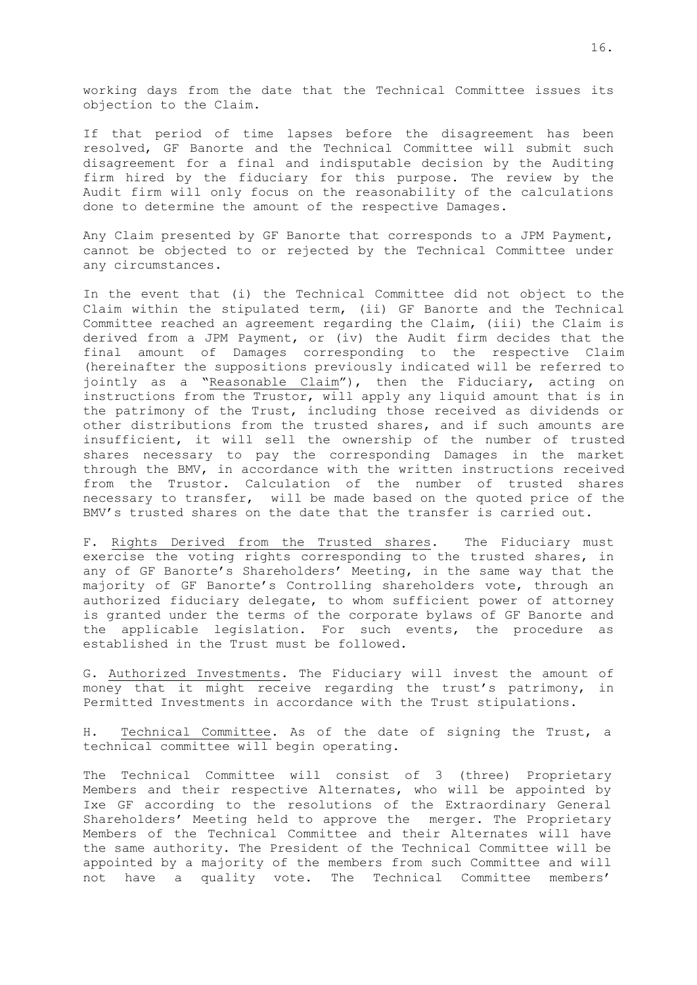working days from the date that the Technical Committee issues its objection to the Claim.

If that period of time lapses before the disagreement has been resolved, GF Banorte and the Technical Committee will submit such disagreement for a final and indisputable decision by the Auditing firm hired by the fiduciary for this purpose. The review by the Audit firm will only focus on the reasonability of the calculations done to determine the amount of the respective Damages.

Any Claim presented by GF Banorte that corresponds to a JPM Payment, cannot be objected to or rejected by the Technical Committee under any circumstances.

In the event that (i) the Technical Committee did not object to the Claim within the stipulated term, (ii) GF Banorte and the Technical Committee reached an agreement regarding the Claim, (iii) the Claim is derived from a JPM Payment, or (iv) the Audit firm decides that the final amount of Damages corresponding to the respective Claim (hereinafter the suppositions previously indicated will be referred to jointly as a "Reasonable Claim"), then the Fiduciary, acting on instructions from the Trustor, will apply any liquid amount that is in the patrimony of the Trust, including those received as dividends or other distributions from the trusted shares, and if such amounts are insufficient, it will sell the ownership of the number of trusted shares necessary to pay the corresponding Damages in the market through the BMV, in accordance with the written instructions received from the Trustor. Calculation of the number of trusted shares necessary to transfer, will be made based on the quoted price of the BMV's trusted shares on the date that the transfer is carried out.

F. Rights Derived from the Trusted shares. The Fiduciary must exercise the voting rights corresponding to the trusted shares, in any of GF Banorte's Shareholders' Meeting, in the same way that the majority of GF Banorte's Controlling shareholders vote, through an authorized fiduciary delegate, to whom sufficient power of attorney is granted under the terms of the corporate bylaws of GF Banorte and the applicable legislation. For such events, the procedure as established in the Trust must be followed.

G. Authorized Investments. The Fiduciary will invest the amount of money that it might receive regarding the trust's patrimony, in Permitted Investments in accordance with the Trust stipulations.

H. Technical Committee. As of the date of signing the Trust, a technical committee will begin operating.

The Technical Committee will consist of 3 (three) Proprietary Members and their respective Alternates, who will be appointed by Ixe GF according to the resolutions of the Extraordinary General Shareholders' Meeting held to approve the merger. The Proprietary Members of the Technical Committee and their Alternates will have the same authority. The President of the Technical Committee will be appointed by a majority of the members from such Committee and will not have a quality vote. The Technical Committee members'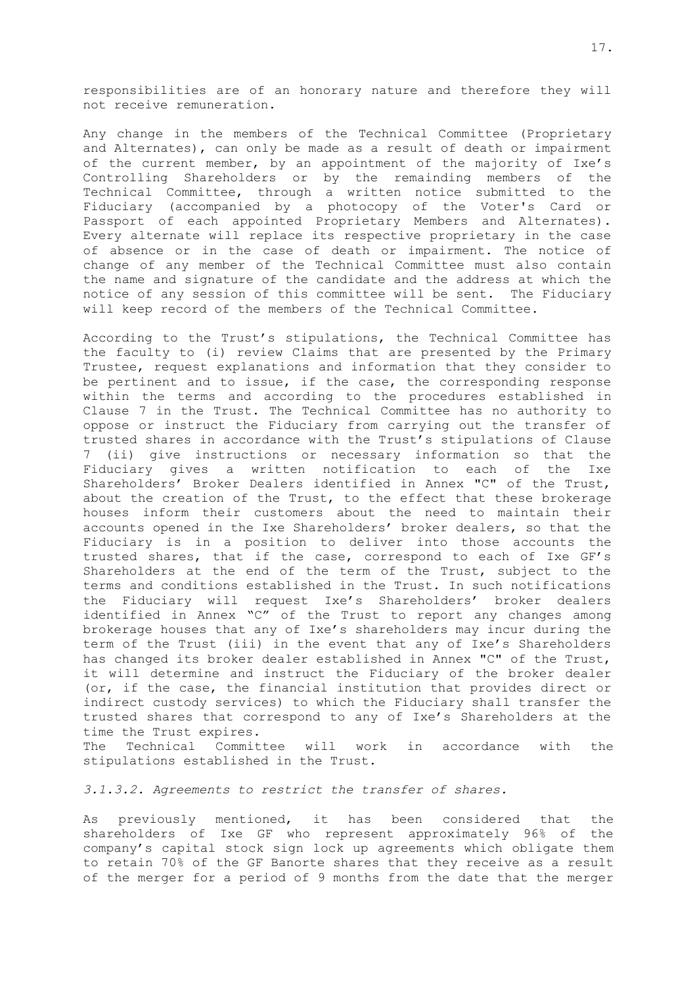responsibilities are of an honorary nature and therefore they will not receive remuneration.

Any change in the members of the Technical Committee (Proprietary and Alternates), can only be made as a result of death or impairment of the current member, by an appointment of the majority of Ixe's Controlling Shareholders or by the remainding members of the Technical Committee, through a written notice submitted to the Fiduciary (accompanied by a photocopy of the Voter's Card or Passport of each appointed Proprietary Members and Alternates). Every alternate will replace its respective proprietary in the case of absence or in the case of death or impairment. The notice of change of any member of the Technical Committee must also contain the name and signature of the candidate and the address at which the notice of any session of this committee will be sent. The Fiduciary will keep record of the members of the Technical Committee.

According to the Trust's stipulations, the Technical Committee has the faculty to (i) review Claims that are presented by the Primary Trustee, request explanations and information that they consider to be pertinent and to issue, if the case, the corresponding response within the terms and according to the procedures established in Clause 7 in the Trust. The Technical Committee has no authority to oppose or instruct the Fiduciary from carrying out the transfer of trusted shares in accordance with the Trust's stipulations of Clause 7 (ii) give instructions or necessary information so that the Fiduciary gives a written notification to each of the Ixe Shareholders' Broker Dealers identified in Annex "C" of the Trust, about the creation of the Trust, to the effect that these brokerage houses inform their customers about the need to maintain their accounts opened in the Ixe Shareholders' broker dealers, so that the Fiduciary is in a position to deliver into those accounts the trusted shares, that if the case, correspond to each of Ixe GF's Shareholders at the end of the term of the Trust, subject to the terms and conditions established in the Trust. In such notifications the Fiduciary will request Ixe's Shareholders' broker dealers identified in Annex "C" of the Trust to report any changes among brokerage houses that any of Ixe's shareholders may incur during the term of the Trust (iii) in the event that any of Ixe's Shareholders has changed its broker dealer established in Annex "C" of the Trust, it will determine and instruct the Fiduciary of the broker dealer (or, if the case, the financial institution that provides direct or indirect custody services) to which the Fiduciary shall transfer the trusted shares that correspond to any of Ixe's Shareholders at the time the Trust expires.

The Technical Committee will work in accordance with the stipulations established in the Trust.

*3.1.3.2. Agreements to restrict the transfer of shares.*

As previously mentioned, it has been considered that the shareholders of Ixe GF who represent approximately 96% of the company's capital stock sign lock up agreements which obligate them to retain 70% of the GF Banorte shares that they receive as a result of the merger for a period of 9 months from the date that the merger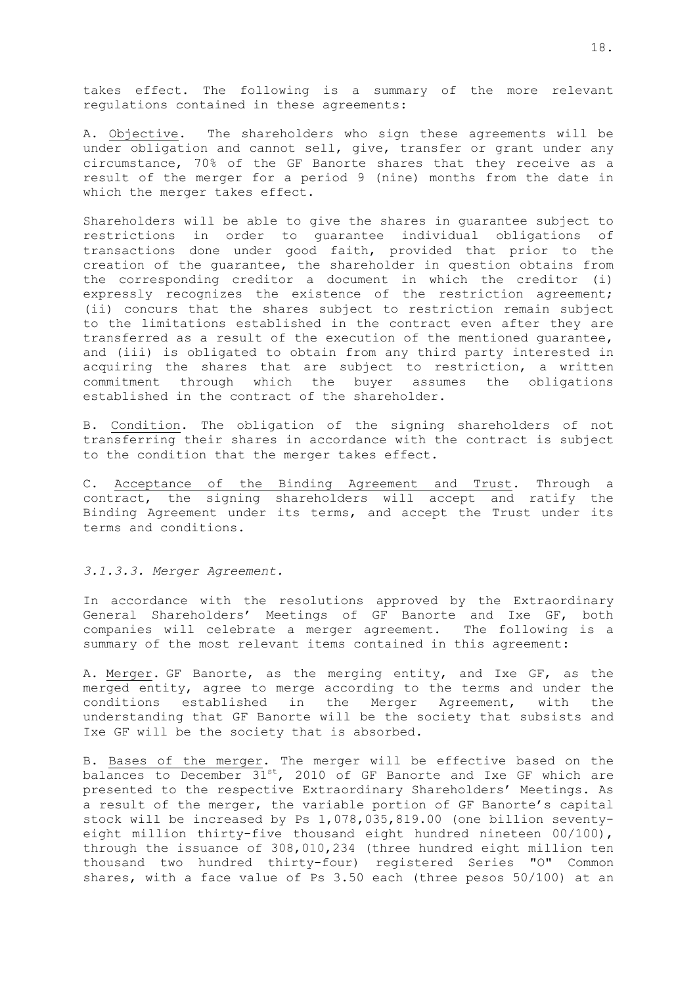takes effect. The following is a summary of the more relevant regulations contained in these agreements:

A. Objective. The shareholders who sign these agreements will be under obligation and cannot sell, give, transfer or grant under any circumstance, 70% of the GF Banorte shares that they receive as a result of the merger for a period 9 (nine) months from the date in which the merger takes effect.

Shareholders will be able to give the shares in guarantee subject to restrictions in order to guarantee individual obligations of transactions done under good faith, provided that prior to the creation of the guarantee, the shareholder in question obtains from the corresponding creditor a document in which the creditor (i) expressly recognizes the existence of the restriction agreement; (ii) concurs that the shares subject to restriction remain subject to the limitations established in the contract even after they are transferred as a result of the execution of the mentioned guarantee, and (iii) is obligated to obtain from any third party interested in acquiring the shares that are subject to restriction, a written commitment through which the buyer assumes the obligations established in the contract of the shareholder.

B. Condition. The obligation of the signing shareholders of not transferring their shares in accordance with the contract is subject to the condition that the merger takes effect.

C. Acceptance of the Binding Agreement and Trust. Through a contract, the signing shareholders will accept and ratify the Binding Agreement under its terms, and accept the Trust under its terms and conditions.

### *3.1.3.3. Merger Agreement.*

In accordance with the resolutions approved by the Extraordinary General Shareholders' Meetings of GF Banorte and Ixe GF, both companies will celebrate a merger agreement. The following is a summary of the most relevant items contained in this agreement:

A. Merger. GF Banorte, as the merging entity, and Ixe GF, as the merged entity, agree to merge according to the terms and under the conditions established in the Merger Agreement, with the understanding that GF Banorte will be the society that subsists and Ixe GF will be the society that is absorbed.

B. Bases of the merger. The merger will be effective based on the balances to December 31<sup>st</sup>, 2010 of GF Banorte and Ixe GF which are presented to the respective Extraordinary Shareholders' Meetings. As a result of the merger, the variable portion of GF Banorte's capital stock will be increased by Ps 1,078,035,819.00 (one billion seventyeight million thirty-five thousand eight hundred nineteen 00/100), through the issuance of 308,010,234 (three hundred eight million ten thousand two hundred thirty-four) registered Series "O" Common shares, with a face value of Ps 3.50 each (three pesos 50/100) at an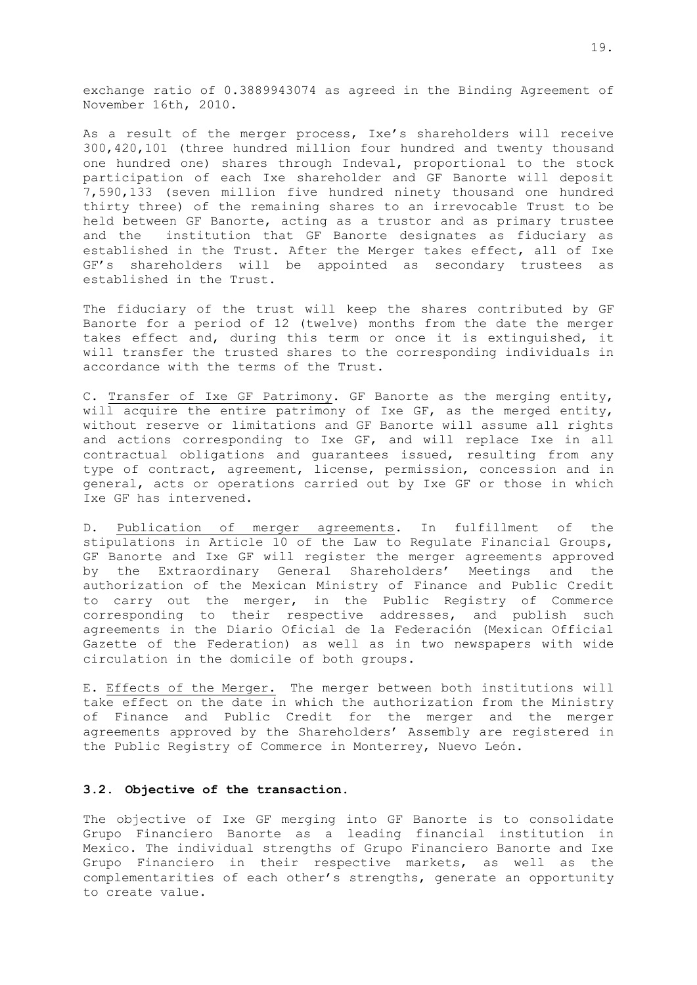exchange ratio of 0.3889943074 as agreed in the Binding Agreement of November 16th, 2010.

As a result of the merger process, Ixe's shareholders will receive 300,420,101 (three hundred million four hundred and twenty thousand one hundred one) shares through Indeval, proportional to the stock participation of each Ixe shareholder and GF Banorte will deposit 7,590,133 (seven million five hundred ninety thousand one hundred thirty three) of the remaining shares to an irrevocable Trust to be held between GF Banorte, acting as a trustor and as primary trustee and the institution that GF Banorte designates as fiduciary as established in the Trust. After the Merger takes effect, all of Ixe GF's shareholders will be appointed as secondary trustees as established in the Trust.

The fiduciary of the trust will keep the shares contributed by GF Banorte for a period of 12 (twelve) months from the date the merger takes effect and, during this term or once it is extinguished, it will transfer the trusted shares to the corresponding individuals in accordance with the terms of the Trust.

C. Transfer of Ixe GF Patrimony. GF Banorte as the merging entity, will acquire the entire patrimony of Ixe GF, as the merged entity, without reserve or limitations and GF Banorte will assume all rights and actions corresponding to Ixe GF, and will replace Ixe in all contractual obligations and guarantees issued, resulting from any type of contract, agreement, license, permission, concession and in general, acts or operations carried out by Ixe GF or those in which Ixe GF has intervened.

D. Publication of merger agreements. In fulfillment of the stipulations in Article 10 of the Law to Regulate Financial Groups, GF Banorte and Ixe GF will register the merger agreements approved by the Extraordinary General Shareholders' Meetings and the authorization of the Mexican Ministry of Finance and Public Credit to carry out the merger, in the Public Registry of Commerce corresponding to their respective addresses, and publish such agreements in the Diario Oficial de la Federación (Mexican Official Gazette of the Federation) as well as in two newspapers with wide circulation in the domicile of both groups.

E. Effects of the Merger. The merger between both institutions will take effect on the date in which the authorization from the Ministry of Finance and Public Credit for the merger and the merger agreements approved by the Shareholders' Assembly are registered in the Public Registry of Commerce in Monterrey, Nuevo León.

### <span id="page-21-0"></span>**3.2. Objective of the transaction.**

The objective of Ixe GF merging into GF Banorte is to consolidate Grupo Financiero Banorte as a leading financial institution in Mexico. The individual strengths of Grupo Financiero Banorte and Ixe Grupo Financiero in their respective markets, as well as the complementarities of each other's strengths, generate an opportunity to create value.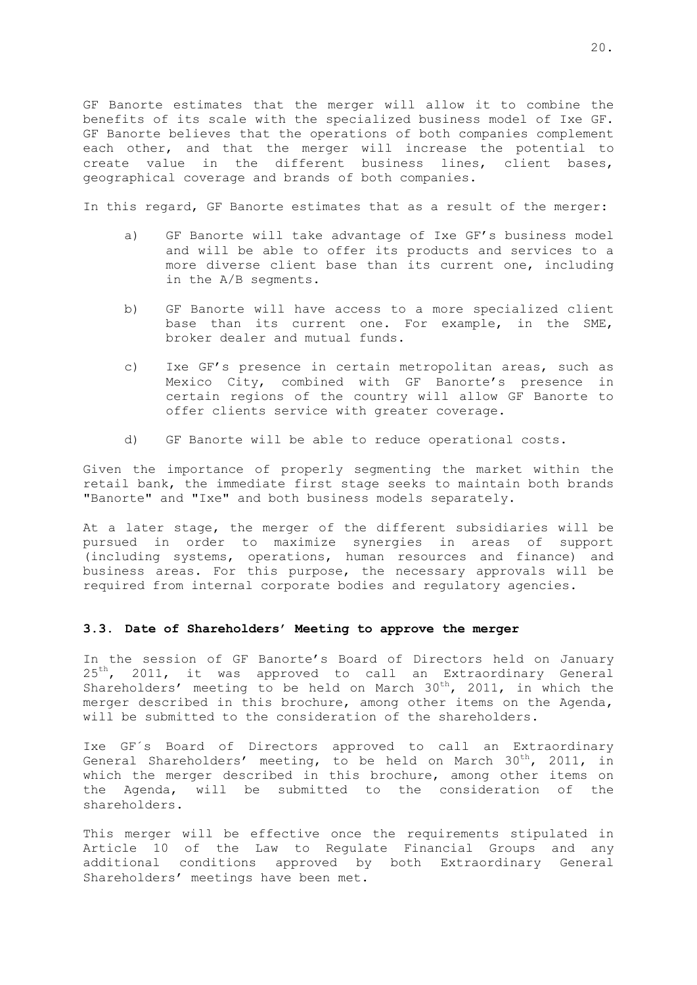GF Banorte estimates that the merger will allow it to combine the benefits of its scale with the specialized business model of Ixe GF. GF Banorte believes that the operations of both companies complement each other, and that the merger will increase the potential to create value in the different business lines, client bases, geographical coverage and brands of both companies.

In this regard, GF Banorte estimates that as a result of the merger:

- a) GF Banorte will take advantage of Ixe GF's business model and will be able to offer its products and services to a more diverse client base than its current one, including in the A/B segments.
- b) GF Banorte will have access to a more specialized client base than its current one. For example, in the SME, broker dealer and mutual funds.
- c) Ixe GF's presence in certain metropolitan areas, such as Mexico City, combined with GF Banorte's presence in certain regions of the country will allow GF Banorte to offer clients service with greater coverage.
- d) GF Banorte will be able to reduce operational costs.

Given the importance of properly segmenting the market within the retail bank, the immediate first stage seeks to maintain both brands "Banorte" and "Ixe" and both business models separately.

At a later stage, the merger of the different subsidiaries will be pursued in order to maximize synergies in areas of support (including systems, operations, human resources and finance) and business areas. For this purpose, the necessary approvals will be required from internal corporate bodies and regulatory agencies.

### **3.3. Date of Shareholders' Meeting to approve the merger**

In the session of GF Banorte's Board of Directors held on January  $25<sup>th</sup>$ , 2011, it was approved to call an Extraordinary General Shareholders' meeting to be held on March  $30<sup>th</sup>$ , 2011, in which the merger described in this brochure, among other items on the Agenda, will be submitted to the consideration of the shareholders.

Ixe GF´s Board of Directors approved to call an Extraordinary General Shareholders' meeting, to be held on March  $30^{\text{th}}$ , 2011, in which the merger described in this brochure, among other items on the Agenda, will be submitted to the consideration of the shareholders.

This merger will be effective once the requirements stipulated in Article 10 of the Law to Regulate Financial Groups and any additional conditions approved by both Extraordinary General Shareholders' meetings have been met.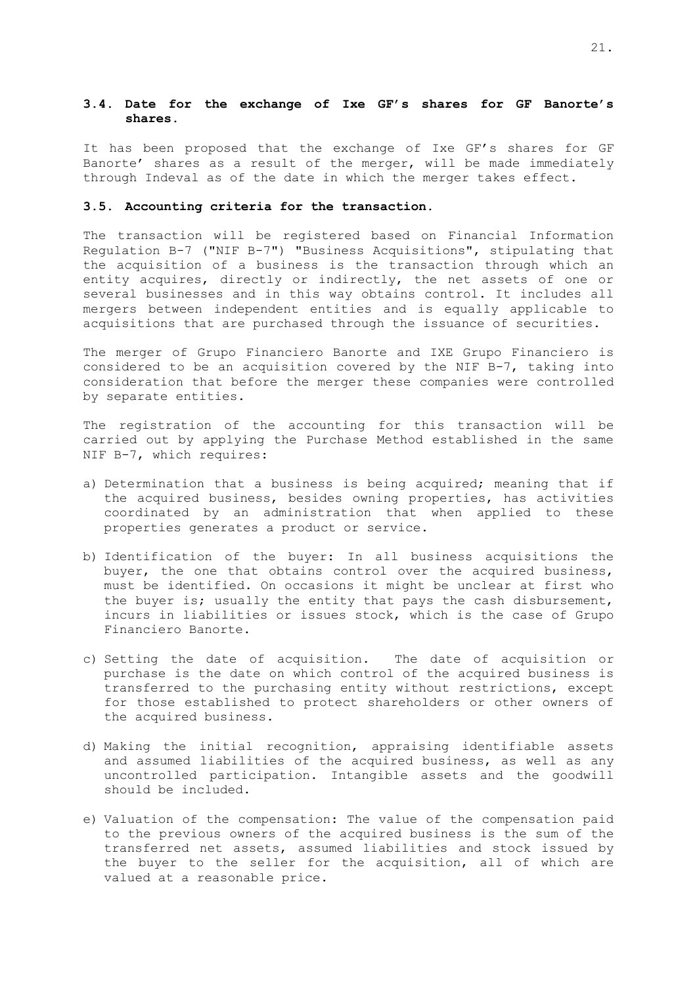## **3.4. Date for the exchange of Ixe GF's shares for GF Banorte's shares.**

It has been proposed that the exchange of Ixe GF's shares for GF Banorte' shares as a result of the merger, will be made immediately through Indeval as of the date in which the merger takes effect.

#### **3.5. Accounting criteria for the transaction.**

The transaction will be registered based on Financial Information Regulation B-7 ("NIF B-7") "Business Acquisitions", stipulating that the acquisition of a business is the transaction through which an entity acquires, directly or indirectly, the net assets of one or several businesses and in this way obtains control. It includes all mergers between independent entities and is equally applicable to acquisitions that are purchased through the issuance of securities.

The merger of Grupo Financiero Banorte and IXE Grupo Financiero is considered to be an acquisition covered by the NIF B-7, taking into consideration that before the merger these companies were controlled by separate entities.

The registration of the accounting for this transaction will be carried out by applying the Purchase Method established in the same NIF B-7, which requires:

- a) Determination that a business is being acquired; meaning that if the acquired business, besides owning properties, has activities coordinated by an administration that when applied to these properties generates a product or service.
- b) Identification of the buyer: In all business acquisitions the buyer, the one that obtains control over the acquired business, must be identified. On occasions it might be unclear at first who the buyer is; usually the entity that pays the cash disbursement, incurs in liabilities or issues stock, which is the case of Grupo Financiero Banorte.
- c) Setting the date of acquisition. The date of acquisition or purchase is the date on which control of the acquired business is transferred to the purchasing entity without restrictions, except for those established to protect shareholders or other owners of the acquired business.
- d) Making the initial recognition, appraising identifiable assets and assumed liabilities of the acquired business, as well as any uncontrolled participation. Intangible assets and the goodwill should be included.
- e) Valuation of the compensation: The value of the compensation paid to the previous owners of the acquired business is the sum of the transferred net assets, assumed liabilities and stock issued by the buyer to the seller for the acquisition, all of which are valued at a reasonable price.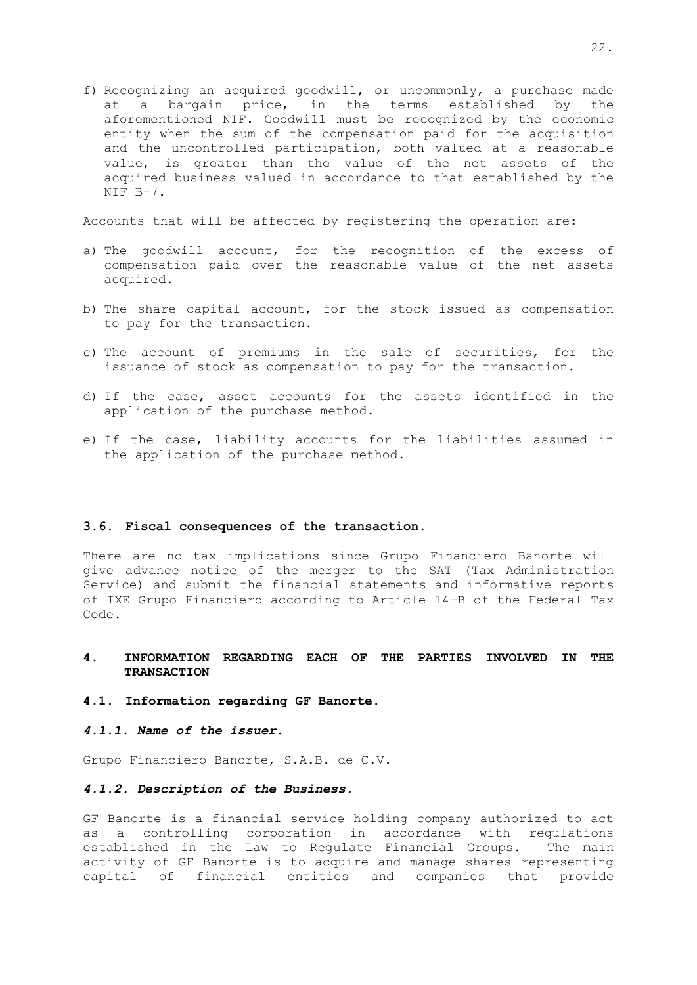f) Recognizing an acquired goodwill, or uncommonly, a purchase made at a bargain price, in the terms established by the aforementioned NIF. Goodwill must be recognized by the economic entity when the sum of the compensation paid for the acquisition and the uncontrolled participation, both valued at a reasonable value, is greater than the value of the net assets of the acquired business valued in accordance to that established by the NIF B-7.

Accounts that will be affected by registering the operation are:

- a) The goodwill account, for the recognition of the excess of compensation paid over the reasonable value of the net assets acquired.
- b) The share capital account, for the stock issued as compensation to pay for the transaction.
- c) The account of premiums in the sale of securities, for the issuance of stock as compensation to pay for the transaction.
- d) If the case, asset accounts for the assets identified in the application of the purchase method.
- e) If the case, liability accounts for the liabilities assumed in the application of the purchase method.

#### <span id="page-24-0"></span>**3.6. Fiscal consequences of the transaction.**

There are no tax implications since Grupo Financiero Banorte will give advance notice of the merger to the SAT (Tax Administration Service) and submit the financial statements and informative reports of IXE Grupo Financiero according to Article 14-B of the Federal Tax Code.

## <span id="page-24-1"></span>**4. INFORMATION REGARDING EACH OF THE PARTIES INVOLVED IN THE TRANSACTION**

#### <span id="page-24-2"></span>**4.1. Information regarding GF Banorte.**

*4.1.1. Name of the issuer.*

Grupo Financiero Banorte, S.A.B. de C.V.

### *4.1.2. Description of the Business.*

GF Banorte is a financial service holding company authorized to act as a controlling corporation in accordance with regulations established in the Law to Regulate Financial Groups. The main activity of GF Banorte is to acquire and manage shares representing capital of financial entities and companies that provide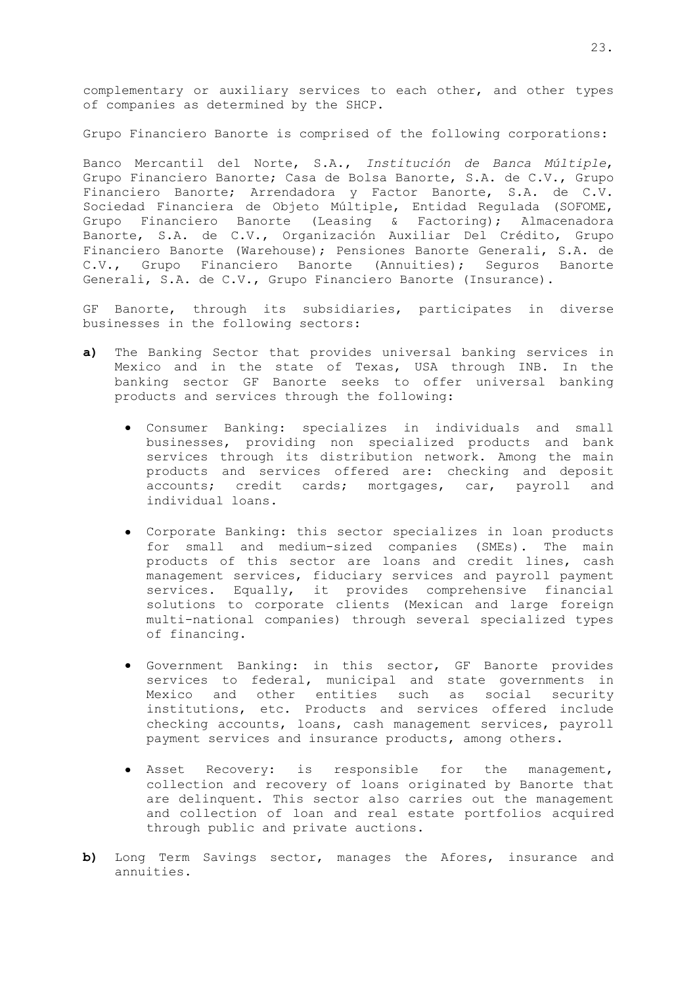complementary or auxiliary services to each other, and other types of companies as determined by the SHCP.

Grupo Financiero Banorte is comprised of the following corporations:

Banco Mercantil del Norte, S.A., *Institución de Banca Múltiple*, Grupo Financiero Banorte; Casa de Bolsa Banorte, S.A. de C.V., Grupo Financiero Banorte; Arrendadora y Factor Banorte, S.A. de C.V. Sociedad Financiera de Objeto Múltiple, Entidad Regulada (SOFOME, Grupo Financiero Banorte (Leasing & Factoring); Almacenadora Banorte, S.A. de C.V., Organización Auxiliar Del Crédito, Grupo Financiero Banorte (Warehouse); Pensiones Banorte Generali, S.A. de C.V., Grupo Financiero Banorte (Annuities); Seguros Banorte Generali, S.A. de C.V., Grupo Financiero Banorte (Insurance).

GF Banorte, through its subsidiaries, participates in diverse businesses in the following sectors:

- **a)** The Banking Sector that provides universal banking services in Mexico and in the state of Texas, USA through INB. In the banking sector GF Banorte seeks to offer universal banking products and services through the following:
	- Consumer Banking: specializes in individuals and small businesses, providing non specialized products and bank services through its distribution network. Among the main products and services offered are: checking and deposit accounts; credit cards; mortgages, car, payroll and individual loans.
	- Corporate Banking: this sector specializes in loan products for small and medium-sized companies (SMEs). The main products of this sector are loans and credit lines, cash management services, fiduciary services and payroll payment services. Equally, it provides comprehensive financial solutions to corporate clients (Mexican and large foreign multi-national companies) through several specialized types of financing.
	- Government Banking: in this sector, GF Banorte provides services to federal, municipal and state governments in Mexico and other entities such as social security institutions, etc. Products and services offered include checking accounts, loans, cash management services, payroll payment services and insurance products, among others.
	- Asset Recovery: is responsible for the management, collection and recovery of loans originated by Banorte that are delinquent. This sector also carries out the management and collection of loan and real estate portfolios acquired through public and private auctions.
- **b)** Long Term Savings sector, manages the Afores, insurance and annuities.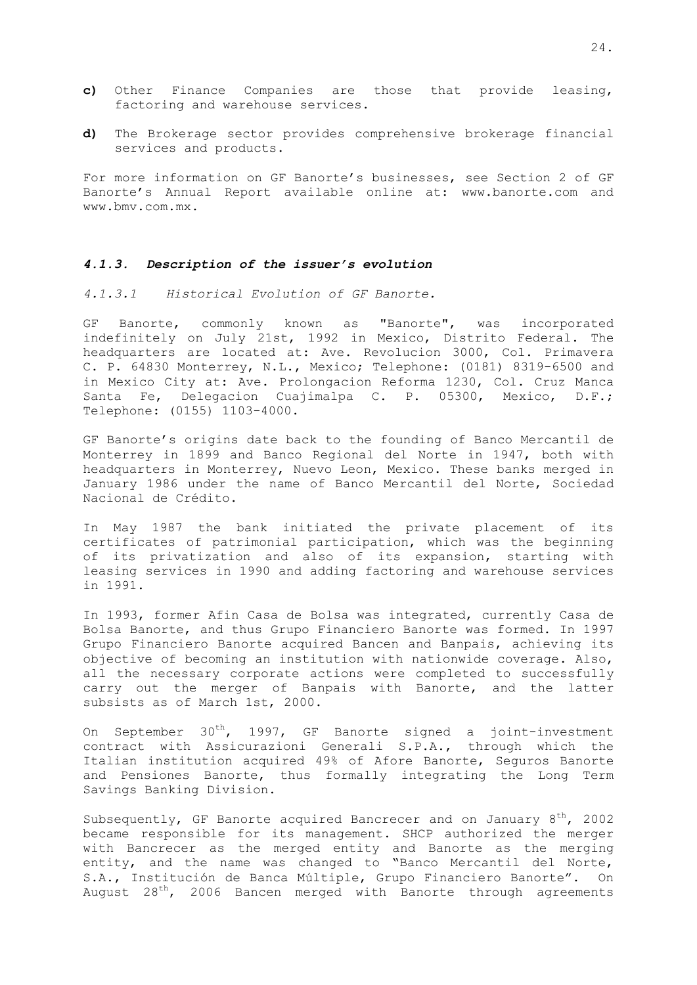- **c)** Other Finance Companies are those that provide leasing, factoring and warehouse services.
- **d)** The Brokerage sector provides comprehensive brokerage financial services and products.

For more information on GF Banorte's businesses, see Section 2 of GF Banorte's Annual Report available online at: www.banorte.com and www.bmv.com.mx.

### *4.1.3. Description of the issuer's evolution*

*4.1.3.1 Historical Evolution of GF Banorte.*

GF Banorte, commonly known as "Banorte", was incorporated indefinitely on July 21st, 1992 in Mexico, Distrito Federal. The headquarters are located at: Ave. Revolucion 3000, Col. Primavera C. P. 64830 Monterrey, N.L., Mexico; Telephone: (0181) 8319-6500 and in Mexico City at: Ave. Prolongacion Reforma 1230, Col. Cruz Manca Santa Fe, Delegacion Cuajimalpa C. P. 05300, Mexico, D.F.; Telephone: (0155) 1103-4000.

GF Banorte's origins date back to the founding of Banco Mercantil de Monterrey in 1899 and Banco Regional del Norte in 1947, both with headquarters in Monterrey, Nuevo Leon, Mexico. These banks merged in January 1986 under the name of Banco Mercantil del Norte, Sociedad Nacional de Crédito.

In May 1987 the bank initiated the private placement of its certificates of patrimonial participation, which was the beginning of its privatization and also of its expansion, starting with leasing services in 1990 and adding factoring and warehouse services in 1991.

In 1993, former Afin Casa de Bolsa was integrated, currently Casa de Bolsa Banorte, and thus Grupo Financiero Banorte was formed. In 1997 Grupo Financiero Banorte acquired Bancen and Banpais, achieving its objective of becoming an institution with nationwide coverage. Also, all the necessary corporate actions were completed to successfully carry out the merger of Banpais with Banorte, and the latter subsists as of March 1st, 2000.

On September 30<sup>th</sup>, 1997, GF Banorte signed a joint-investment contract with Assicurazioni Generali S.P.A., through which the Italian institution acquired 49% of Afore Banorte, Seguros Banorte and Pensiones Banorte, thus formally integrating the Long Term Savings Banking Division.

Subsequently, GF Banorte acquired Bancrecer and on January  $8<sup>th</sup>$ , 2002 became responsible for its management. SHCP authorized the merger with Bancrecer as the merged entity and Banorte as the merging entity, and the name was changed to "Banco Mercantil del Norte, S.A., Institución de Banca Múltiple, Grupo Financiero Banorte". On August  $28^{th}$ , 2006 Bancen merged with Banorte through agreements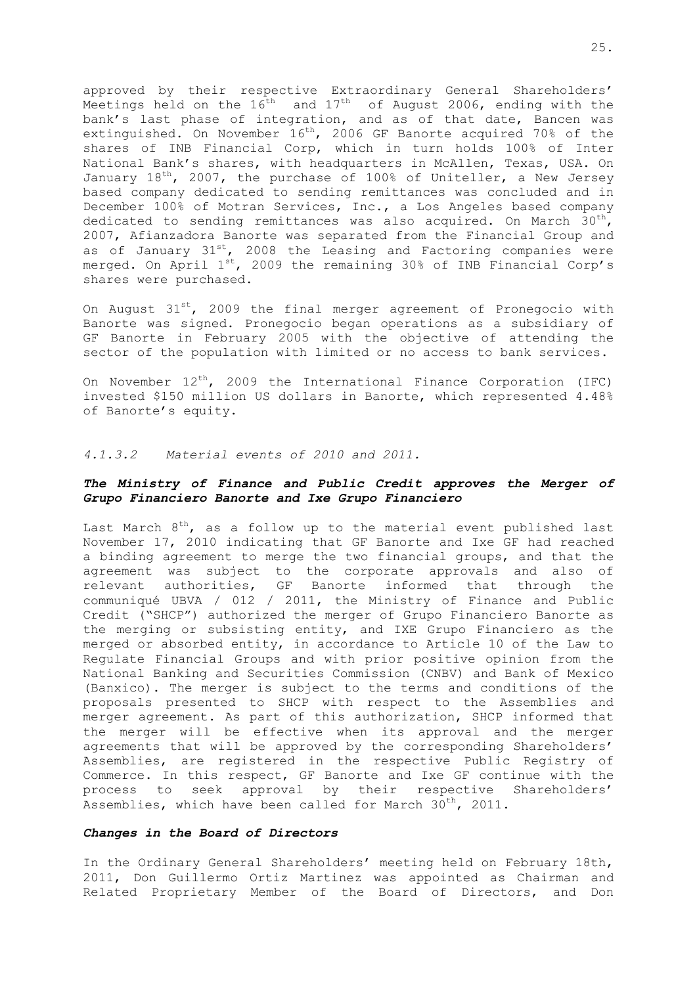approved by their respective Extraordinary General Shareholders' Meetings held on the  $16^{\text{th}}$  and  $17^{\text{th}}$  of August 2006, ending with the bank's last phase of integration, and as of that date, Bancen was extinguished. On November  $16<sup>th</sup>$ , 2006 GF Banorte acquired 70% of the shares of INB Financial Corp, which in turn holds 100% of Inter National Bank's shares, with headquarters in McAllen, Texas, USA. On January  $18^{th}$ , 2007, the purchase of 100% of Uniteller, a New Jersey based company dedicated to sending remittances was concluded and in December 100% of Motran Services, Inc., a Los Angeles based company dedicated to sending remittances was also acquired. On March 30<sup>th</sup>, 2007, Afianzadora Banorte was separated from the Financial Group and as of January  $31^{st}$ , 2008 the Leasing and Factoring companies were merged. On April 1<sup>st</sup>, 2009 the remaining 30% of INB Financial Corp's shares were purchased.

On August  $31^{st}$ , 2009 the final merger agreement of Pronegocio with Banorte was signed. Pronegocio began operations as a subsidiary of GF Banorte in February 2005 with the objective of attending the sector of the population with limited or no access to bank services.

On November  $12^{th}$ , 2009 the International Finance Corporation (IFC) invested \$150 million US dollars in Banorte, which represented 4.48% of Banorte's equity.

## *4.1.3.2 Material events of 2010 and 2011.*

## *The Ministry of Finance and Public Credit approves the Merger of Grupo Financiero Banorte and Ixe Grupo Financiero*

Last March  $8^{\text{th}}$ , as a follow up to the material event published last November 17, 2010 indicating that GF Banorte and Ixe GF had reached a binding agreement to merge the two financial groups, and that the agreement was subject to the corporate approvals and also of relevant authorities, GF Banorte informed that through the communiqué UBVA / 012 / 2011, the Ministry of Finance and Public Credit ("SHCP") authorized the merger of Grupo Financiero Banorte as the merging or subsisting entity, and IXE Grupo Financiero as the merged or absorbed entity, in accordance to Article 10 of the Law to Regulate Financial Groups and with prior positive opinion from the National Banking and Securities Commission (CNBV) and Bank of Mexico (Banxico). The merger is subject to the terms and conditions of the proposals presented to SHCP with respect to the Assemblies and merger agreement. As part of this authorization, SHCP informed that the merger will be effective when its approval and the merger agreements that will be approved by the corresponding Shareholders' Assemblies, are registered in the respective Public Registry of Commerce. In this respect, GF Banorte and Ixe GF continue with the process to seek approval by their respective Shareholders' Assemblies, which have been called for March  $30^{th}$ , 2011.

### *Changes in the Board of Directors*

In the Ordinary General Shareholders' meeting held on February 18th, 2011, Don Guillermo Ortiz Martinez was appointed as Chairman and Related Proprietary Member of the Board of Directors, and Don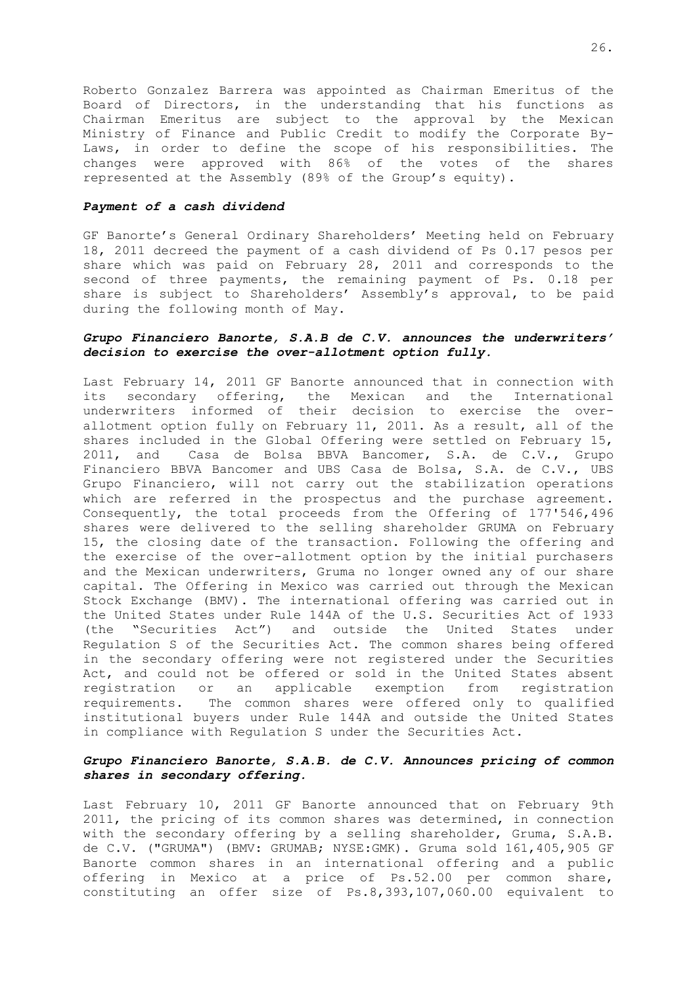Roberto Gonzalez Barrera was appointed as Chairman Emeritus of the Board of Directors, in the understanding that his functions as Chairman Emeritus are subject to the approval by the Mexican Ministry of Finance and Public Credit to modify the Corporate By-Laws, in order to define the scope of his responsibilities. The changes were approved with 86% of the votes of the shares represented at the Assembly (89% of the Group's equity).

#### *Payment of a cash dividend*

GF Banorte's General Ordinary Shareholders' Meeting held on February 18, 2011 decreed the payment of a cash dividend of Ps 0.17 pesos per share which was paid on February 28, 2011 and corresponds to the second of three payments, the remaining payment of Ps. 0.18 per share is subject to Shareholders' Assembly's approval, to be paid during the following month of May.

### *Grupo Financiero Banorte, S.A.B de C.V. announces the underwriters' decision to exercise the over-allotment option fully.*

Last February 14, 2011 GF Banorte announced that in connection with its secondary offering, the Mexican and the International underwriters informed of their decision to exercise the overallotment option fully on February 11, 2011. As a result, all of the shares included in the Global Offering were settled on February 15, 2011, and Casa de Bolsa BBVA Bancomer, S.A. de C.V., Grupo Financiero BBVA Bancomer and UBS Casa de Bolsa, S.A. de C.V., UBS Grupo Financiero, will not carry out the stabilization operations which are referred in the prospectus and the purchase agreement. Consequently, the total proceeds from the Offering of 177'546,496 shares were delivered to the selling shareholder GRUMA on February 15, the closing date of the transaction. Following the offering and the exercise of the over-allotment option by the initial purchasers and the Mexican underwriters, Gruma no longer owned any of our share capital. The Offering in Mexico was carried out through the Mexican Stock Exchange (BMV). The international offering was carried out in the United States under Rule 144A of the U.S. Securities Act of 1933 (the "Securities Act") and outside the United States under Regulation S of the Securities Act. The common shares being offered in the secondary offering were not registered under the Securities Act, and could not be offered or sold in the United States absent registration or an applicable exemption from registration requirements. The common shares were offered only to qualified institutional buyers under Rule 144A and outside the United States in compliance with Regulation S under the Securities Act.

## *Grupo Financiero Banorte, S.A.B. de C.V. Announces pricing of common shares in secondary offering.*

Last February 10, 2011 GF Banorte announced that on February 9th 2011, the pricing of its common shares was determined, in connection with the secondary offering by a selling shareholder, Gruma, S.A.B. de C.V. ("GRUMA") (BMV: GRUMAB; NYSE:GMK). Gruma sold 161,405,905 GF Banorte common shares in an international offering and a public offering in Mexico at a price of Ps.52.00 per common share, constituting an offer size of Ps.8,393,107,060.00 equivalent to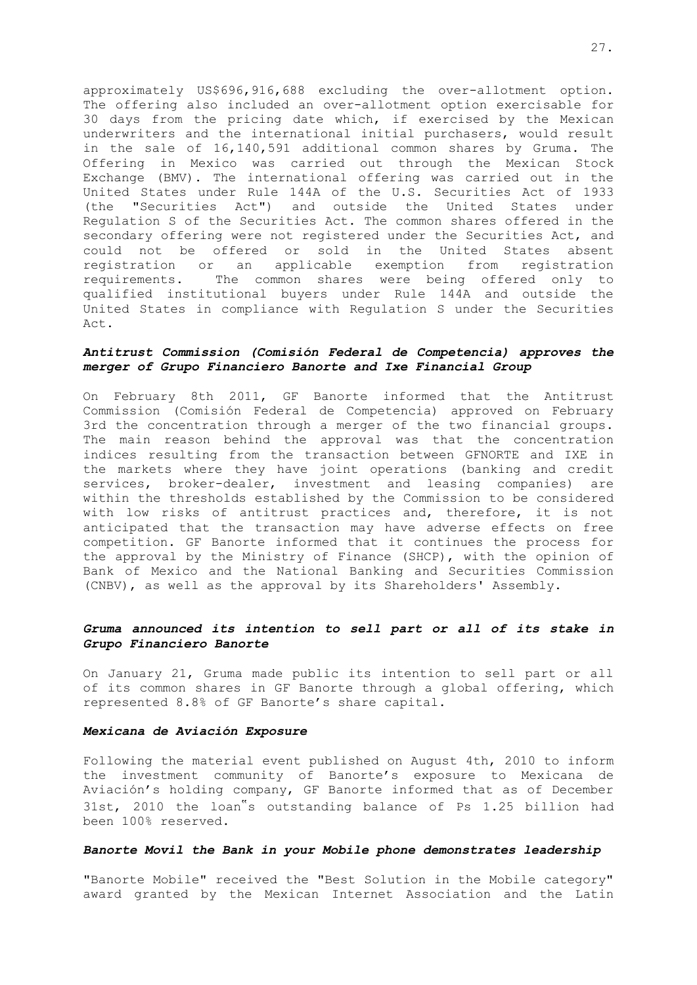approximately US\$696,916,688 excluding the over-allotment option. The offering also included an over-allotment option exercisable for 30 days from the pricing date which, if exercised by the Mexican underwriters and the international initial purchasers, would result in the sale of 16,140,591 additional common shares by Gruma. The Offering in Mexico was carried out through the Mexican Stock Exchange (BMV). The international offering was carried out in the United States under Rule 144A of the U.S. Securities Act of 1933 (the "Securities Act") and outside the United States under Regulation S of the Securities Act. The common shares offered in the secondary offering were not registered under the Securities Act, and could not be offered or sold in the United States absent registration or an applicable exemption from registration requirements. The common shares were being offered only to qualified institutional buyers under Rule 144A and outside the United States in compliance with Regulation S under the Securities Act.

## *Antitrust Commission (Comisión Federal de Competencia) approves the merger of Grupo Financiero Banorte and Ixe Financial Group*

On February 8th 2011, GF Banorte informed that the Antitrust Commission (Comisión Federal de Competencia) approved on February 3rd the concentration through a merger of the two financial groups. The main reason behind the approval was that the concentration indices resulting from the transaction between GFNORTE and IXE in the markets where they have joint operations (banking and credit services, broker-dealer, investment and leasing companies) are within the thresholds established by the Commission to be considered with low risks of antitrust practices and, therefore, it is not anticipated that the transaction may have adverse effects on free competition. GF Banorte informed that it continues the process for the approval by the Ministry of Finance (SHCP), with the opinion of Bank of Mexico and the National Banking and Securities Commission (CNBV), as well as the approval by its Shareholders' Assembly.

### *Gruma announced its intention to sell part or all of its stake in Grupo Financiero Banorte*

On January 21, Gruma made public its intention to sell part or all of its common shares in GF Banorte through a global offering, which represented 8.8% of GF Banorte's share capital.

#### *Mexicana de Aviación Exposure*

Following the material event published on August 4th, 2010 to inform the investment community of Banorte's exposure to Mexicana de Aviación's holding company, GF Banorte informed that as of December 31st, 2010 the loan"s outstanding balance of Ps 1.25 billion had been 100% reserved.

## *Banorte Movil the Bank in your Mobile phone demonstrates leadership*

"Banorte Mobile" received the "Best Solution in the Mobile category" award granted by the Mexican Internet Association and the Latin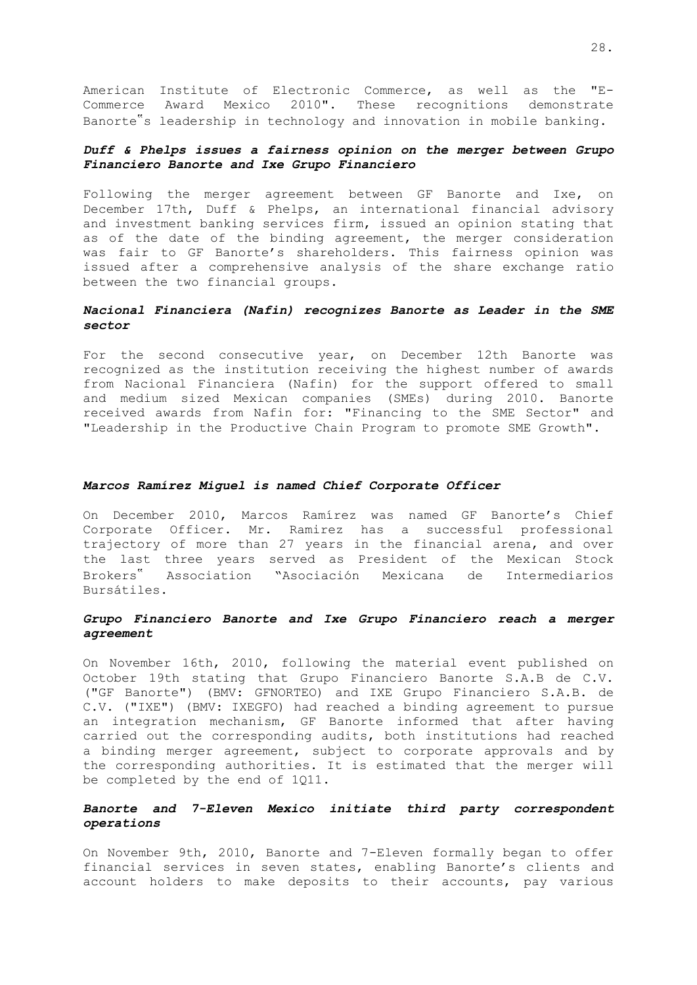American Institute of Electronic Commerce, as well as the "E-Commerce Award Mexico 2010". These recognitions demonstrate Banorte"s leadership in technology and innovation in mobile banking.

## *Duff & Phelps issues a fairness opinion on the merger between Grupo Financiero Banorte and Ixe Grupo Financiero*

Following the merger agreement between GF Banorte and Ixe, on December 17th, Duff & Phelps, an international financial advisory and investment banking services firm, issued an opinion stating that as of the date of the binding agreement, the merger consideration was fair to GF Banorte's shareholders. This fairness opinion was issued after a comprehensive analysis of the share exchange ratio between the two financial groups.

## *Nacional Financiera (Nafin) recognizes Banorte as Leader in the SME sector*

For the second consecutive year, on December 12th Banorte was recognized as the institution receiving the highest number of awards from Nacional Financiera (Nafin) for the support offered to small and medium sized Mexican companies (SMEs) during 2010. Banorte received awards from Nafin for: "Financing to the SME Sector" and "Leadership in the Productive Chain Program to promote SME Growth".

#### *Marcos Ramírez Miguel is named Chief Corporate Officer*

On December 2010, Marcos Ramírez was named GF Banorte's Chief Corporate Officer. Mr. Ramirez has a successful professional trajectory of more than 27 years in the financial arena, and over the last three years served as President of the Mexican Stock Brokers" Association "Asociación Mexicana de Intermediarios Bursátiles.

## *Grupo Financiero Banorte and Ixe Grupo Financiero reach a merger agreement*

On November 16th, 2010, following the material event published on October 19th stating that Grupo Financiero Banorte S.A.B de C.V. ("GF Banorte") (BMV: GFNORTEO) and IXE Grupo Financiero S.A.B. de C.V. ("IXE") (BMV: IXEGFO) had reached a binding agreement to pursue an integration mechanism, GF Banorte informed that after having carried out the corresponding audits, both institutions had reached a binding merger agreement, subject to corporate approvals and by the corresponding authorities. It is estimated that the merger will be completed by the end of 1Q11.

## *Banorte and 7-Eleven Mexico initiate third party correspondent operations*

On November 9th, 2010, Banorte and 7-Eleven formally began to offer financial services in seven states, enabling Banorte's clients and account holders to make deposits to their accounts, pay various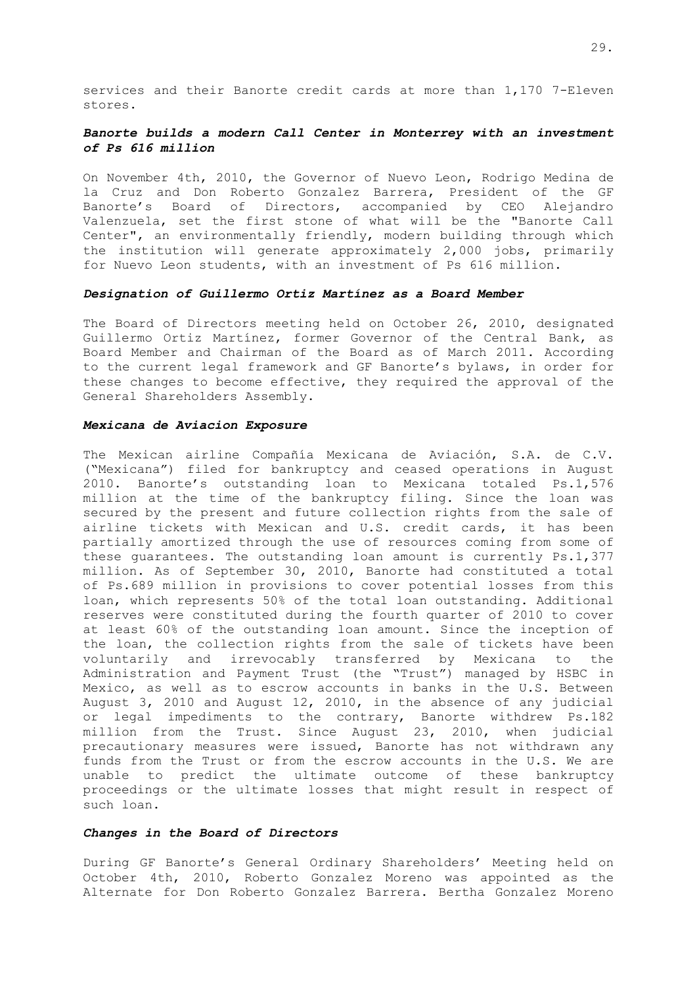services and their Banorte credit cards at more than 1,170 7-Eleven stores.

## *Banorte builds a modern Call Center in Monterrey with an investment of Ps 616 million*

On November 4th, 2010, the Governor of Nuevo Leon, Rodrigo Medina de la Cruz and Don Roberto Gonzalez Barrera, President of the GF Banorte's Board of Directors, accompanied by CEO Alejandro Valenzuela, set the first stone of what will be the "Banorte Call Center", an environmentally friendly, modern building through which the institution will generate approximately 2,000 jobs, primarily for Nuevo Leon students, with an investment of Ps 616 million.

#### *Designation of Guillermo Ortiz Martínez as a Board Member*

The Board of Directors meeting held on October 26, 2010, designated Guillermo Ortiz Martínez, former Governor of the Central Bank, as Board Member and Chairman of the Board as of March 2011. According to the current legal framework and GF Banorte's bylaws, in order for these changes to become effective, they required the approval of the General Shareholders Assembly.

#### *Mexicana de Aviacion Exposure*

The Mexican airline Compañía Mexicana de Aviación, S.A. de C.V. ("Mexicana") filed for bankruptcy and ceased operations in August 2010. Banorte's outstanding loan to Mexicana totaled Ps.1,576 million at the time of the bankruptcy filing. Since the loan was secured by the present and future collection rights from the sale of airline tickets with Mexican and U.S. credit cards, it has been partially amortized through the use of resources coming from some of these guarantees. The outstanding loan amount is currently Ps.1,377 million. As of September 30, 2010, Banorte had constituted a total of Ps.689 million in provisions to cover potential losses from this loan, which represents 50% of the total loan outstanding. Additional reserves were constituted during the fourth quarter of 2010 to cover at least 60% of the outstanding loan amount. Since the inception of the loan, the collection rights from the sale of tickets have been voluntarily and irrevocably transferred by Mexicana to the Administration and Payment Trust (the "Trust") managed by HSBC in Mexico, as well as to escrow accounts in banks in the U.S. Between August 3, 2010 and August 12, 2010, in the absence of any judicial or legal impediments to the contrary, Banorte withdrew Ps.182 million from the Trust. Since August 23, 2010, when judicial precautionary measures were issued, Banorte has not withdrawn any funds from the Trust or from the escrow accounts in the U.S. We are unable to predict the ultimate outcome of these bankruptcy proceedings or the ultimate losses that might result in respect of such loan.

### *Changes in the Board of Directors*

During GF Banorte's General Ordinary Shareholders' Meeting held on October 4th, 2010, Roberto Gonzalez Moreno was appointed as the Alternate for Don Roberto Gonzalez Barrera. Bertha Gonzalez Moreno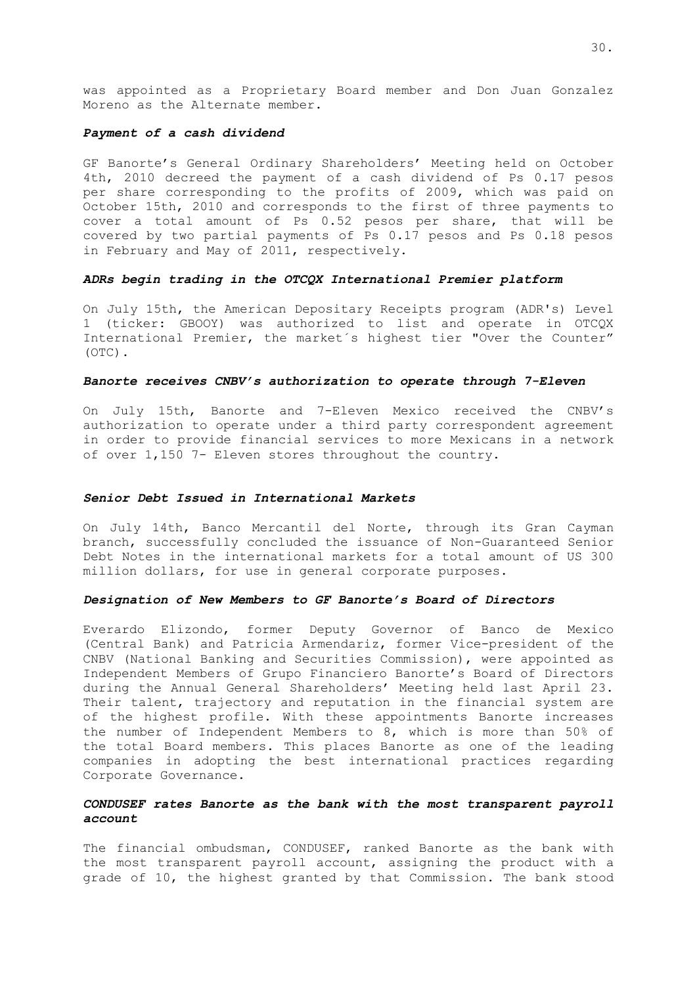was appointed as a Proprietary Board member and Don Juan Gonzalez Moreno as the Alternate member.

### *Payment of a cash dividend*

GF Banorte's General Ordinary Shareholders' Meeting held on October 4th, 2010 decreed the payment of a cash dividend of Ps 0.17 pesos per share corresponding to the profits of 2009, which was paid on October 15th, 2010 and corresponds to the first of three payments to cover a total amount of Ps 0.52 pesos per share, that will be covered by two partial payments of Ps 0.17 pesos and Ps 0.18 pesos in February and May of 2011, respectively.

### *ADRs begin trading in the OTCQX International Premier platform*

On July 15th, the American Depositary Receipts program (ADR's) Level 1 (ticker: GBOOY) was authorized to list and operate in OTCQX International Premier, the market´s highest tier "Over the Counter" (OTC).

### *Banorte receives CNBV's authorization to operate through 7-Eleven*

On July 15th, Banorte and 7-Eleven Mexico received the CNBV's authorization to operate under a third party correspondent agreement in order to provide financial services to more Mexicans in a network of over 1,150 7- Eleven stores throughout the country.

### *Senior Debt Issued in International Markets*

On July 14th, Banco Mercantil del Norte, through its Gran Cayman branch, successfully concluded the issuance of Non-Guaranteed Senior Debt Notes in the international markets for a total amount of US 300 million dollars, for use in general corporate purposes.

#### *Designation of New Members to GF Banorte's Board of Directors*

Everardo Elizondo, former Deputy Governor of Banco de Mexico (Central Bank) and Patricia Armendariz, former Vice-president of the CNBV (National Banking and Securities Commission), were appointed as Independent Members of Grupo Financiero Banorte's Board of Directors during the Annual General Shareholders' Meeting held last April 23. Their talent, trajectory and reputation in the financial system are of the highest profile. With these appointments Banorte increases the number of Independent Members to 8, which is more than 50% of the total Board members. This places Banorte as one of the leading companies in adopting the best international practices regarding Corporate Governance.

## *CONDUSEF rates Banorte as the bank with the most transparent payroll account*

The financial ombudsman, CONDUSEF, ranked Banorte as the bank with the most transparent payroll account, assigning the product with a grade of 10, the highest granted by that Commission. The bank stood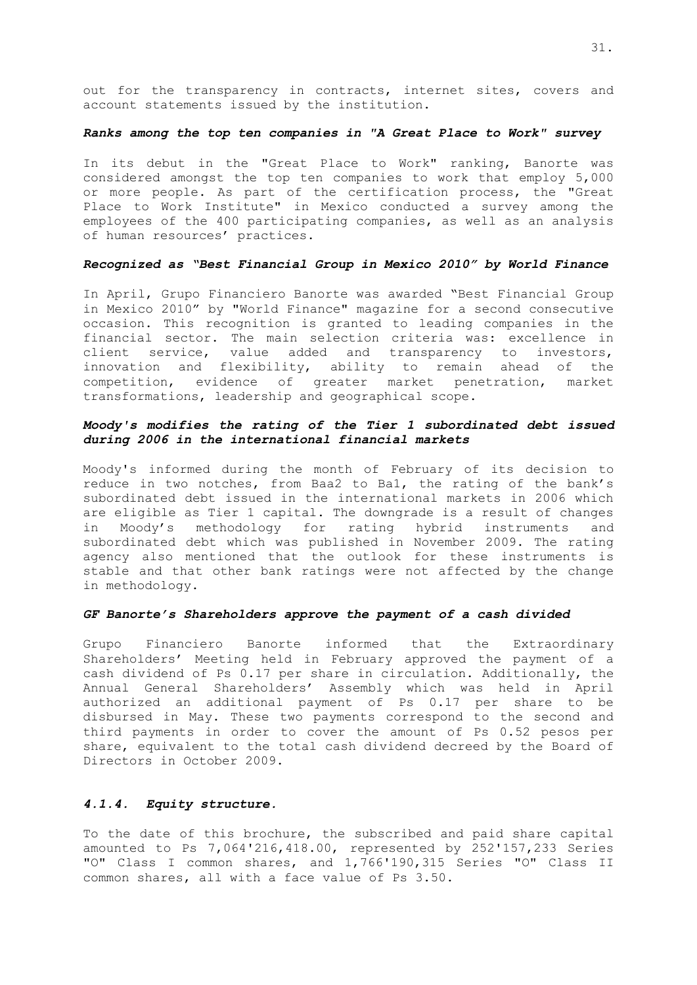out for the transparency in contracts, internet sites, covers and account statements issued by the institution.

### *Ranks among the top ten companies in "A Great Place to Work" survey*

In its debut in the "Great Place to Work" ranking, Banorte was considered amongst the top ten companies to work that employ 5,000 or more people. As part of the certification process, the "Great Place to Work Institute" in Mexico conducted a survey among the employees of the 400 participating companies, as well as an analysis of human resources' practices.

### *Recognized as "Best Financial Group in Mexico 2010" by World Finance*

In April, Grupo Financiero Banorte was awarded "Best Financial Group in Mexico 2010" by "World Finance" magazine for a second consecutive occasion. This recognition is granted to leading companies in the financial sector. The main selection criteria was: excellence in client service, value added and transparency to investors, innovation and flexibility, ability to remain ahead of the competition, evidence of greater market penetration, market transformations, leadership and geographical scope.

## *Moody's modifies the rating of the Tier 1 subordinated debt issued during 2006 in the international financial markets*

Moody's informed during the month of February of its decision to reduce in two notches, from Baa2 to Ba1, the rating of the bank's subordinated debt issued in the international markets in 2006 which are eligible as Tier 1 capital. The downgrade is a result of changes in Moody's methodology for rating hybrid instruments and subordinated debt which was published in November 2009. The rating agency also mentioned that the outlook for these instruments is stable and that other bank ratings were not affected by the change in methodology.

#### *GF Banorte's Shareholders approve the payment of a cash divided*

Grupo Financiero Banorte informed that the Extraordinary Shareholders' Meeting held in February approved the payment of a cash dividend of Ps 0.17 per share in circulation. Additionally, the Annual General Shareholders' Assembly which was held in April authorized an additional payment of Ps 0.17 per share to be disbursed in May. These two payments correspond to the second and third payments in order to cover the amount of Ps 0.52 pesos per share, equivalent to the total cash dividend decreed by the Board of Directors in October 2009.

### *4.1.4. Equity structure.*

To the date of this brochure, the subscribed and paid share capital amounted to Ps 7,064'216,418.00, represented by 252'157,233 Series "O" Class I common shares, and 1,766'190,315 Series "O" Class II common shares, all with a face value of Ps 3.50.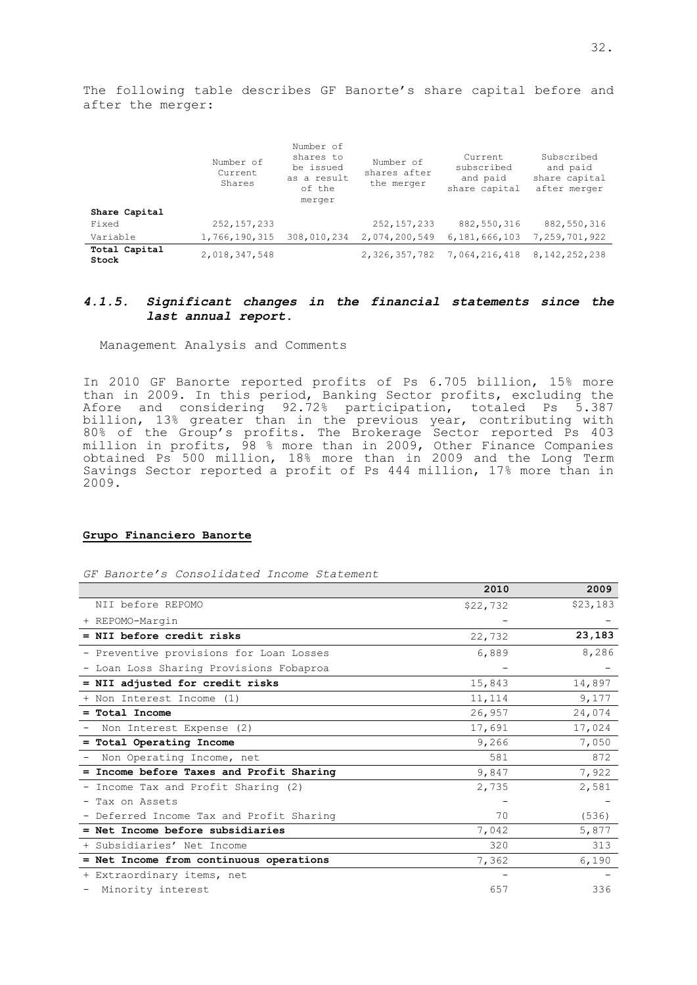The following table describes GF Banorte's share capital before and after the merger:

|                        | Number of<br>Current<br>Shares | Number of<br>shares to<br>be issued<br>as a result<br>of the<br>merger | Number of<br>shares after<br>the merger | Current.<br>subscribed<br>and paid<br>share capital | Subscribed<br>and paid<br>share capital<br>after merger |
|------------------------|--------------------------------|------------------------------------------------------------------------|-----------------------------------------|-----------------------------------------------------|---------------------------------------------------------|
| Share Capital          |                                |                                                                        |                                         |                                                     |                                                         |
| Fixed                  | 252, 157, 233                  |                                                                        | 252, 157, 233                           | 882,550,316                                         | 882,550,316                                             |
| Variable               | 1,766,190,315                  | 308,010,234                                                            | 2,074,200,549                           | 6,181,666,103                                       | 7,259,701,922                                           |
| Total Capital<br>Stock | 2,018,347,548                  |                                                                        | 2,326,357,782                           | 7,064,216,418                                       | 8, 142, 252, 238                                        |

## *4.1.5. Significant changes in the financial statements since the last annual report.*

Management Analysis and Comments

In 2010 GF Banorte reported profits of Ps 6.705 billion, 15% more than in 2009. In this period, Banking Sector profits, excluding the Afore and considering 92.72% participation, totaled Ps 5.387 billion, 13% greater than in the previous year, contributing with 80% of the Group's profits. The Brokerage Sector reported Ps 403 million in profits, 98 % more than in 2009, Other Finance Companies obtained Ps 500 million, 18% more than in 2009 and the Long Term Savings Sector reported a profit of Ps 444 million, 17% more than in 2009.

### **Grupo Financiero Banorte**

*GF Banorte's Consolidated Income Statement* 

|                                          | 2010     | 2009     |
|------------------------------------------|----------|----------|
| NII before REPOMO                        | \$22,732 | \$23,183 |
| + REPOMO-Margin                          |          |          |
| = NII before credit risks                | 22,732   | 23,183   |
| - Preventive provisions for Loan Losses  | 6,889    | 8,286    |
| - Loan Loss Sharing Provisions Fobaproa  |          |          |
| = NII adjusted for credit risks          | 15,843   | 14,897   |
| + Non Interest Income (1)                | 11,114   | 9,177    |
| $=$ Total Income                         | 26,957   | 24,074   |
| Non Interest Expense (2)                 | 17,691   | 17,024   |
| = Total Operating Income                 | 9,266    | 7,050    |
| Non Operating Income, net                | 581      | 872      |
| = Income before Taxes and Profit Sharing | 9,847    | 7,922    |
| - Income Tax and Profit Sharing (2)      | 2,735    | 2,581    |
| - Tax on Assets                          |          |          |
| - Deferred Income Tax and Profit Sharing | 70       | (536)    |
| = Net Income before subsidiaries         | 7,042    | 5,877    |
| + Subsidiaries' Net Income               | 320      | 313      |
| = Net Income from continuous operations  | 7,362    | 6,190    |
| + Extraordinary items, net               |          |          |
| Minority interest                        | 657      | 336      |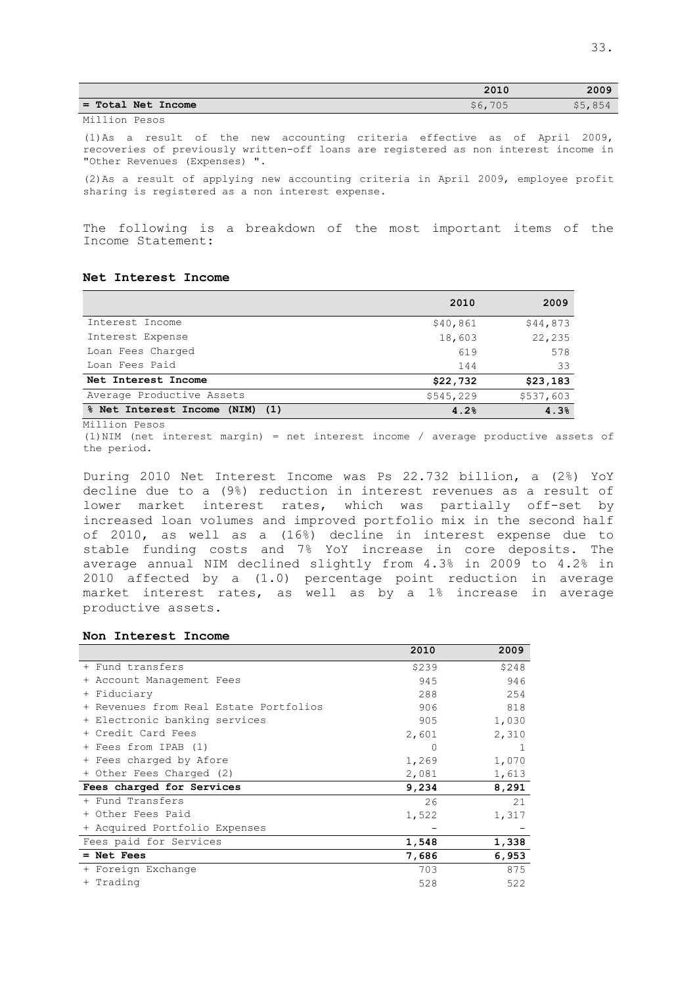|               |                    | 2010    | 2009    |
|---------------|--------------------|---------|---------|
|               | = Total Net Income | \$6,705 | \$5,854 |
| Million Pesos |                    |         |         |

(1)As a result of the new accounting criteria effective as of April 2009, recoveries of previously written-off loans are registered as non interest income in "Other Revenues (Expenses) ".

(2)As a result of applying new accounting criteria in April 2009, employee profit sharing is registered as a non interest expense.

The following is a breakdown of the most important items of the Income Statement:

## **Net Interest Income**

|                                        | 2010      | 2009      |
|----------------------------------------|-----------|-----------|
| Interest Income                        | \$40,861  | \$44,873  |
| Interest Expense                       | 18,603    | 22,235    |
| Loan Fees Charged                      | 619       | 578       |
| Loan Fees Paid                         | 144       | 33        |
| Net Interest Income                    | \$22,732  | \$23,183  |
| Average Productive Assets              | \$545,229 | \$537,603 |
| % Net Interest Income<br>$(NIM)$ $(1)$ | 4.2%      | 4.3%      |

Million Pesos

(1)NIM (net interest margin) = net interest income / average productive assets of the period.

During 2010 Net Interest Income was Ps 22.732 billion, a (2%) YoY decline due to a (9%) reduction in interest revenues as a result of lower market interest rates, which was partially off-set by increased loan volumes and improved portfolio mix in the second half of 2010, as well as a (16%) decline in interest expense due to stable funding costs and 7% YoY increase in core deposits. The average annual NIM declined slightly from 4.3% in 2009 to 4.2% in 2010 affected by a (1.0) percentage point reduction in average market interest rates, as well as by a 1% increase in average productive assets.

#### **Non Interest Income**

|                                        | 2010  | 2009  |
|----------------------------------------|-------|-------|
| + Fund transfers                       | \$239 | \$248 |
| + Account Management Fees              | 945   | 946   |
| + Fiduciary                            | 288   | 254   |
| + Revenues from Real Estate Portfolios | 906   | 818   |
| + Electronic banking services          | 905   | 1,030 |
| + Credit Card Fees                     | 2,601 | 2,310 |
| + Fees from IPAB (1)                   | 0     |       |
| + Fees charged by Afore                | 1,269 | 1,070 |
| + Other Fees Charged (2)               | 2,081 | 1,613 |
| Fees charged for Services              | 9,234 | 8,291 |
| + Fund Transfers                       | 26    | 21    |
| + Other Fees Paid                      | 1,522 | 1,317 |
| + Acquired Portfolio Expenses          |       |       |
| Fees paid for Services                 | 1,548 | 1,338 |
| $=$ Net Fees                           | 7,686 | 6,953 |
| + Foreign Exchange                     | 703   | 875   |
| + Trading                              | 528   | 522   |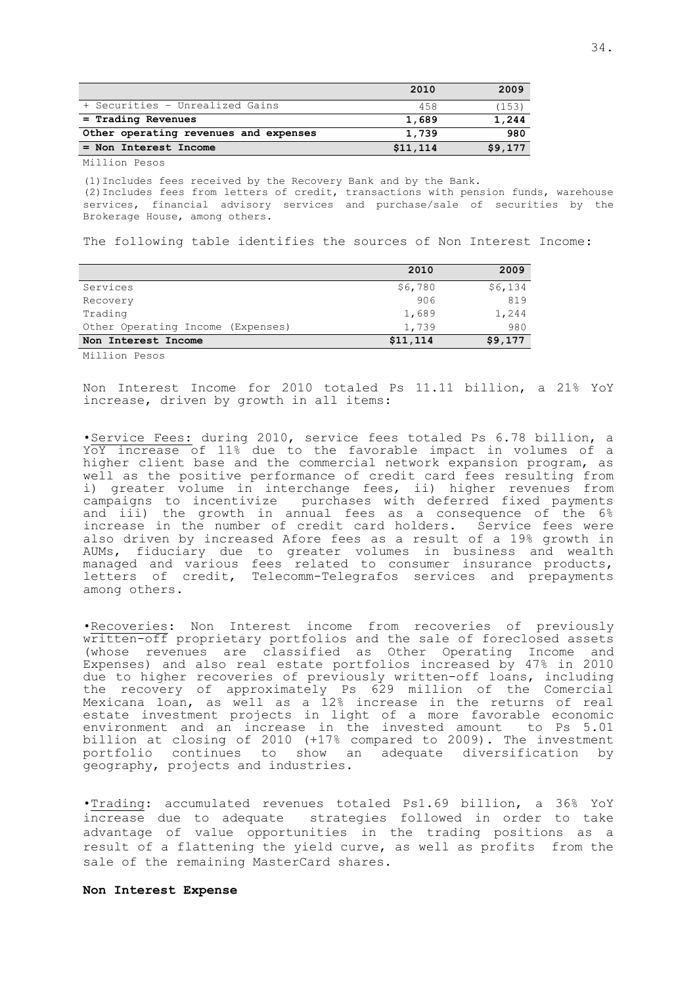|                                       | 2010     | 2009    |
|---------------------------------------|----------|---------|
| + Securities - Unrealized Gains       | 458      | (153)   |
| $=$ Trading Revenues                  | 1,689    | 1,244   |
| Other operating revenues and expenses | 1,739    | 980     |
| = Non Interest Income                 | \$11,114 | \$9,177 |
|                                       |          |         |

Million Pesos

(1)Includes fees received by the Recovery Bank and by the Bank. (2)Includes fees from letters of credit, transactions with pension funds, warehouse services, financial advisory services and purchase/sale of securities by the Brokerage House, among others.

The following table identifies the sources of Non Interest Income:

|                                   | 2010     | 2009    |
|-----------------------------------|----------|---------|
| Services                          | \$6,780  | \$6,134 |
| Recovery                          | 906      | 819     |
| Trading                           | 1,689    | 1,244   |
| Other Operating Income (Expenses) | 1,739    | 980     |
| Non Interest Income               | \$11,114 | \$9,177 |

Million Pesos

Non Interest Income for 2010 totaled Ps 11.11 billion, a 21% YoY increase, driven by growth in all items:

•Service Fees: during 2010, service fees totaled Ps 6.78 billion, a YoY increase of 11% due to the favorable impact in volumes of a higher client base and the commercial network expansion program, as well as the positive performance of credit card fees resulting from i) greater volume in interchange fees, ii) higher revenues from campaigns to incentivize purchases with deferred fixed payments and iii) the growth in annual fees as a consequence of the 6% increase in the number of credit card holders. Service fees were also driven by increased Afore fees as a result of a 19% growth in AUMs, fiduciary due to greater volumes in business and wealth managed and various fees related to consumer insurance products, letters of credit, Telecomm-Telegrafos services and prepayments among others.

•Recoveries: Non Interest income from recoveries of previously written-off proprietary portfolios and the sale of foreclosed assets (whose revenues are classified as Other Operating Income and Expenses) and also real estate portfolios increased by 47% in 2010 due to higher recoveries of previously written-off loans, including the recovery of approximately Ps 629 million of the Comercial Mexicana loan, as well as a 12% increase in the returns of real estate investment projects in light of a more favorable economic environment and an increase in the invested amount to Ps 5.01 billion at closing of 2010 (+17% compared to 2009). The investment portfolio continues to show an adequate diversification by geography, projects and industries.

•Trading: accumulated revenues totaled Ps1.69 billion, a 36% YoY increase due to adequate strategies followed in order to take advantage of value opportunities in the trading positions as a result of a flattening the yield curve, as well as profits from the sale of the remaining MasterCard shares.

**Non Interest Expense**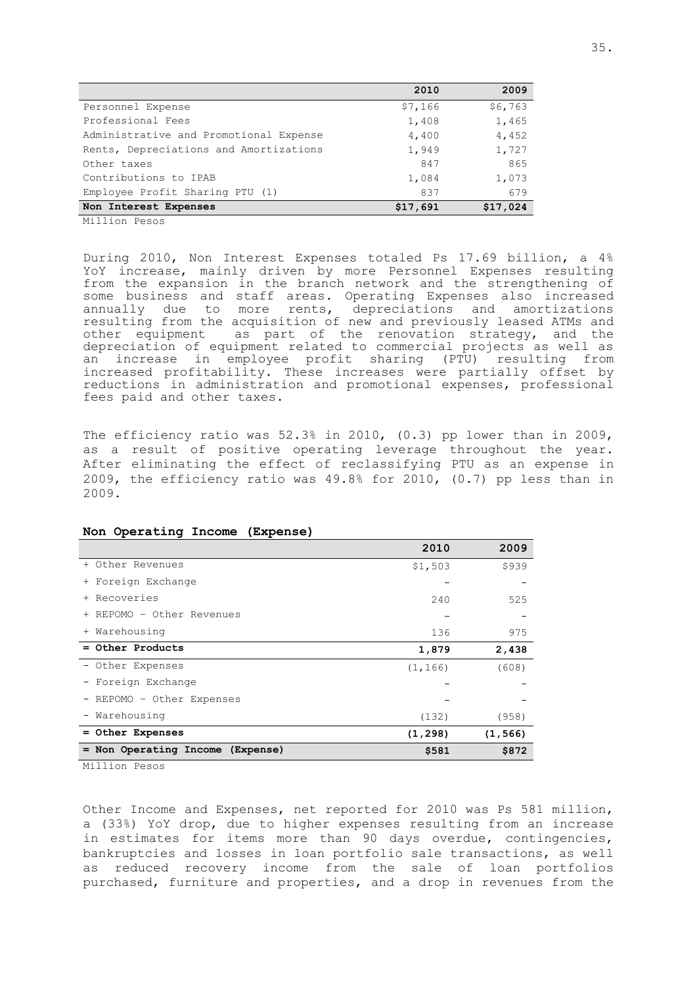|                                        | 2010     | 2009     |
|----------------------------------------|----------|----------|
| Personnel Expense                      | \$7,166  | \$6,763  |
| Professional Fees                      | 1,408    | 1,465    |
| Administrative and Promotional Expense | 4,400    | 4,452    |
| Rents, Depreciations and Amortizations | 1,949    | 1,727    |
| Other taxes                            | 847      | 865      |
| Contributions to IPAB                  | 1,084    | 1,073    |
| Employee Profit Sharing PTU (1)        | 837      | 679      |
| Non Interest Expenses                  | \$17,691 | \$17,024 |

Million Pesos

During 2010, Non Interest Expenses totaled Ps 17.69 billion, a 4% YoY increase, mainly driven by more Personnel Expenses resulting from the expansion in the branch network and the strengthening of some business and staff areas. Operating Expenses also increased annually due to more rents, depreciations and amortizations resulting from the acquisition of new and previously leased ATMs and other equipment as part of the renovation strategy, and the depreciation of equipment related to commercial projects as well as an increase in employee profit sharing (PTU) resulting from increased profitability. These increases were partially offset by reductions in administration and promotional expenses, professional fees paid and other taxes.

The efficiency ratio was  $52.3$ % in 2010, (0.3) pp lower than in 2009, as a result of positive operating leverage throughout the year. After eliminating the effect of reclassifying PTU as an expense in 2009, the efficiency ratio was 49.8% for 2010, (0.7) pp less than in 2009.

|                                       | 2010     | 2009     |
|---------------------------------------|----------|----------|
| + Other Revenues                      | \$1,503  | \$939    |
| + Foreign Exchange                    |          |          |
| + Recoveries                          | 240      | 525      |
| + REPOMO - Other Revenues             |          |          |
| + Warehousing                         | 136      | 975      |
| = Other Products                      | 1,879    | 2,438    |
| - Other Expenses                      | (1, 166) | (608)    |
| - Foreign Exchange                    |          |          |
| - REPOMO - Other Expenses             |          |          |
| - Warehousing                         | (132)    | (958)    |
| = Other Expenses                      | (1, 298) | (1, 566) |
| Non Operating Income (Expense)<br>$=$ | \$581    | \$872    |

#### **Non Operating Income (Expense)**

Million Pesos

Other Income and Expenses, net reported for 2010 was Ps 581 million, a (33%) YoY drop, due to higher expenses resulting from an increase in estimates for items more than 90 days overdue, contingencies, bankruptcies and losses in loan portfolio sale transactions, as well as reduced recovery income from the sale of loan portfolios purchased, furniture and properties, and a drop in revenues from the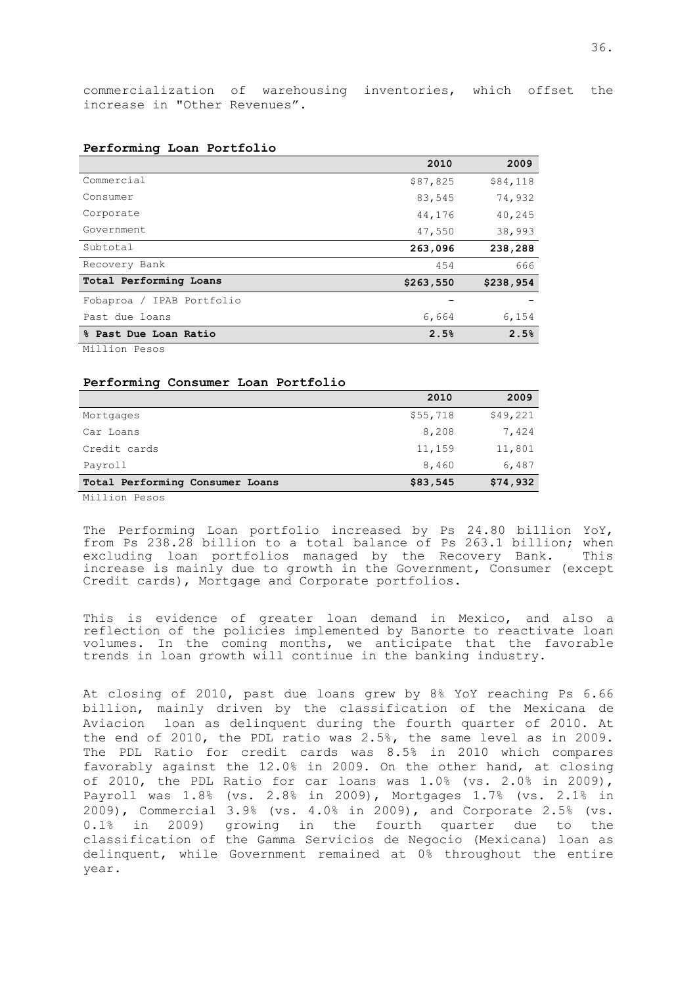commercialization of warehousing inventories, which offset the increase in "Other Revenues".

|                              | 2010      | 2009      |
|------------------------------|-----------|-----------|
| Commercial                   | \$87,825  | \$84,118  |
| Consumer                     | 83,545    | 74,932    |
| Corporate                    | 44,176    | 40,245    |
| Government                   | 47,550    | 38,993    |
| Subtotal                     | 263,096   | 238,288   |
| Recovery Bank                | 454       | 666       |
| Total Performing Loans       | \$263,550 | \$238,954 |
| IPAB Portfolio<br>Fobaproa / |           |           |
| Past due loans               | 6,664     | 6,154     |
| % Past Due Loan Ratio        | 2.5%      | 2.5%      |

### **Performing Loan Portfolio**

Million Pesos

### **Performing Consumer Loan Portfolio**

|                                 | 2010     | 2009     |
|---------------------------------|----------|----------|
| Mortgages                       | \$55,718 | \$49,221 |
| Car Loans                       | 8,208    | 7,424    |
| Credit cards                    | 11,159   | 11,801   |
| Payroll                         | 8,460    | 6,487    |
| Total Performing Consumer Loans | \$83,545 | \$74,932 |

Million Pesos

The Performing Loan portfolio increased by Ps 24.80 billion YoY, from Ps 238.28 billion to a total balance of Ps 263.1 billion; when excluding loan portfolios managed by the Recovery Bank. This increase is mainly due to growth in the Government, Consumer (except Credit cards), Mortgage and Corporate portfolios.

This is evidence of greater loan demand in Mexico, and also a reflection of the policies implemented by Banorte to reactivate loan volumes. In the coming months, we anticipate that the favorable trends in loan growth will continue in the banking industry.

At closing of 2010, past due loans grew by 8% YoY reaching Ps 6.66 billion, mainly driven by the classification of the Mexicana de Aviacion loan as delinquent during the fourth quarter of 2010. At the end of 2010, the PDL ratio was 2.5%, the same level as in 2009. The PDL Ratio for credit cards was 8.5% in 2010 which compares favorably against the 12.0% in 2009. On the other hand, at closing of 2010, the PDL Ratio for car loans was 1.0% (vs. 2.0% in 2009), Payroll was 1.8% (vs. 2.8% in 2009), Mortgages 1.7% (vs. 2.1% in 2009), Commercial 3.9% (vs. 4.0% in 2009), and Corporate 2.5% (vs. 0.1% in 2009) growing in the fourth quarter due to the classification of the Gamma Servicios de Negocio (Mexicana) loan as delinquent, while Government remained at 0% throughout the entire year.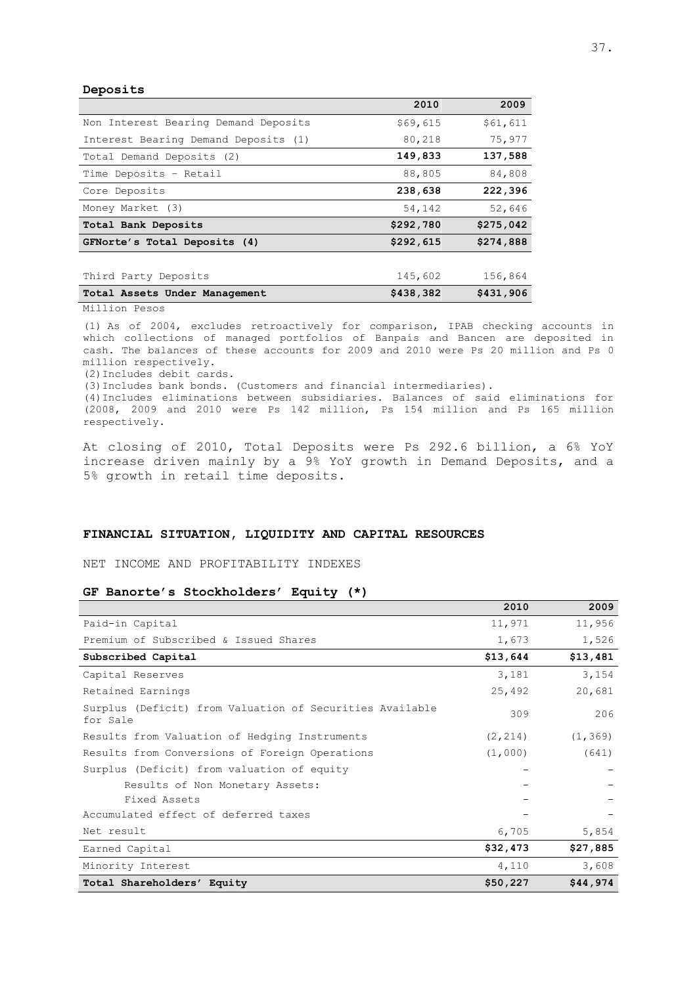**Deposits**

|                                      | 2010      | 2009      |
|--------------------------------------|-----------|-----------|
| Non Interest Bearing Demand Deposits | \$69,615  | \$61,611  |
| Interest Bearing Demand Deposits (1) | 80,218    | 75,977    |
| Total Demand Deposits (2)            | 149,833   | 137,588   |
| Time Deposits - Retail               | 88,805    | 84,808    |
| Core Deposits                        | 238,638   | 222,396   |
| Money Market (3)                     | 54,142    | 52,646    |
| Total Bank Deposits                  | \$292,780 | \$275,042 |
| GFNorte's Total Deposits (4)         | \$292,615 | \$274,888 |
|                                      |           |           |
| Third Party Deposits                 | 145,602   | 156,864   |
| Total Assets Under Management        | \$438,382 | \$431,906 |

Million Pesos

(1) As of 2004, excludes retroactively for comparison, IPAB checking accounts in which collections of managed portfolios of Banpaís and Bancen are deposited in cash. The balances of these accounts for 2009 and 2010 were Ps 20 million and Ps 0 million respectively.

(2)Includes debit cards.

(3)Includes bank bonds. (Customers and financial intermediaries).

(4)Includes eliminations between subsidiaries. Balances of said eliminations for (2008, 2009 and 2010 were Ps 142 million, Ps 154 million and Ps 165 million respectively.

At closing of 2010, Total Deposits were Ps 292.6 billion, a 6% YoY increase driven mainly by a 9% YoY growth in Demand Deposits, and a 5% growth in retail time deposits.

## **FINANCIAL SITUATION, LIQUIDITY AND CAPITAL RESOURCES**

NET INCOME AND PROFITABILITY INDEXES

#### **GF Banorte's Stockholders' Equity (\*)**

|                                                                      | 2010     | 2009     |
|----------------------------------------------------------------------|----------|----------|
| Paid-in Capital                                                      | 11,971   | 11,956   |
| Premium of Subscribed & Issued Shares                                | 1,673    | 1,526    |
| Subscribed Capital                                                   | \$13,644 | \$13,481 |
| Capital Reserves                                                     | 3,181    | 3,154    |
| Retained Earnings                                                    | 25,492   | 20,681   |
| Surplus (Deficit) from Valuation of Securities Available<br>for Sale | 309      | 206      |
| Results from Valuation of Hedging Instruments                        | (2, 214) | (1, 369) |
| Results from Conversions of Foreign Operations                       | (1,000)  | (641)    |
| Surplus (Deficit) from valuation of equity                           |          |          |
| Results of Non Monetary Assets:                                      |          |          |
| Fixed Assets                                                         |          |          |
| Accumulated effect of deferred taxes                                 |          |          |
| Net result                                                           | 6,705    | 5,854    |
| Earned Capital                                                       | \$32,473 | \$27,885 |
| Minority Interest                                                    | 4,110    | 3,608    |
| Total Shareholders' Equity                                           | \$50,227 | \$44,974 |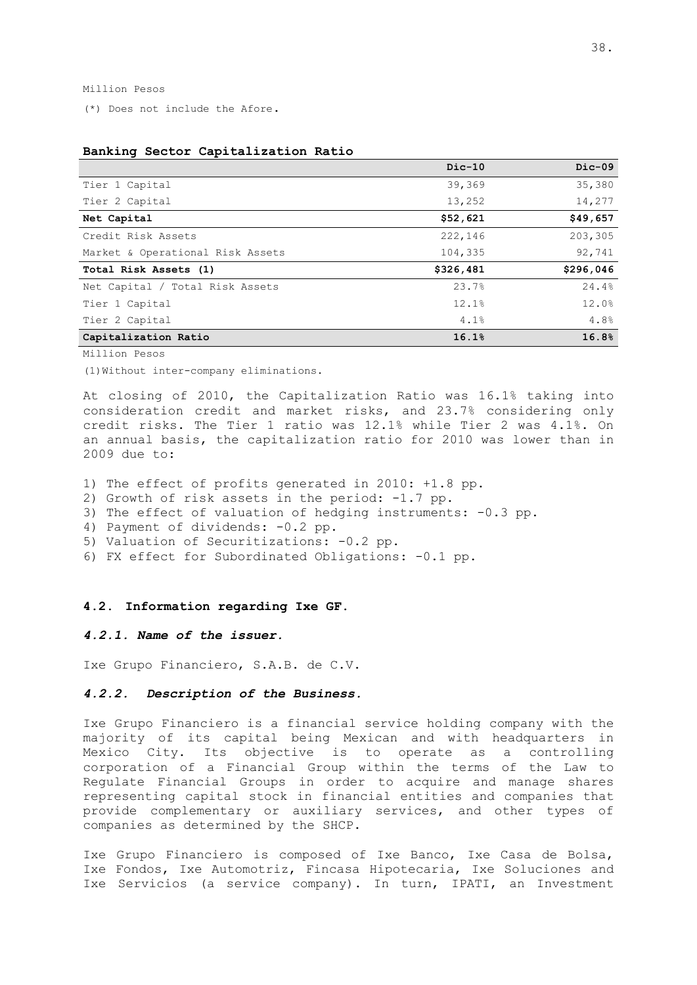Million Pesos

(\*) Does not include the Afore.

|                                  | $Dic-10$  | $Dic-09$  |
|----------------------------------|-----------|-----------|
| Tier 1 Capital                   | 39,369    | 35,380    |
| Tier 2 Capital                   | 13,252    | 14,277    |
| Net Capital                      | \$52,621  | \$49,657  |
| Credit Risk Assets               | 222,146   | 203,305   |
| Market & Operational Risk Assets | 104,335   | 92,741    |
| Total Risk Assets (1)            | \$326,481 | \$296,046 |
| Net Capital / Total Risk Assets  | 23.7%     | 24.4%     |
| Tier 1 Capital                   | 12.1%     | 12.0%     |
| Tier 2 Capital                   | 4.1%      | 4.8%      |
| Capitalization Ratio             | 16.1%     | 16.8%     |

### **Banking Sector Capitalization Ratio**

Million Pesos

(1)Without inter-company eliminations.

At closing of 2010, the Capitalization Ratio was 16.1% taking into consideration credit and market risks, and 23.7% considering only credit risks. The Tier 1 ratio was 12.1% while Tier 2 was 4.1%. On an annual basis, the capitalization ratio for 2010 was lower than in 2009 due to:

1) The effect of profits generated in 2010: +1.8 pp.

- 2) Growth of risk assets in the period: -1.7 pp.
- 3) The effect of valuation of hedging instruments: -0.3 pp.
- 4) Payment of dividends: -0.2 pp.
- 5) Valuation of Securitizations: -0.2 pp.

6) FX effect for Subordinated Obligations: -0.1 pp.

#### <span id="page-40-0"></span>**4.2. Information regarding Ixe GF.**

### *4.2.1. Name of the issuer.*

Ixe Grupo Financiero, S.A.B. de C.V.

### *4.2.2. Description of the Business.*

Ixe Grupo Financiero is a financial service holding company with the majority of its capital being Mexican and with headquarters in Mexico City. Its objective is to operate as a controlling corporation of a Financial Group within the terms of the Law to Regulate Financial Groups in order to acquire and manage shares representing capital stock in financial entities and companies that provide complementary or auxiliary services, and other types of companies as determined by the SHCP.

Ixe Grupo Financiero is composed of Ixe Banco, Ixe Casa de Bolsa, Ixe Fondos, Ixe Automotriz, Fincasa Hipotecaria, Ixe Soluciones and Ixe Servicios (a service company). In turn, IPATI, an Investment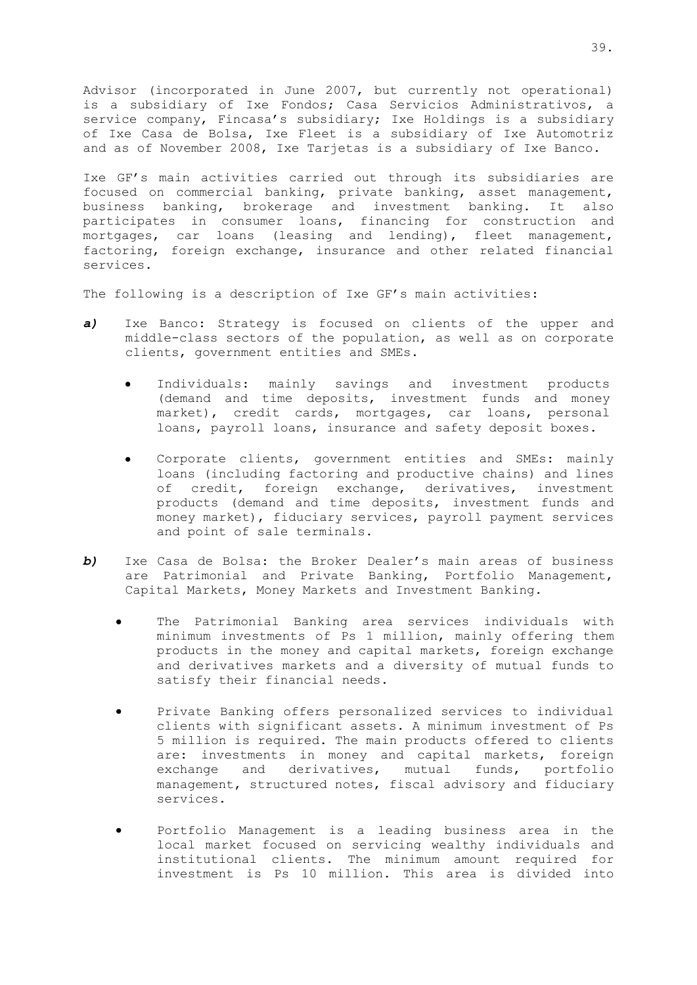Advisor (incorporated in June 2007, but currently not operational) is a subsidiary of Ixe Fondos; Casa Servicios Administrativos, a service company, Fincasa's subsidiary; Ixe Holdings is a subsidiary of Ixe Casa de Bolsa, Ixe Fleet is a subsidiary of Ixe Automotriz and as of November 2008, Ixe Tarjetas is a subsidiary of Ixe Banco.

Ixe GF's main activities carried out through its subsidiaries are focused on commercial banking, private banking, asset management, business banking, brokerage and investment banking. It also participates in consumer loans, financing for construction and mortgages, car loans (leasing and lending), fleet management, factoring, foreign exchange, insurance and other related financial services.

The following is a description of Ixe GF's main activities:

- *a)* Ixe Banco: Strategy is focused on clients of the upper and middle-class sectors of the population, as well as on corporate clients, government entities and SMEs.
	- Individuals: mainly savings and investment products (demand and time deposits, investment funds and money market), credit cards, mortgages, car loans, personal loans, payroll loans, insurance and safety deposit boxes.
	- Corporate clients, government entities and SMEs: mainly loans (including factoring and productive chains) and lines of credit, foreign exchange, derivatives, investment products (demand and time deposits, investment funds and money market), fiduciary services, payroll payment services and point of sale terminals.
- *b)* Ixe Casa de Bolsa: the Broker Dealer's main areas of business are Patrimonial and Private Banking, Portfolio Management, Capital Markets, Money Markets and Investment Banking.
	- The Patrimonial Banking area services individuals with minimum investments of Ps 1 million, mainly offering them products in the money and capital markets, foreign exchange and derivatives markets and a diversity of mutual funds to satisfy their financial needs.
	- Private Banking offers personalized services to individual clients with significant assets. A minimum investment of Ps 5 million is required. The main products offered to clients are: investments in money and capital markets, foreign exchange and derivatives, mutual funds, portfolio management, structured notes, fiscal advisory and fiduciary services.
	- Portfolio Management is a leading business area in the local market focused on servicing wealthy individuals and institutional clients. The minimum amount required for investment is Ps 10 million. This area is divided into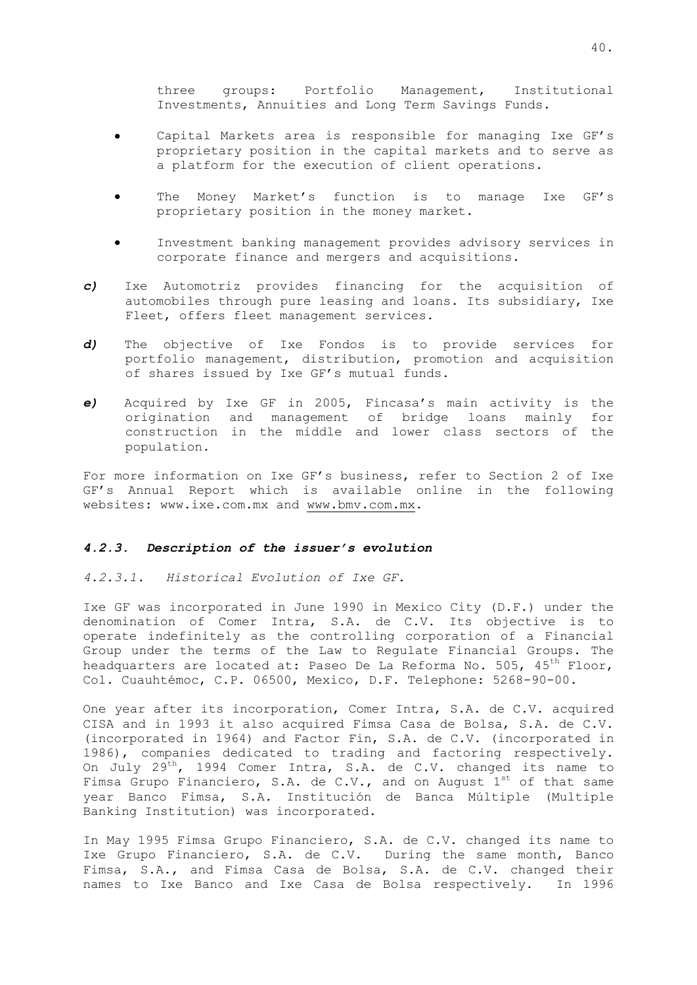three groups: Portfolio Management, Institutional Investments, Annuities and Long Term Savings Funds.

- Capital Markets area is responsible for managing Ixe GF's proprietary position in the capital markets and to serve as a platform for the execution of client operations.
- The Money Market's function is to manage Ixe GF's  $\bullet$ proprietary position in the money market.
- Investment banking management provides advisory services in corporate finance and mergers and acquisitions.
- *c)* Ixe Automotriz provides financing for the acquisition of automobiles through pure leasing and loans. Its subsidiary, Ixe Fleet, offers fleet management services.
- *d)* The objective of Ixe Fondos is to provide services for portfolio management, distribution, promotion and acquisition of shares issued by Ixe GF's mutual funds.
- *e)* Acquired by Ixe GF in 2005, Fincasa's main activity is the origination and management of bridge loans mainly for construction in the middle and lower class sectors of the population.

For more information on Ixe GF's business, refer to Section 2 of Ixe GF's Annual Report which is available online in the following websites: www.ixe.com.mx and [www.bmv.com.mx.](http://www.bmv.com.mx/)

#### *4.2.3. Description of the issuer's evolution*

#### *4.2.3.1. Historical Evolution of Ixe GF.*

Ixe GF was incorporated in June 1990 in Mexico City (D.F.) under the denomination of Comer Intra, S.A. de C.V. Its objective is to operate indefinitely as the controlling corporation of a Financial Group under the terms of the Law to Regulate Financial Groups. The headquarters are located at: Paseo De La Reforma No. 505,  $45^{th}$  Floor, Col. Cuauhtémoc, C.P. 06500, Mexico, D.F. Telephone: 5268-90-00.

One year after its incorporation, Comer Intra, S.A. de C.V. acquired CISA and in 1993 it also acquired Fimsa Casa de Bolsa, S.A. de C.V. (incorporated in 1964) and Factor Fin, S.A. de C.V. (incorporated in 1986), companies dedicated to trading and factoring respectively. On July 29th, 1994 Comer Intra, S.A. de C.V. changed its name to Fimsa Grupo Financiero, S.A. de C.V., and on August  $1^{st}$  of that same year Banco Fimsa, S.A. Institución de Banca Múltiple (Multiple Banking Institution) was incorporated.

In May 1995 Fimsa Grupo Financiero, S.A. de C.V. changed its name to Ixe Grupo Financiero, S.A. de C.V. During the same month, Banco Fimsa, S.A., and Fimsa Casa de Bolsa, S.A. de C.V. changed their names to Ixe Banco and Ixe Casa de Bolsa respectively. In 1996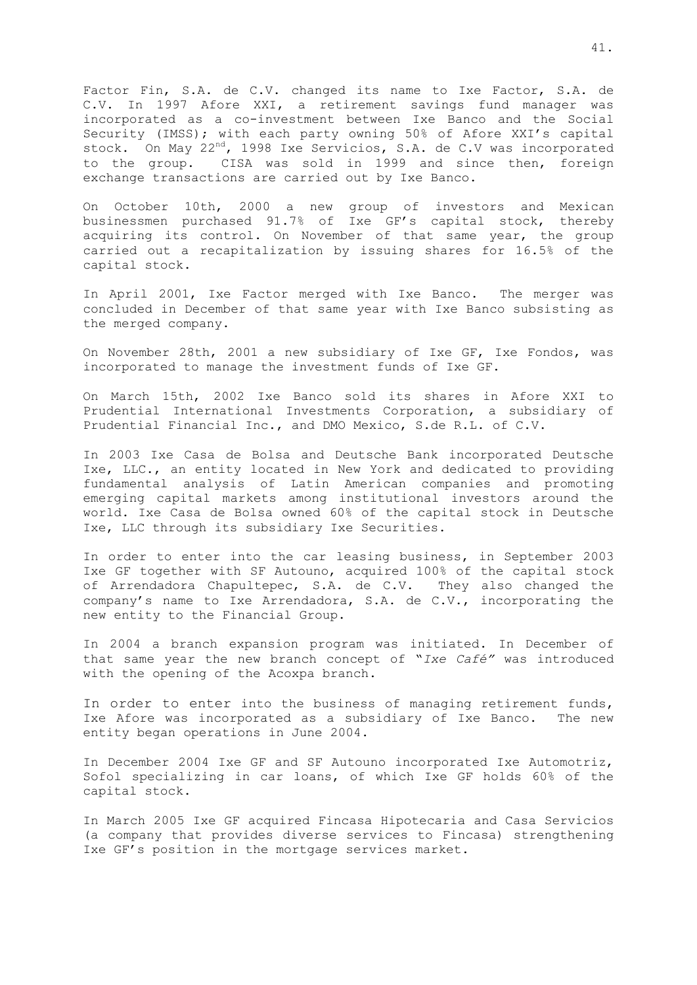Factor Fin, S.A. de C.V. changed its name to Ixe Factor, S.A. de C.V. In 1997 Afore XXI, a retirement savings fund manager was incorporated as a co-investment between Ixe Banco and the Social Security (IMSS); with each party owning 50% of Afore XXI's capital stock. On May 22<sup>nd</sup>, 1998 Ixe Servicios, S.A. de C.V was incorporated to the group. CISA was sold in 1999 and since then, foreign exchange transactions are carried out by Ixe Banco.

On October 10th, 2000 a new group of investors and Mexican businessmen purchased 91.7% of Ixe GF's capital stock, thereby acquiring its control. On November of that same year, the group carried out a recapitalization by issuing shares for 16.5% of the capital stock.

In April 2001, Ixe Factor merged with Ixe Banco. The merger was concluded in December of that same year with Ixe Banco subsisting as the merged company.

On November 28th, 2001 a new subsidiary of Ixe GF, Ixe Fondos, was incorporated to manage the investment funds of Ixe GF.

On March 15th, 2002 Ixe Banco sold its shares in Afore XXI to Prudential International Investments Corporation, a subsidiary of Prudential Financial Inc., and DMO Mexico, S.de R.L. of C.V.

In 2003 Ixe Casa de Bolsa and Deutsche Bank incorporated Deutsche Ixe, LLC., an entity located in New York and dedicated to providing fundamental analysis of Latin American companies and promoting emerging capital markets among institutional investors around the world. Ixe Casa de Bolsa owned 60% of the capital stock in Deutsche Ixe, LLC through its subsidiary Ixe Securities.

In order to enter into the car leasing business, in September 2003 Ixe GF together with SF Autouno, acquired 100% of the capital stock of Arrendadora Chapultepec, S.A. de C.V. They also changed the company's name to Ixe Arrendadora, S.A. de C.V., incorporating the new entity to the Financial Group.

In 2004 a branch expansion program was initiated. In December of that same year the new branch concept of "*Ixe Café"* was introduced with the opening of the Acoxpa branch.

In order to enter into the business of managing retirement funds, Ixe Afore was incorporated as a subsidiary of Ixe Banco. The new entity began operations in June 2004.

In December 2004 Ixe GF and SF Autouno incorporated Ixe Automotriz, Sofol specializing in car loans, of which Ixe GF holds 60% of the capital stock.

In March 2005 Ixe GF acquired Fincasa Hipotecaria and Casa Servicios (a company that provides diverse services to Fincasa) strengthening Ixe GF's position in the mortgage services market.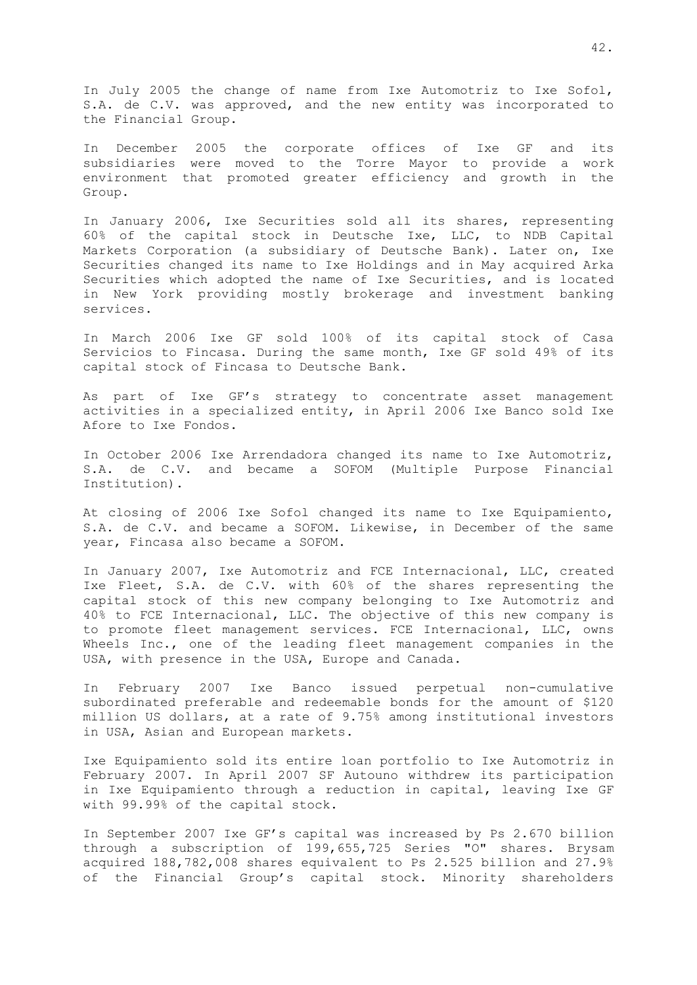In July 2005 the change of name from Ixe Automotriz to Ixe Sofol, S.A. de C.V. was approved, and the new entity was incorporated to the Financial Group.

In December 2005 the corporate offices of Ixe GF and its subsidiaries were moved to the Torre Mayor to provide a work environment that promoted greater efficiency and growth in the Group.

In January 2006, Ixe Securities sold all its shares, representing 60% of the capital stock in Deutsche Ixe, LLC, to NDB Capital Markets Corporation (a subsidiary of Deutsche Bank). Later on, Ixe Securities changed its name to Ixe Holdings and in May acquired Arka Securities which adopted the name of Ixe Securities, and is located in New York providing mostly brokerage and investment banking services.

In March 2006 Ixe GF sold 100% of its capital stock of Casa Servicios to Fincasa. During the same month, Ixe GF sold 49% of its capital stock of Fincasa to Deutsche Bank.

As part of Ixe GF's strategy to concentrate asset management activities in a specialized entity, in April 2006 Ixe Banco sold Ixe Afore to Ixe Fondos.

In October 2006 Ixe Arrendadora changed its name to Ixe Automotriz, S.A. de C.V. and became a SOFOM (Multiple Purpose Financial Institution).

At closing of 2006 Ixe Sofol changed its name to Ixe Equipamiento, S.A. de C.V. and became a SOFOM. Likewise, in December of the same year, Fincasa also became a SOFOM.

In January 2007, Ixe Automotriz and FCE Internacional, LLC, created Ixe Fleet, S.A. de C.V. with 60% of the shares representing the capital stock of this new company belonging to Ixe Automotriz and 40% to FCE Internacional, LLC. The objective of this new company is to promote fleet management services. FCE Internacional, LLC, owns Wheels Inc., one of the leading fleet management companies in the USA, with presence in the USA, Europe and Canada.

In February 2007 Ixe Banco issued perpetual non-cumulative subordinated preferable and redeemable bonds for the amount of \$120 million US dollars, at a rate of 9.75% among institutional investors in USA, Asian and European markets.

Ixe Equipamiento sold its entire loan portfolio to Ixe Automotriz in February 2007. In April 2007 SF Autouno withdrew its participation in Ixe Equipamiento through a reduction in capital, leaving Ixe GF with 99.99% of the capital stock.

In September 2007 Ixe GF's capital was increased by Ps 2.670 billion through a subscription of 199,655,725 Series "O" shares. Brysam acquired 188,782,008 shares equivalent to Ps 2.525 billion and 27.9% of the Financial Group's capital stock. Minority shareholders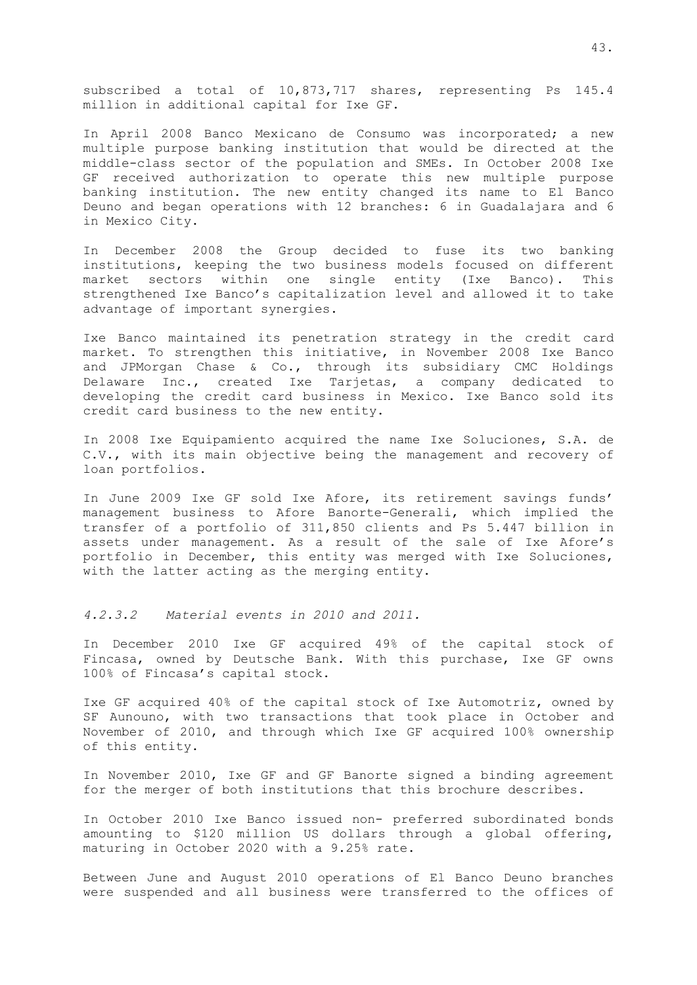subscribed a total of 10,873,717 shares, representing Ps 145.4 million in additional capital for Ixe GF.

In April 2008 Banco Mexicano de Consumo was incorporated; a new multiple purpose banking institution that would be directed at the middle-class sector of the population and SMEs. In October 2008 Ixe GF received authorization to operate this new multiple purpose banking institution. The new entity changed its name to El Banco Deuno and began operations with 12 branches: 6 in Guadalajara and 6 in Mexico City.

In December 2008 the Group decided to fuse its two banking institutions, keeping the two business models focused on different market sectors within one single entity (Ixe Banco). This strengthened Ixe Banco's capitalization level and allowed it to take advantage of important synergies.

Ixe Banco maintained its penetration strategy in the credit card market. To strengthen this initiative, in November 2008 Ixe Banco and JPMorgan Chase & Co., through its subsidiary CMC Holdings Delaware Inc., created Ixe Tarjetas, a company dedicated to developing the credit card business in Mexico. Ixe Banco sold its credit card business to the new entity.

In 2008 Ixe Equipamiento acquired the name Ixe Soluciones, S.A. de C.V., with its main objective being the management and recovery of loan portfolios.

In June 2009 Ixe GF sold Ixe Afore, its retirement savings funds' management business to Afore Banorte-Generali, which implied the transfer of a portfolio of 311,850 clients and Ps 5.447 billion in assets under management. As a result of the sale of Ixe Afore's portfolio in December, this entity was merged with Ixe Soluciones, with the latter acting as the merging entity.

*4.2.3.2 Material events in 2010 and 2011.*

In December 2010 Ixe GF acquired 49% of the capital stock of Fincasa, owned by Deutsche Bank. With this purchase, Ixe GF owns 100% of Fincasa's capital stock.

Ixe GF acquired 40% of the capital stock of Ixe Automotriz, owned by SF Aunouno, with two transactions that took place in October and November of 2010, and through which Ixe GF acquired 100% ownership of this entity.

In November 2010, Ixe GF and GF Banorte signed a binding agreement for the merger of both institutions that this brochure describes.

In October 2010 Ixe Banco issued non- preferred subordinated bonds amounting to \$120 million US dollars through a global offering, maturing in October 2020 with a 9.25% rate.

Between June and August 2010 operations of El Banco Deuno branches were suspended and all business were transferred to the offices of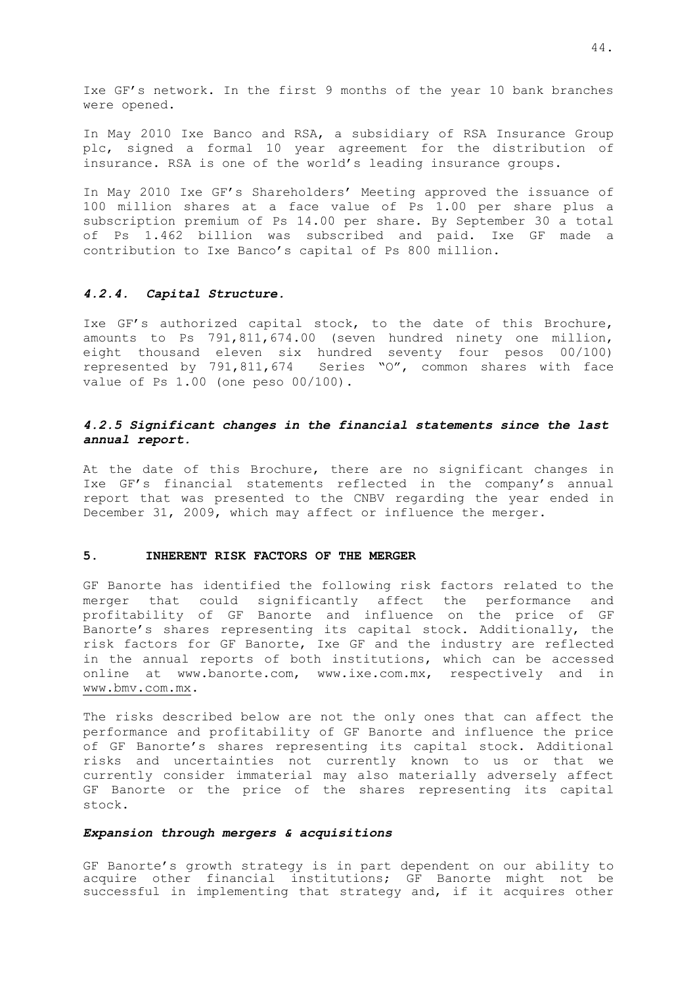Ixe GF's network. In the first 9 months of the year 10 bank branches were opened.

In May 2010 Ixe Banco and RSA, a subsidiary of RSA Insurance Group plc, signed a formal 10 year agreement for the distribution of insurance. RSA is one of the world's leading insurance groups.

In May 2010 Ixe GF's Shareholders' Meeting approved the issuance of 100 million shares at a face value of Ps 1.00 per share plus a subscription premium of Ps 14.00 per share. By September 30 a total of Ps 1.462 billion was subscribed and paid. Ixe GF made a contribution to Ixe Banco's capital of Ps 800 million.

#### *4.2.4. Capital Structure.*

Ixe GF's authorized capital stock, to the date of this Brochure, amounts to Ps 791,811,674.00 (seven hundred ninety one million, eight thousand eleven six hundred seventy four pesos 00/100) represented by 791,811,674 Series "O", common shares with face value of Ps 1.00 (one peso 00/100).

## *4.2.5 Significant changes in the financial statements since the last annual report.*

At the date of this Brochure, there are no significant changes in Ixe GF's financial statements reflected in the company's annual report that was presented to the CNBV regarding the year ended in December 31, 2009, which may affect or influence the merger.

## <span id="page-46-0"></span>**5. INHERENT RISK FACTORS OF THE MERGER**

GF Banorte has identified the following risk factors related to the merger that could significantly affect the performance and profitability of GF Banorte and influence on the price of GF Banorte's shares representing its capital stock. Additionally, the risk factors for GF Banorte, Ixe GF and the industry are reflected in the annual reports of both institutions, which can be accessed online at www.banorte.com, www.ixe.com.mx, respectively and in [www.bmv.com.mx.](http://www.bmv.com.mx/)

The risks described below are not the only ones that can affect the performance and profitability of GF Banorte and influence the price of GF Banorte's shares representing its capital stock. Additional risks and uncertainties not currently known to us or that we currently consider immaterial may also materially adversely affect GF Banorte or the price of the shares representing its capital stock.

### *Expansion through mergers & acquisitions*

GF Banorte's growth strategy is in part dependent on our ability to acquire other financial institutions; GF Banorte might not be successful in implementing that strategy and, if it acquires other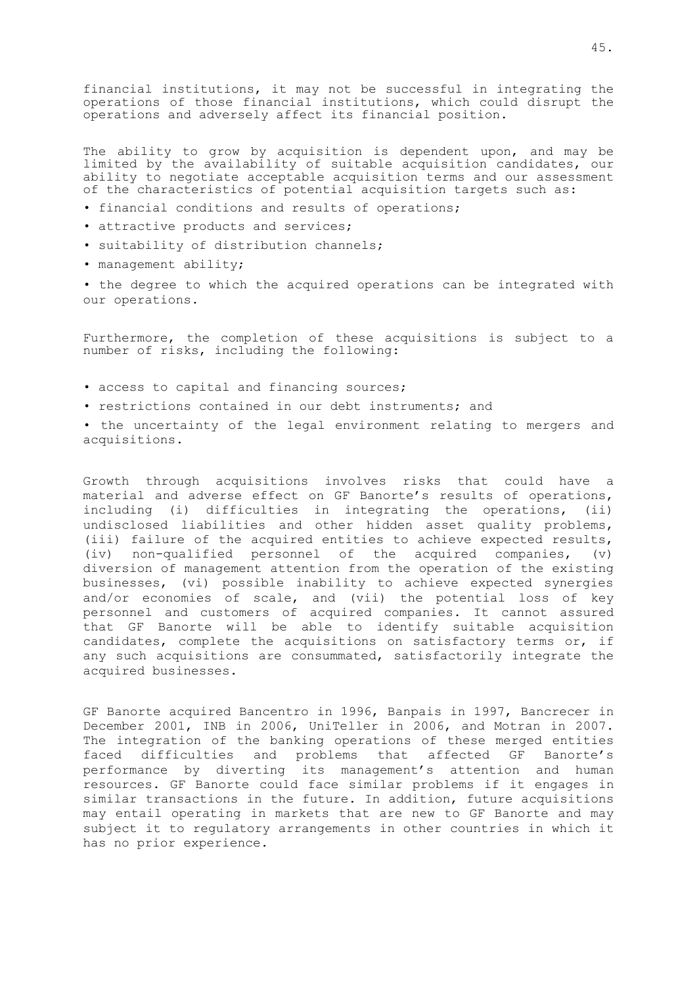financial institutions, it may not be successful in integrating the operations of those financial institutions, which could disrupt the operations and adversely affect its financial position.

The ability to grow by acquisition is dependent upon, and may be limited by the availability of suitable acquisition candidates, our ability to negotiate acceptable acquisition terms and our assessment of the characteristics of potential acquisition targets such as:

- financial conditions and results of operations;
- attractive products and services;
- suitability of distribution channels;
- management ability;

• the degree to which the acquired operations can be integrated with our operations.

Furthermore, the completion of these acquisitions is subject to a number of risks, including the following:

- access to capital and financing sources;
- restrictions contained in our debt instruments; and
- the uncertainty of the legal environment relating to mergers and acquisitions.

Growth through acquisitions involves risks that could have a material and adverse effect on GF Banorte's results of operations, including (i) difficulties in integrating the operations, (ii) undisclosed liabilities and other hidden asset quality problems, (iii) failure of the acquired entities to achieve expected results, (iv) non-qualified personnel of the acquired companies, (v) diversion of management attention from the operation of the existing businesses, (vi) possible inability to achieve expected synergies and/or economies of scale, and (vii) the potential loss of key personnel and customers of acquired companies. It cannot assured that GF Banorte will be able to identify suitable acquisition candidates, complete the acquisitions on satisfactory terms or, if any such acquisitions are consummated, satisfactorily integrate the acquired businesses.

GF Banorte acquired Bancentro in 1996, Banpais in 1997, Bancrecer in December 2001, INB in 2006, UniTeller in 2006, and Motran in 2007. The integration of the banking operations of these merged entities faced difficulties and problems that affected GF Banorte's performance by diverting its management's attention and human resources. GF Banorte could face similar problems if it engages in similar transactions in the future. In addition, future acquisitions may entail operating in markets that are new to GF Banorte and may subject it to regulatory arrangements in other countries in which it has no prior experience.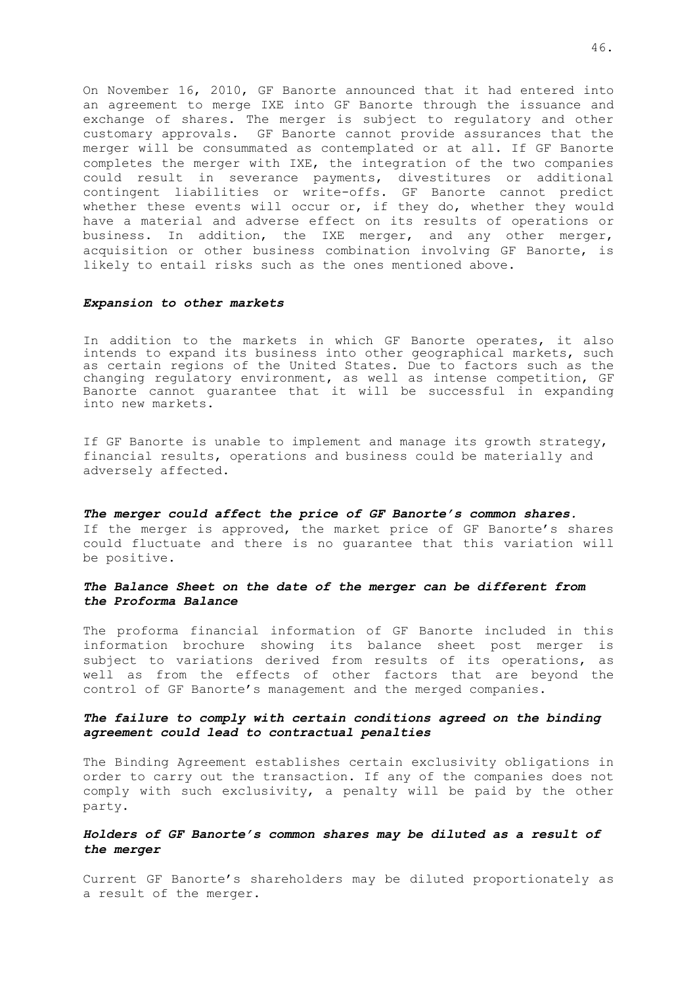On November 16, 2010, GF Banorte announced that it had entered into an agreement to merge IXE into GF Banorte through the issuance and exchange of shares. The merger is subject to regulatory and other customary approvals. GF Banorte cannot provide assurances that the merger will be consummated as contemplated or at all. If GF Banorte completes the merger with IXE, the integration of the two companies could result in severance payments, divestitures or additional contingent liabilities or write-offs. GF Banorte cannot predict whether these events will occur or, if they do, whether they would have a material and adverse effect on its results of operations or business. In addition, the IXE merger, and any other merger, acquisition or other business combination involving GF Banorte, is likely to entail risks such as the ones mentioned above.

#### *Expansion to other markets*

In addition to the markets in which GF Banorte operates, it also intends to expand its business into other geographical markets, such as certain regions of the United States. Due to factors such as the changing regulatory environment, as well as intense competition, GF Banorte cannot guarantee that it will be successful in expanding into new markets.

If GF Banorte is unable to implement and manage its growth strategy, financial results, operations and business could be materially and adversely affected.

*The merger could affect the price of GF Banorte's common shares.* If the merger is approved, the market price of GF Banorte's shares could fluctuate and there is no guarantee that this variation will be positive.

### *The Balance Sheet on the date of the merger can be different from the Proforma Balance*

The proforma financial information of GF Banorte included in this information brochure showing its balance sheet post merger is subject to variations derived from results of its operations, as well as from the effects of other factors that are beyond the control of GF Banorte's management and the merged companies.

## *The failure to comply with certain conditions agreed on the binding agreement could lead to contractual penalties*

The Binding Agreement establishes certain exclusivity obligations in order to carry out the transaction. If any of the companies does not comply with such exclusivity, a penalty will be paid by the other party.

### *Holders of GF Banorte's common shares may be diluted as a result of the merger*

Current GF Banorte's shareholders may be diluted proportionately as a result of the merger.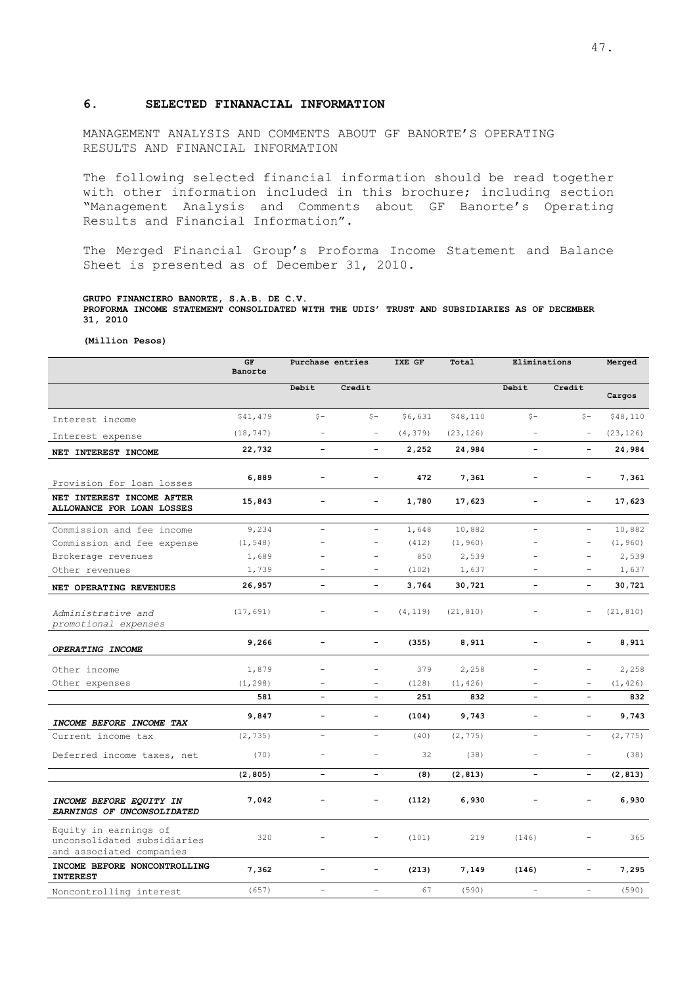### **6. SELECTED FINANACIAL INFORMATION**

MANAGEMENT ANALYSIS AND COMMENTS ABOUT GF BANORTE'S OPERATING RESULTS AND FINANCIAL INFORMATION

The following selected financial information should be read together with other information included in this brochure; including section "Management Analysis and Comments about GF Banorte's Operating Results and Financial Information".

The Merged Financial Group's Proforma Income Statement and Balance Sheet is presented as of December 31, 2010.

#### **GRUPO FINANCIERO BANORTE, S.A.B. DE C.V. PROFORMA INCOME STATEMENT CONSOLIDATED WITH THE UDIS' TRUST AND SUBSIDIARIES AS OF DECEMBER 31, 2010**

**(Million Pesos)**

|                                                                                  | GF<br>Banorte | Purchase entries         |                          | IXE GF<br>Total |           | Eliminations             |                          | Merged    |
|----------------------------------------------------------------------------------|---------------|--------------------------|--------------------------|-----------------|-----------|--------------------------|--------------------------|-----------|
|                                                                                  |               | Debit                    | Credit                   |                 |           | Debit                    | Credit                   | Cargos    |
| Interest income                                                                  | \$41,479      | $S -$                    | $S -$                    | \$6,631         | \$48,110  | $S -$                    | $S -$                    | \$48,110  |
| Interest expense                                                                 | (18, 747)     | $\overline{\phantom{a}}$ |                          | (4, 379)        | (23, 126) |                          | $\sim$                   | (23, 126) |
| NET INTEREST INCOME                                                              | 22,732        | $\overline{\phantom{0}}$ |                          | 2,252           | 24,984    | $\blacksquare$           |                          | 24,984    |
| Provision for loan losses                                                        | 6,889         |                          |                          | 472             | 7,361     |                          | $\overline{\phantom{0}}$ | 7,361     |
| NET INTEREST INCOME AFTER<br>ALLOWANCE FOR LOAN LOSSES                           | 15,843        | $\overline{\phantom{0}}$ | $\overline{a}$           | 1,780           | 17,623    | $\overline{\phantom{a}}$ | $\overline{a}$           | 17,623    |
| Commission and fee income                                                        | 9,234         | $\overline{\phantom{a}}$ | $\sim$                   | 1,648           | 10,882    | $\overline{\phantom{0}}$ | $\overline{\phantom{a}}$ | 10,882    |
| Commission and fee expense                                                       | (1, 548)      |                          | $\overline{\phantom{a}}$ | (412)           | (1, 960)  |                          | $\equiv$                 | (1, 960)  |
| Brokerage revenues                                                               | 1,689         | $\equiv$                 | $\overline{a}$           | 850             | 2,539     |                          | $\equiv$                 | 2,539     |
| Other revenues                                                                   | 1,739         | $\equiv$                 | $\equiv$                 | (102)           | 1,637     | ÷                        | $\equiv$                 | 1,637     |
| NET OPERATING REVENUES                                                           | 26,957        | $\equiv$                 | $\equiv$                 | 3,764           | 30,721    | $\overline{\phantom{0}}$ | $\blacksquare$           | 30,721    |
| Administrative and<br>promotional expenses                                       | (17, 691)     | $\overline{\phantom{a}}$ |                          | (4, 119)        | (21, 810) |                          |                          | (21, 810) |
| OPERATING INCOME                                                                 | 9,266         | $\overline{\phantom{a}}$ |                          | (355)           | 8,911     | $\overline{\phantom{0}}$ |                          | 8,911     |
| Other income                                                                     | 1,879         |                          |                          | 379             | 2,258     |                          | ÷,                       | 2,258     |
| Other expenses                                                                   | (1, 298)      | $\overline{\phantom{0}}$ | $\overline{\phantom{a}}$ | (128)           | (1, 426)  |                          | $\overline{\phantom{a}}$ | (1, 426)  |
|                                                                                  | 581           |                          |                          | 251             | 832       | $\qquad \qquad -$        |                          | 832       |
| INCOME BEFORE INCOME TAX                                                         | 9,847         | $\overline{\phantom{a}}$ | $\equiv$                 | (104)           | 9,743     | $\overline{a}$           | $\overline{\phantom{a}}$ | 9,743     |
| Current income tax                                                               | (2, 735)      | $\overline{\phantom{a}}$ | $\overline{\phantom{a}}$ | (40)            | (2, 775)  | $\overline{\phantom{a}}$ | $\overline{\phantom{a}}$ | (2, 775)  |
| Deferred income taxes, net                                                       | (70)          | $\equiv$                 |                          | 32              | (38)      |                          | L.                       | (38)      |
|                                                                                  | (2, 805)      | $\qquad \qquad -$        | $\overline{\phantom{0}}$ | (8)             | (2, 813)  | $\qquad \qquad -$        | $\overline{\phantom{a}}$ | (2, 813)  |
| INCOME BEFORE EQUITY IN<br>EARNINGS OF UNCONSOLIDATED                            | 7,042         | $\qquad \qquad -$        |                          | (112)           | 6,930     |                          | $\overline{\phantom{0}}$ | 6,930     |
| Equity in earnings of<br>unconsolidated subsidiaries<br>and associated companies | 320           |                          |                          | (101)           | 219       | (146)                    |                          | 365       |
| INCOME BEFORE NONCONTROLLING<br><b>INTEREST</b>                                  | 7,362         | $\overline{\phantom{a}}$ | $\blacksquare$           | (213)           | 7,149     | (146)                    | $\overline{\phantom{0}}$ | 7,295     |
| Noncontrolling interest                                                          | (657)         | $\overline{\phantom{a}}$ |                          | 67              | (590)     |                          | $\equiv$                 | (590)     |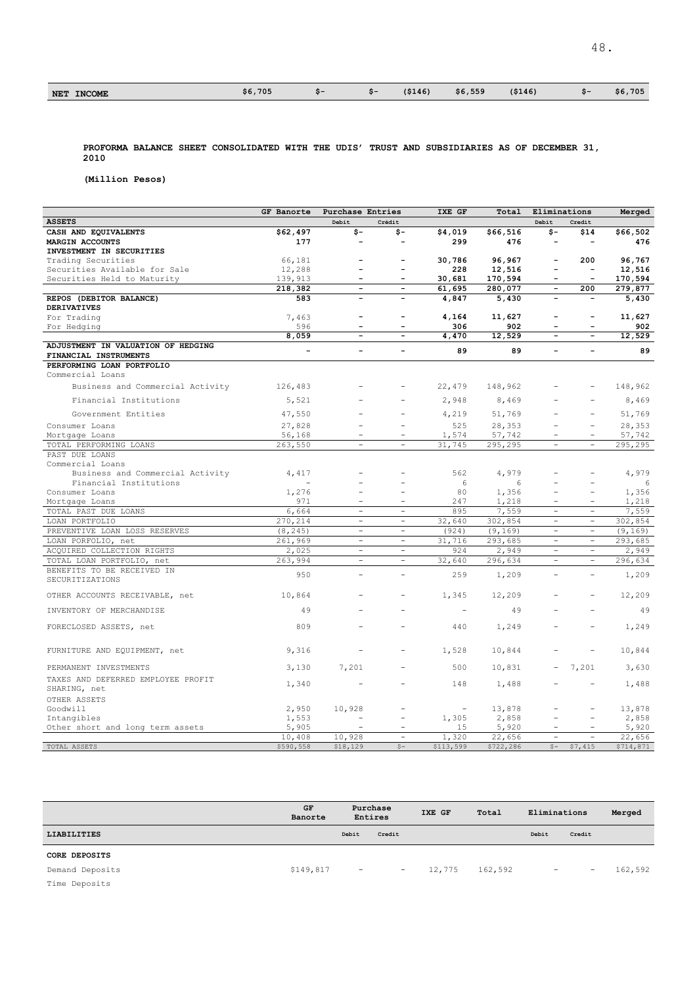| 705<br>\$6.<br>--<br><b>INCOME</b><br><b>NET</b> | $\sim$ | \$6,559<br>( \$146]<br>(\$146) | .705<br>\$6,<br>-55 |
|--------------------------------------------------|--------|--------------------------------|---------------------|
|--------------------------------------------------|--------|--------------------------------|---------------------|

48.

**PROFORMA BALANCE SHEET CONSOLIDATED WITH THE UDIS' TRUST AND SUBSIDIARIES AS OF DECEMBER 31, 2010** 

**(Million Pesos)**

|                                                             | GF Banorte               | Purchase Entries         |                          | IXE GF                   | Total           | Eliminations             |                          | Merged               |
|-------------------------------------------------------------|--------------------------|--------------------------|--------------------------|--------------------------|-----------------|--------------------------|--------------------------|----------------------|
| <b>ASSETS</b>                                               |                          | Debit                    | Crédit                   |                          |                 | Debit                    | Credit                   |                      |
| CASH AND EQUIVALENTS                                        | \$62,497                 | \$-                      | \$-                      | \$4,019                  | \$66,516        | \$-                      | \$14                     | \$66,502             |
| MARGIN ACCOUNTS                                             | 177                      | $\overline{\phantom{a}}$ | $\qquad \qquad -$        | 299                      | 476             | $\overline{\phantom{a}}$ | $\overline{\phantom{a}}$ | 476                  |
| INVESTMENT IN SECURITIES                                    |                          |                          |                          |                          |                 |                          |                          |                      |
| Trading Securities                                          | 66,181                   |                          |                          | 30,786                   | 96,967          | $\overline{\phantom{a}}$ | 200                      | 96,767               |
| Securities Available for Sale                               | 12,288                   |                          | L,                       | 228                      | 12,516          | $\overline{a}$           | $\sim$                   | 12,516               |
| Securities Held to Maturity                                 | 139,913                  | $\overline{\phantom{0}}$ | $\overline{\phantom{0}}$ | 30,681                   | 170,594         | $\equiv$                 | $\overline{\phantom{a}}$ | 170,594              |
|                                                             | 218,382                  | $\overline{\phantom{a}}$ | $\overline{\phantom{a}}$ | 61,695                   | 280,077         | $\overline{\phantom{a}}$ | 200                      | $\overline{279,877}$ |
| REPOS (DEBITOR BALANCE)                                     | 583                      |                          |                          | 4,847                    | 5,430           | $\equiv$                 | $\blacksquare$           | 5,430                |
| <b>DERIVATIVES</b>                                          |                          |                          |                          |                          |                 |                          |                          |                      |
| For Trading                                                 | 7,463                    | $\overline{\phantom{a}}$ | $\qquad \qquad -$        | 4,164                    | 11,627          | $\blacksquare$           | $\overline{\phantom{a}}$ | 11,627               |
| For Hedging                                                 | 596                      | $\overline{\phantom{a}}$ | $\overline{\phantom{a}}$ | 306                      | 902             | $\overline{\phantom{a}}$ | $\overline{\phantom{a}}$ | 902                  |
|                                                             | 8,059                    | $\overline{\phantom{a}}$ | $\qquad \qquad -$        | 4,470                    | 12,529          | $\blacksquare$           |                          | 12,529               |
| ADJUSTMENT IN VALUATION OF HEDGING<br>FINANCIAL INSTRUMENTS | $\blacksquare$           | $\overline{a}$           | $\overline{\phantom{0}}$ | 89                       | 89              | $\equiv$                 |                          | 89                   |
| PERFORMING LOAN PORTFOLIO                                   |                          |                          |                          |                          |                 |                          |                          |                      |
| Commercial Loans                                            |                          |                          |                          |                          |                 |                          |                          |                      |
| Business and Commercial Activity                            | 126,483                  |                          |                          | 22,479                   | 148,962         |                          |                          | 148,962              |
| Financial Institutions                                      | 5,521                    |                          |                          | 2,948                    | 8,469           |                          |                          | 8,469                |
| Government Entities                                         | 47,550                   |                          |                          | 4,219                    | 51,769          |                          |                          | 51,769               |
| Consumer Loans                                              | 27,828                   | ÷.                       | ۰                        | 525                      | 28,353          |                          | $\sim$                   | 28,353               |
| Mortgage Loans                                              | 56,168                   | $\overline{\phantom{a}}$ | $\overline{\phantom{a}}$ | 1,574                    | 57,742          | $\equiv$                 | $\overline{\phantom{a}}$ | 57,742               |
| TOTAL PERFORMING LOANS                                      | 263,550                  |                          |                          | 31,745                   | 295,295         |                          |                          | 295,295              |
| PAST DUE LOANS                                              |                          |                          |                          |                          |                 |                          |                          |                      |
| Commercial Loans                                            |                          |                          |                          |                          |                 |                          |                          |                      |
| Business and Commercial Activity                            | 4,417                    | $\equiv$                 |                          | 562                      | 4,979           |                          |                          | 4,979                |
| Financial Institutions                                      | $\overline{\phantom{0}}$ |                          |                          | 6                        | 6               |                          |                          | 6                    |
| Consumer Loans                                              | 1,276                    | $\overline{\phantom{a}}$ | Ē,                       | 80                       | 1,356           | $\equiv$                 |                          | 1,356                |
| Mortgage Loans                                              | 971                      | $\overline{\phantom{a}}$ | $\overline{\phantom{a}}$ | 247                      | 1,218           |                          |                          | 1,218                |
| TOTAL PAST DUE LOANS                                        | 6,664                    | $\overline{\phantom{a}}$ | $\qquad \qquad -$        | 895                      | 7,559           | $\equiv$                 | $\overline{\phantom{a}}$ | 7,559                |
| LOAN PORTFOLIO                                              | 270,214                  | $\overline{\phantom{a}}$ | $\overline{\phantom{a}}$ | 32,640                   | 302,854         | $\overline{\phantom{a}}$ | $\overline{\phantom{a}}$ | 302,854              |
| PREVENTIVE LOAN LOSS RESERVES                               | (8, 245)                 | $\equiv$                 | $\sim$                   | (924)                    | (9, 169)        | $\sim$                   | $\sim$                   | (9, 169)             |
| LOAN PORFOLIO, net                                          | 261,969                  | $\equiv$                 | $\equiv$                 | 31,716                   | 293,685         | $\equiv$                 | $\equiv$                 | 293,685              |
| ACOUIRED COLLECTION RIGHTS                                  | 2,025                    | $\overline{\phantom{a}}$ | $\overline{\phantom{a}}$ | 924                      | 2,949           | $\overline{\phantom{a}}$ | $\overline{\phantom{a}}$ | 2,949                |
| TOTAL LOAN PORTFOLIO, net                                   | 263,994                  | $\overline{\phantom{a}}$ | $\equiv$                 | 32,640                   | 296,634         | $\overline{\phantom{a}}$ | $\sim$                   | 296,634              |
| BENEFITS TO BE RECEIVED IN                                  | 950                      | $\sim$                   | ÷.                       | 259                      | 1,209           | $\overline{a}$           | $\overline{a}$           | 1,209                |
| SECURITIZATIONS                                             |                          |                          |                          |                          |                 |                          |                          |                      |
| OTHER ACCOUNTS RECEIVABLE, net                              | 10,864                   |                          |                          | 1,345                    | 12,209          |                          |                          | 12,209               |
| INVENTORY OF MERCHANDISE                                    | 49                       |                          |                          | $\overline{\phantom{a}}$ | 49              |                          |                          | 49                   |
| FORECLOSED ASSETS, net                                      | 809                      |                          |                          | 440                      | 1,249           |                          |                          | 1,249                |
| FURNITURE AND EQUIPMENT, net                                | 9,316                    |                          |                          | 1,528                    | 10,844          |                          |                          | 10,844               |
|                                                             |                          |                          |                          |                          |                 |                          |                          |                      |
| PERMANENT INVESTMENTS                                       | 3,130                    | 7,201                    |                          | 500                      | 10,831          |                          | 7,201                    | 3,630                |
| TAXES AND DEFERRED EMPLOYEE PROFIT<br>SHARING, net          | 1,340                    |                          |                          | 148                      | 1,488           |                          |                          | 1,488                |
|                                                             |                          |                          |                          |                          |                 |                          |                          |                      |
| OTHER ASSETS                                                |                          |                          |                          | $\overline{\phantom{a}}$ |                 |                          |                          |                      |
| Goodwill<br>Intangibles                                     | 2,950<br>1,553           | 10,928                   | $\qquad \qquad -$        | 1,305                    | 13,878<br>2,858 | $\overline{\phantom{a}}$ | $\overline{\phantom{a}}$ | 13,878<br>2,858      |
| Other short and long term assets                            | 5,905                    |                          | $\overline{\phantom{a}}$ | 15                       | 5,920           |                          |                          | 5,920                |
|                                                             | 10,408                   | 10,928                   | $\overline{\phantom{a}}$ | 1,320                    | 22,656          | $\overline{\phantom{a}}$ | $\overline{\phantom{a}}$ | 22,656               |
| TOTAL ASSETS                                                | \$590,558                | \$18,129                 | $\zeta$ -                | \$113,599                | \$722,286       | $S -$                    | \$7,415                  | \$714,871            |

|                    | GF<br>Banorte |                          | Purchase<br>Entires      | IXE GF | Total   | Eliminations |                          | Merged  |
|--------------------|---------------|--------------------------|--------------------------|--------|---------|--------------|--------------------------|---------|
| <b>LIABILITIES</b> |               | Debit                    | Credit                   |        |         | Debit        | Credit                   |         |
| CORE DEPOSITS      |               |                          |                          |        |         |              |                          |         |
| Demand Deposits    | \$149,817     | $\overline{\phantom{a}}$ | $\overline{\phantom{a}}$ | 12,775 | 162,592 | $\sim$       | $\overline{\phantom{a}}$ | 162,592 |
| Time Deposits      |               |                          |                          |        |         |              |                          |         |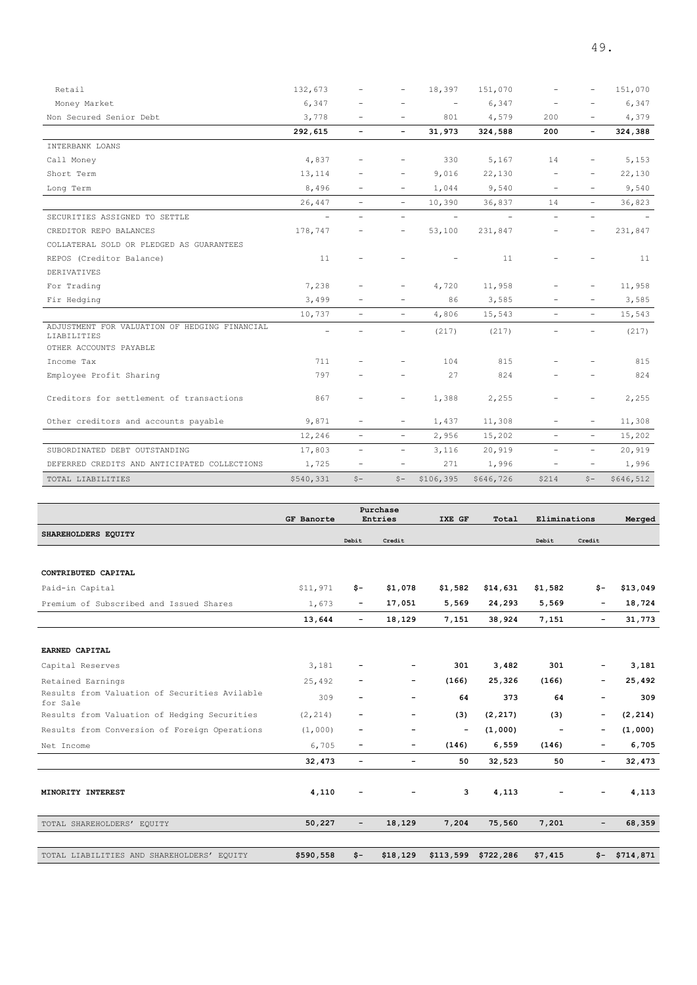| Retail                                                                                 | 132,673                  |                          | -                        | 18,397                   | 151,070                  |                          |                          | 151,070   |
|----------------------------------------------------------------------------------------|--------------------------|--------------------------|--------------------------|--------------------------|--------------------------|--------------------------|--------------------------|-----------|
| Money Market                                                                           | 6,347                    |                          |                          | $\overline{\phantom{a}}$ | 6,347                    |                          |                          | 6,347     |
| Non Secured Senior Debt                                                                | 3,778                    | $\overline{\phantom{a}}$ |                          | 801                      | 4,579                    | 200                      | $\overline{\phantom{a}}$ | 4,379     |
|                                                                                        | 292,615                  | $\overline{\phantom{a}}$ | $\overline{\phantom{0}}$ | 31,973                   | 324,588                  | 200                      | $\overline{\phantom{a}}$ | 324,388   |
| INTERBANK LOANS                                                                        |                          |                          |                          |                          |                          |                          |                          |           |
| Call Money                                                                             | 4,837                    | $\qquad \qquad -$        | -                        | 330                      | 5,167                    | 14                       | -                        | 5,153     |
| Short Term                                                                             | 13,114                   |                          |                          | 9,016                    | 22,130                   |                          |                          | 22,130    |
| Long Term                                                                              | 8,496                    | $\qquad \qquad -$        |                          | 1,044                    | 9,540                    |                          |                          | 9,540     |
|                                                                                        | 26,447                   | $\overline{\phantom{a}}$ | $\overline{\phantom{0}}$ | 10,390                   | 36,837                   | 14                       | $\overline{\phantom{0}}$ | 36,823    |
| SECURITIES ASSIGNED TO SETTLE                                                          | $\overline{\phantom{a}}$ | $\overline{\phantom{0}}$ | $\overline{\phantom{a}}$ | $\overline{\phantom{a}}$ | $\overline{\phantom{m}}$ | $\overline{\phantom{a}}$ | $\overline{\phantom{0}}$ |           |
| CREDITOR REPO BALANCES                                                                 | 178,747                  |                          | $\qquad \qquad -$        | 53,100                   | 231,847                  |                          | $\overline{\phantom{0}}$ | 231,847   |
| COLLATERAL SOLD OR PLEDGED AS GUARANTEES                                               |                          |                          |                          |                          |                          |                          |                          |           |
| REPOS (Creditor Balance)                                                               | 11                       |                          |                          |                          | 11                       |                          |                          | 11        |
| DERIVATIVES                                                                            |                          |                          |                          |                          |                          |                          |                          |           |
| For Trading                                                                            | 7,238                    |                          |                          | 4,720                    | 11,958                   |                          |                          | 11,958    |
| Fir Hedging                                                                            | 3,499                    | $\overline{\phantom{0}}$ | $\overline{\phantom{0}}$ | 86                       | 3,585                    |                          | -                        | 3,585     |
|                                                                                        | 10,737                   | $\overline{\phantom{a}}$ | $\overline{\phantom{a}}$ | 4,806                    | 15,543                   | $\overline{\phantom{a}}$ | $\overline{\phantom{0}}$ | 15,543    |
| ADJUSTMENT FOR VALUATION OF HEDGING FINANCIAL<br>LIABILITIES<br>OTHER ACCOUNTS PAYABLE |                          |                          |                          | (217)                    | (217)                    |                          |                          | (217)     |
| Income Tax                                                                             | 711                      |                          |                          | 104                      | 815                      |                          |                          | 815       |
| Employee Profit Sharing                                                                | 797                      |                          |                          | 27                       | 824                      |                          |                          | 824       |
| Creditors for settlement of transactions                                               | 867                      | $\overline{\phantom{a}}$ | -                        | 1,388                    | 2,255                    |                          | -                        | 2,255     |
| Other creditors and accounts payable                                                   | 9,871                    | $\overline{\phantom{a}}$ |                          | 1,437                    | 11,308                   |                          | $\overline{\phantom{a}}$ | 11,308    |
|                                                                                        | 12,246                   | $\overline{\phantom{a}}$ | $\overline{\phantom{0}}$ | 2,956                    | 15,202                   | $\overline{\phantom{0}}$ | $\overline{\phantom{a}}$ | 15,202    |
| SUBORDINATED DEBT OUTSTANDING                                                          | 17,803                   | $\overline{\phantom{a}}$ | $\overline{\phantom{a}}$ | 3,116                    | 20,919                   | $\overline{\phantom{0}}$ | $\overline{\phantom{0}}$ | 20,919    |
| DEFERRED CREDITS AND ANTICIPATED COLLECTIONS                                           | 1,725                    | $\overline{\phantom{a}}$ | $\qquad \qquad -$        | 271                      | 1,996                    | $\overline{\phantom{a}}$ | $\overline{\phantom{a}}$ | 1,996     |
| TOTAL LIABILITIES                                                                      | \$540,331                | $S -$                    | $S -$                    | \$106,395                | \$646,726                | \$214                    | $S -$                    | \$646,512 |

|                                                           | <b>GF Banorte</b> |                          | Purchase<br>Entries      | IXE GF            | Total               | Eliminations   |                   |           |
|-----------------------------------------------------------|-------------------|--------------------------|--------------------------|-------------------|---------------------|----------------|-------------------|-----------|
|                                                           |                   |                          |                          |                   |                     |                |                   | Merged    |
| SHAREHOLDERS EQUITY                                       |                   | Debit                    | Credit                   |                   |                     | Debit          | Credit            |           |
|                                                           |                   |                          |                          |                   |                     |                |                   |           |
| CONTRIBUTED CAPITAL                                       |                   |                          |                          |                   |                     |                |                   |           |
| Paid-in Capital                                           | \$11,971          | \$-                      | \$1,078                  | \$1,582           | \$14,631            | \$1,582        | \$-               | \$13,049  |
| Premium of Subscribed and Issued Shares                   | 1,673             | -                        | 17,051                   | 5,569             | 24,293              | 5,569          | $\qquad \qquad -$ | 18,724    |
|                                                           | 13,644            | $\overline{\phantom{0}}$ | 18,129                   | 7,151             | 38,924              | 7,151          | -                 | 31,773    |
|                                                           |                   |                          |                          |                   |                     |                |                   |           |
| EARNED CAPITAL                                            |                   |                          |                          |                   |                     |                |                   |           |
| Capital Reserves                                          | 3,181             |                          |                          | 301               | 3,482               | 301            |                   | 3,181     |
| Retained Earnings                                         | 25,492            |                          | $\overline{\phantom{a}}$ | (166)             | 25,326              | (166)          | -                 | 25,492    |
| Results from Valuation of Securities Avilable<br>for Sale | 309               | $\overline{a}$           | $\overline{\phantom{a}}$ | 64                | 373                 | 64             | -                 | 309       |
| Results from Valuation of Hedging Securities              | (2, 214)          |                          | -                        | (3)               | (2, 217)            | (3)            | -                 | (2, 214)  |
| Results from Conversion of Foreign Operations             | (1,000)           | -                        | $\overline{\phantom{a}}$ | $\qquad \qquad -$ | (1,000)             | $\overline{a}$ | -                 | (1,000)   |
| Net Income                                                | 6,705             | $\overline{\phantom{a}}$ | -                        | (146)             | 6,559               | (146)          | -                 | 6,705     |
|                                                           | 32,473            | -                        | $\overline{\phantom{a}}$ | 50                | 32,523              | 50             | -                 | 32,473    |
|                                                           |                   |                          |                          |                   |                     |                |                   |           |
| MINORITY INTEREST                                         | 4,110             |                          | $\qquad \qquad -$        | 3                 | 4,113               |                |                   | 4,113     |
|                                                           |                   |                          |                          |                   |                     |                |                   |           |
| TOTAL SHAREHOLDERS' EQUITY                                | 50,227            | $\overline{\phantom{0}}$ | 18,129                   | 7,204             | 75,560              | 7,201          | $\qquad \qquad -$ | 68,359    |
|                                                           |                   |                          |                          |                   |                     |                |                   |           |
| TOTAL LIABILITIES AND SHAREHOLDERS' EQUITY                | \$590,558         | $$-$                     | \$18,129                 |                   | \$113,599 \$722,286 | \$7,415        | \$-               | \$714,871 |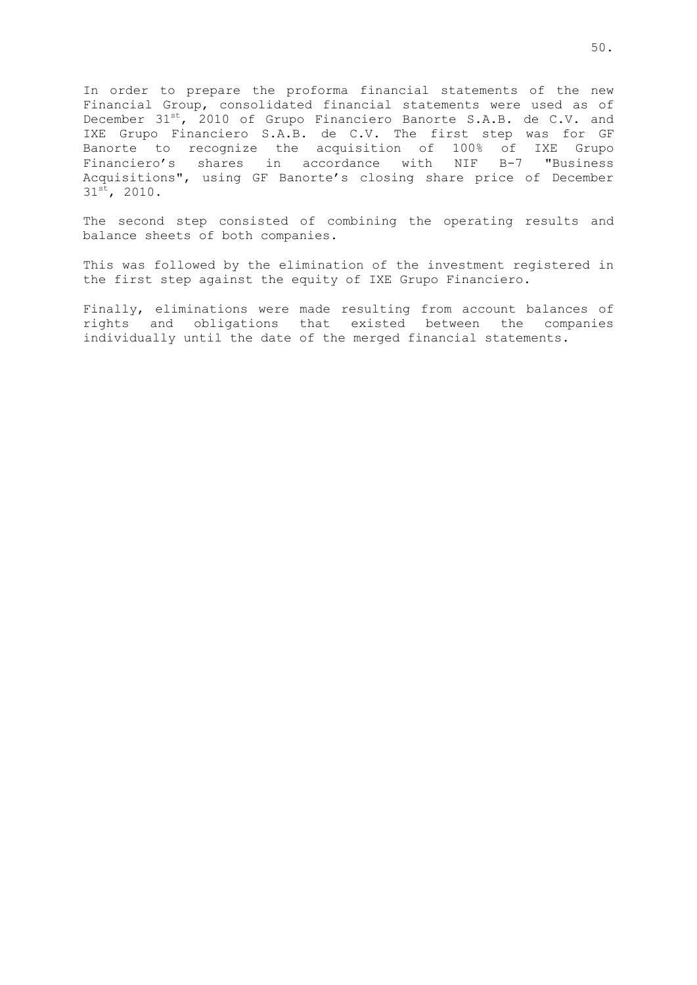In order to prepare the proforma financial statements of the new Financial Group, consolidated financial statements were used as of December 31<sup>st</sup>, 2010 of Grupo Financiero Banorte S.A.B. de C.V. and IXE Grupo Financiero S.A.B. de C.V. The first step was for GF Banorte to recognize the acquisition of 100% of IXE Grupo Financiero's shares in accordance with NIF B-7 "Business Acquisitions", using GF Banorte's closing share price of December 31<sup>st</sup>, 2010.

The second step consisted of combining the operating results and balance sheets of both companies.

This was followed by the elimination of the investment registered in the first step against the equity of IXE Grupo Financiero.

Finally, eliminations were made resulting from account balances of rights and obligations that existed between the companies individually until the date of the merged financial statements.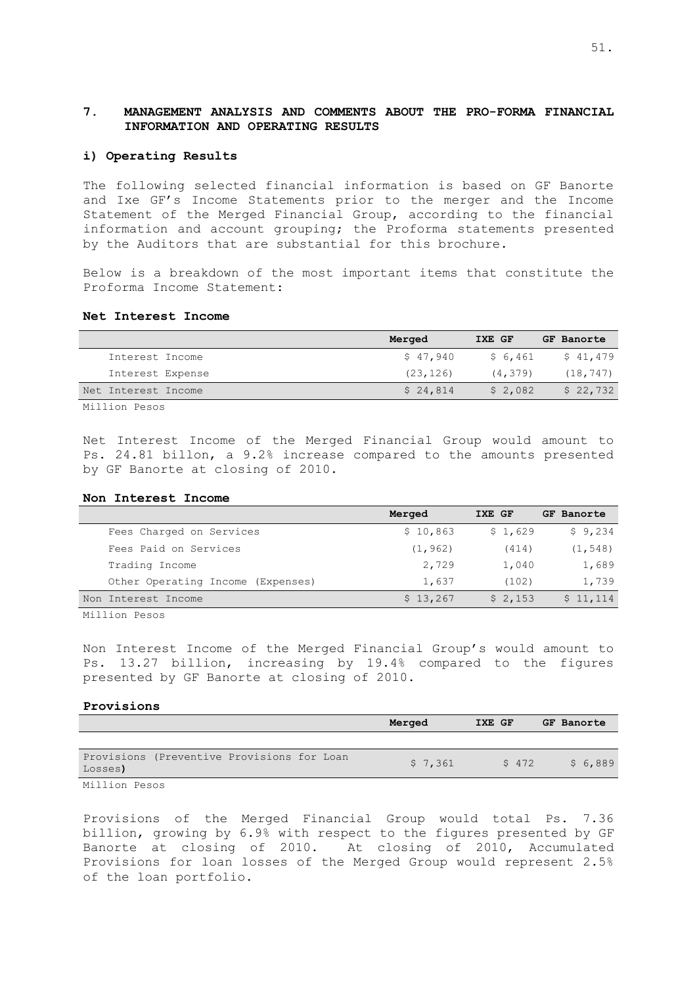## **7. MANAGEMENT ANALYSIS AND COMMENTS ABOUT THE PRO-FORMA FINANCIAL INFORMATION AND OPERATING RESULTS**

#### **i) Operating Results**

The following selected financial information is based on GF Banorte and Ixe GF's Income Statements prior to the merger and the Income Statement of the Merged Financial Group, according to the financial information and account grouping; the Proforma statements presented by the Auditors that are substantial for this brochure.

Below is a breakdown of the most important items that constitute the Proforma Income Statement:

### **Net Interest Income**

|                     | Merged    | IXE GF   | GF Banorte |
|---------------------|-----------|----------|------------|
| Interest Income     | \$47,940  | \$ 6,461 | \$41,479   |
| Interest Expense    | (23, 126) | (4, 379) | (18, 747)  |
| Net Interest Income | \$24.814  | \$2,082  | \$22,732   |
|                     |           |          |            |

Million Pesos

Net Interest Income of the Merged Financial Group would amount to Ps. 24.81 billon, a 9.2% increase compared to the amounts presented by GF Banorte at closing of 2010.

#### **Non Interest Income**

|                                   | Merged   | IXE GF  | GF Banorte |
|-----------------------------------|----------|---------|------------|
| Fees Charged on Services          | \$10,863 | \$1,629 | \$9,234    |
| Fees Paid on Services             | (1, 962) | (414)   | (1, 548)   |
| Trading Income                    | 2,729    | 1,040   | 1,689      |
| Other Operating Income (Expenses) | 1,637    | (102)   | 1,739      |
| Non Interest Income               | \$13,267 | \$2,153 | \$11,114   |

Million Pesos

Non Interest Income of the Merged Financial Group's would amount to Ps. 13.27 billion, increasing by 19.4% compared to the figures presented by GF Banorte at closing of 2010.

#### **Provisions**

|                                                       | Merged  | IXE GF | GF Banorte |
|-------------------------------------------------------|---------|--------|------------|
|                                                       |         |        |            |
| Provisions (Preventive Provisions for Loan<br>Losses) | \$7,361 | \$472  | \$6,889    |
| Million Pesos                                         |         |        |            |

Provisions of the Merged Financial Group would total Ps. 7.36 billion, growing by 6.9% with respect to the figures presented by GF Banorte at closing of 2010. At closing of 2010, Accumulated Provisions for loan losses of the Merged Group would represent 2.5% of the loan portfolio.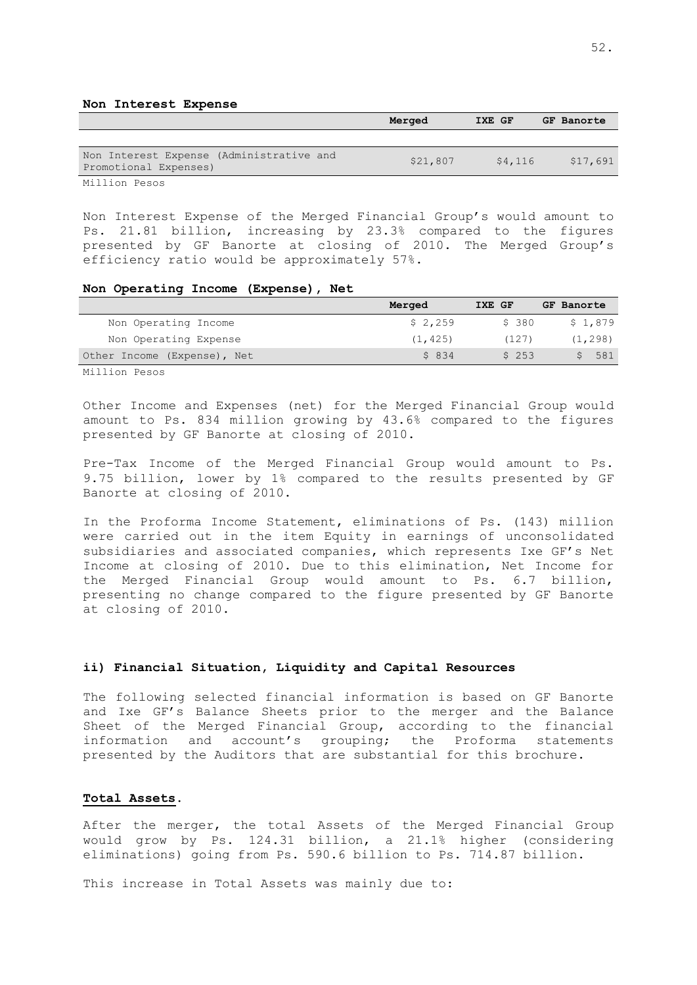#### **Non Interest Expense**

|                                                                                                                                                                                                                                | Merged   | IXE GF  | GF Banorte |
|--------------------------------------------------------------------------------------------------------------------------------------------------------------------------------------------------------------------------------|----------|---------|------------|
|                                                                                                                                                                                                                                |          |         |            |
| Non Interest Expense (Administrative and<br>Promotional Expenses)                                                                                                                                                              | \$21,807 | \$4,116 | \$17,691   |
| Mating the Company of the Company of the Company of the Company of the Company of the Company of the Company of the Company of the Company of the Company of the Company of the Company of the Company of the Company of the C |          |         |            |

Million Pesos

Non Interest Expense of the Merged Financial Group's would amount to Ps. 21.81 billion, increasing by 23.3% compared to the figures presented by GF Banorte at closing of 2010. The Merged Group's efficiency ratio would be approximately 57%.

#### **Non Operating Income (Expense), Net**

|                             | Merged   | IXE GF | GF Banorte |
|-----------------------------|----------|--------|------------|
| Non Operating Income        | \$2,259  | \$ 380 | \$1,879    |
| Non Operating Expense       | (1, 425) | (127)  | (1, 298)   |
| Other Income (Expense), Net | \$834    | \$253  | \$581      |
|                             |          |        |            |

Million Pesos

Other Income and Expenses (net) for the Merged Financial Group would amount to Ps. 834 million growing by 43.6% compared to the figures presented by GF Banorte at closing of 2010.

Pre-Tax Income of the Merged Financial Group would amount to Ps. 9.75 billion, lower by 1% compared to the results presented by GF Banorte at closing of 2010.

In the Proforma Income Statement, eliminations of Ps. (143) million were carried out in the item Equity in earnings of unconsolidated subsidiaries and associated companies, which represents Ixe GF's Net Income at closing of 2010. Due to this elimination, Net Income for the Merged Financial Group would amount to Ps. 6.7 billion, presenting no change compared to the figure presented by GF Banorte at closing of 2010.

#### **ii) Financial Situation, Liquidity and Capital Resources**

The following selected financial information is based on GF Banorte and Ixe GF's Balance Sheets prior to the merger and the Balance Sheet of the Merged Financial Group, according to the financial information and account's grouping; the Proforma statements presented by the Auditors that are substantial for this brochure.

## **Total Assets**.

After the merger, the total Assets of the Merged Financial Group would grow by Ps. 124.31 billion, a 21.1% higher (considering eliminations) going from Ps. 590.6 billion to Ps. 714.87 billion.

This increase in Total Assets was mainly due to: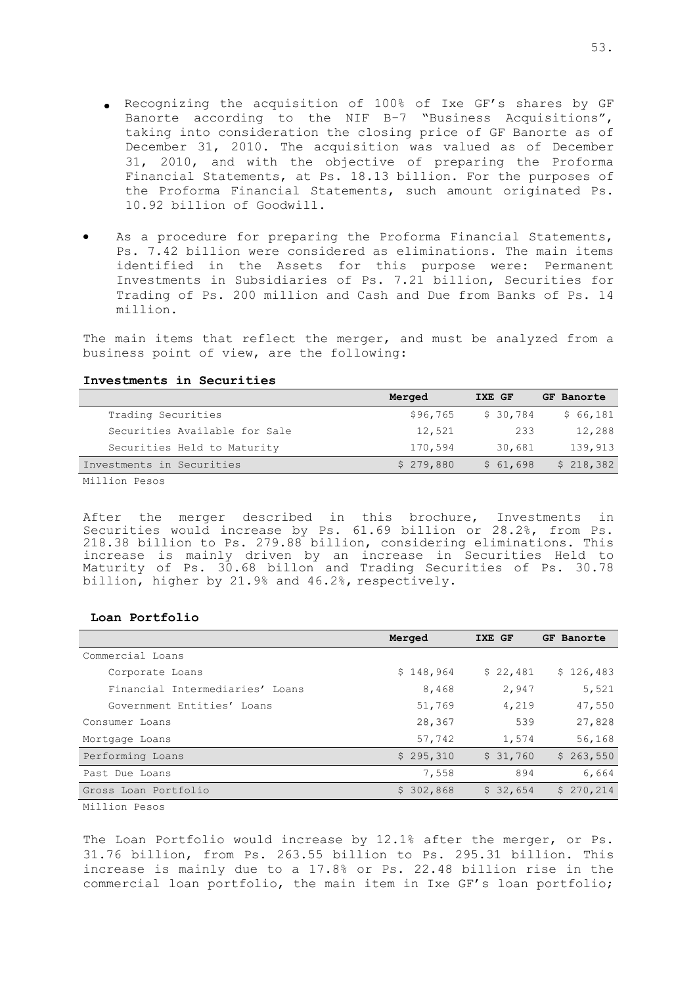- Recognizing the acquisition of 100% of Ixe GF's shares by GF Banorte according to the NIF B-7 "Business Acquisitions", taking into consideration the closing price of GF Banorte as of December 31, 2010. The acquisition was valued as of December 31, 2010, and with the objective of preparing the Proforma Financial Statements, at Ps. 18.13 billion. For the purposes of the Proforma Financial Statements, such amount originated Ps. 10.92 billion of Goodwill.
- As a procedure for preparing the Proforma Financial Statements, Ps. 7.42 billion were considered as eliminations. The main items identified in the Assets for this purpose were: Permanent Investments in Subsidiaries of Ps. 7.21 billion, Securities for Trading of Ps. 200 million and Cash and Due from Banks of Ps. 14 million.

The main items that reflect the merger, and must be analyzed from a business point of view, are the following:

#### **Investments in Securities**

|                               | Merged    | IXE GF   | GF Banorte |
|-------------------------------|-----------|----------|------------|
| Trading Securities            | \$96,765  | \$30,784 | \$66,181   |
| Securities Available for Sale | 12,521    | 233      | 12,288     |
| Securities Held to Maturity   | 170,594   | 30,681   | 139,913    |
| Investments in Securities     | \$279,880 | \$61,698 | \$218,382  |
| .                             |           |          |            |

Million Pesos

After the merger described in this brochure, Investments in Securities would increase by Ps. 61.69 billion or 28.2%, from Ps. 218.38 billion to Ps. 279.88 billion, considering eliminations. This increase is mainly driven by an increase in Securities Held to Maturity of Ps. 30.68 billon and Trading Securities of Ps. 30.78 billion, higher by 21.9% and 46.2%, respectively.

#### **Loan Portfolio**

|                                 | Merged    | IXE GF   | GF Banorte |
|---------------------------------|-----------|----------|------------|
| Commercial Loans                |           |          |            |
| Corporate Loans                 | \$148,964 | \$22,481 | \$126,483  |
| Financial Intermediaries' Loans | 8,468     | 2,947    | 5,521      |
| Government Entities' Loans      | 51,769    | 4,219    | 47,550     |
| Consumer Loans                  | 28,367    | 539      | 27,828     |
| Mortgage Loans                  | 57,742    | 1,574    | 56,168     |
| Performing Loans                | \$295,310 | \$31,760 | \$263,550  |
| Past Due Loans                  | 7,558     | 894      | 6,664      |
| Gross Loan Portfolio            | \$302,868 | \$32,654 | \$270,214  |

Million Pesos

The Loan Portfolio would increase by 12.1% after the merger, or Ps. 31.76 billion, from Ps. 263.55 billion to Ps. 295.31 billion. This increase is mainly due to a 17.8% or Ps. 22.48 billion rise in the commercial loan portfolio, the main item in Ixe GF's loan portfolio;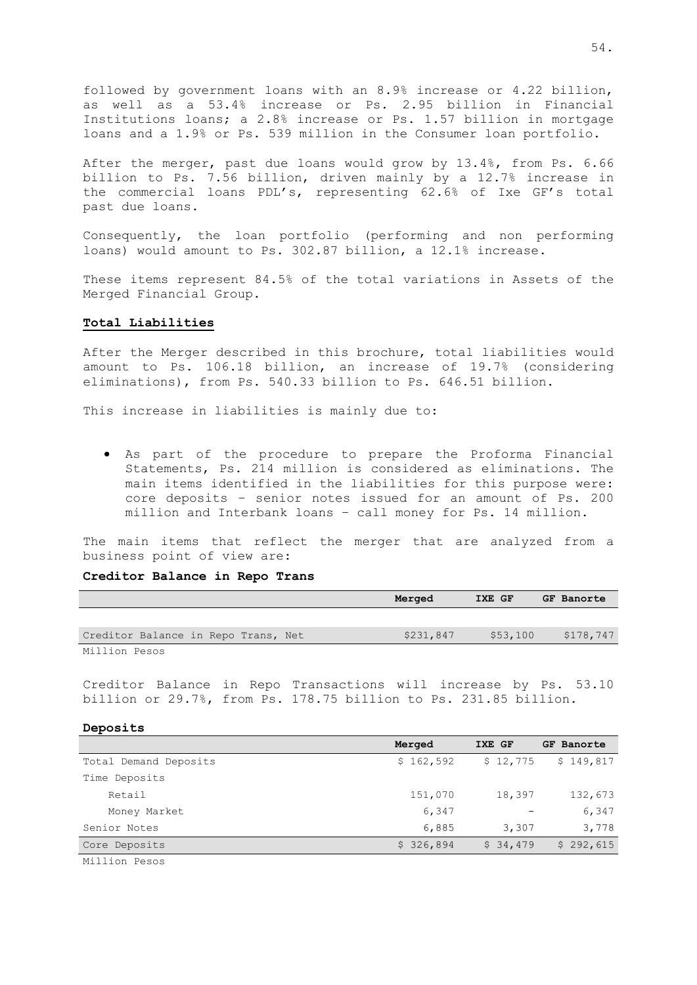followed by government loans with an 8.9% increase or 4.22 billion, as well as a 53.4% increase or Ps. 2.95 billion in Financial Institutions loans; a 2.8% increase or Ps. 1.57 billion in mortgage loans and a 1.9% or Ps. 539 million in the Consumer loan portfolio.

After the merger, past due loans would grow by 13.4%, from Ps. 6.66 billion to Ps. 7.56 billion, driven mainly by a 12.7% increase in the commercial loans PDL's, representing 62.6% of Ixe GF's total past due loans.

Consequently, the loan portfolio (performing and non performing loans) would amount to Ps. 302.87 billion, a 12.1% increase.

These items represent 84.5% of the total variations in Assets of the Merged Financial Group.

### **Total Liabilities**

After the Merger described in this brochure, total liabilities would amount to Ps. 106.18 billion, an increase of 19.7% (considering eliminations), from Ps. 540.33 billion to Ps. 646.51 billion.

This increase in liabilities is mainly due to:

As part of the procedure to prepare the Proforma Financial Statements, Ps. 214 million is considered as eliminations. The main items identified in the liabilities for this purpose were: core deposits – senior notes issued for an amount of Ps. 200 million and Interbank loans – call money for Ps. 14 million.

The main items that reflect the merger that are analyzed from a business point of view are:

#### **Creditor Balance in Repo Trans**

|                                     | Merged    | IXE GF   | GF Banorte |
|-------------------------------------|-----------|----------|------------|
|                                     |           |          |            |
| Creditor Balance in Repo Trans, Net | \$231,847 | \$53,100 | \$178,747  |
| Million Pesos                       |           |          |            |

Creditor Balance in Repo Transactions will increase by Ps. 53.10 billion or 29.7%, from Ps. 178.75 billion to Ps. 231.85 billion.

#### **Deposits**

|                       | Merged    | IXE GF   | GF Banorte |
|-----------------------|-----------|----------|------------|
| Total Demand Deposits | \$162,592 | \$12,775 | \$149,817  |
| Time Deposits         |           |          |            |
| Retail                | 151,070   | 18,397   | 132,673    |
| Money Market          | 6,347     |          | 6,347      |
| Senior Notes          | 6,885     | 3,307    | 3,778      |
| Core Deposits         | \$326,894 | \$34,479 | \$292,615  |
|                       |           |          |            |

Million Pesos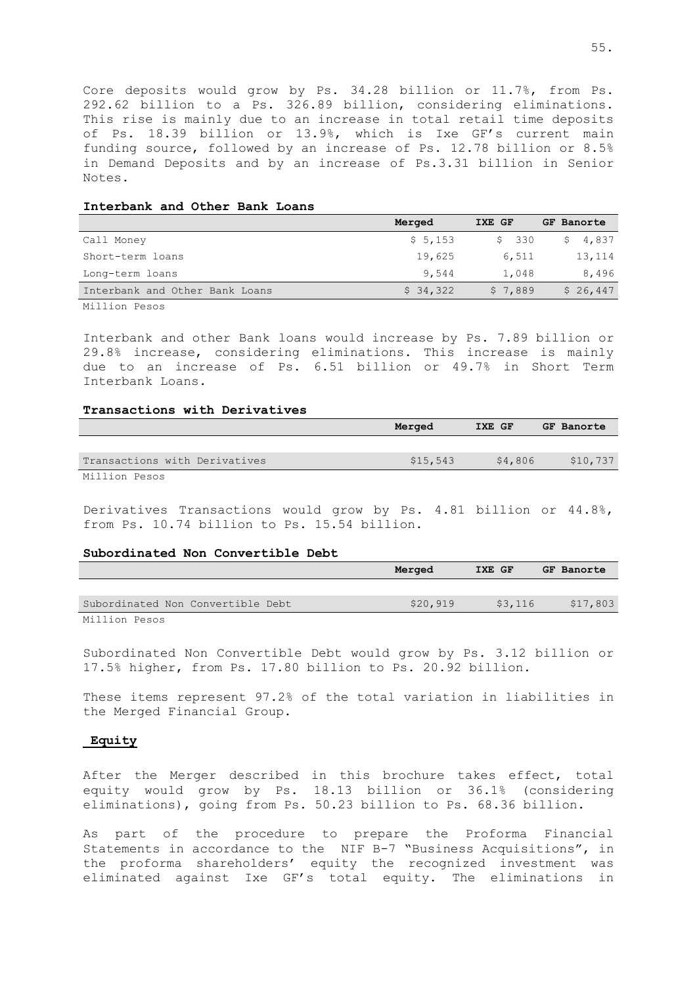Core deposits would grow by Ps. 34.28 billion or 11.7%, from Ps. 292.62 billion to a Ps. 326.89 billion, considering eliminations. This rise is mainly due to an increase in total retail time deposits of Ps. 18.39 billion or 13.9%, which is Ixe GF's current main funding source, followed by an increase of Ps. 12.78 billion or 8.5% in Demand Deposits and by an increase of Ps.3.31 billion in Senior Notes.

#### **Interbank and Other Bank Loans**

|                                | Merged   | IXE GF  | GF Banorte |  |  |
|--------------------------------|----------|---------|------------|--|--|
| Call Money                     | \$5,153  | \$330   | \$4,837    |  |  |
| Short-term loans               | 19,625   | 6,511   | 13,114     |  |  |
| Long-term loans                | 9,544    | 1,048   | 8,496      |  |  |
| Interbank and Other Bank Loans | \$34,322 | \$7,889 | \$26,447   |  |  |

Million Pesos

Interbank and other Bank loans would increase by Ps. 7.89 billion or 29.8% increase, considering eliminations. This increase is mainly due to an increase of Ps. 6.51 billion or 49.7% in Short Term Interbank Loans.

### **Transactions with Derivatives**

|                               | Merged   | IXE GF |         | GF Banorte |
|-------------------------------|----------|--------|---------|------------|
|                               |          |        |         |            |
| Transactions with Derivatives | \$15,543 |        | \$4,806 | \$10,737   |
| Million Pesos                 |          |        |         |            |

Derivatives Transactions would grow by Ps. 4.81 billion or 44.8%, from Ps. 10.74 billion to Ps. 15.54 billion.

#### **Subordinated Non Convertible Debt**

|                                   | Merged   | IXE GF |         | GF Banorte |
|-----------------------------------|----------|--------|---------|------------|
|                                   |          |        |         |            |
| Subordinated Non Convertible Debt | \$20,919 |        | \$3,116 | \$17,803   |
| Million Pesos                     |          |        |         |            |

Subordinated Non Convertible Debt would grow by Ps. 3.12 billion or 17.5% higher, from Ps. 17.80 billion to Ps. 20.92 billion.

These items represent 97.2% of the total variation in liabilities in the Merged Financial Group.

#### **Equity**

After the Merger described in this brochure takes effect, total equity would grow by Ps. 18.13 billion or 36.1% (considering eliminations), going from Ps. 50.23 billion to Ps. 68.36 billion.

As part of the procedure to prepare the Proforma Financial Statements in accordance to the NIF B-7 "Business Acquisitions", in the proforma shareholders' equity the recognized investment was eliminated against Ixe GF's total equity. The eliminations in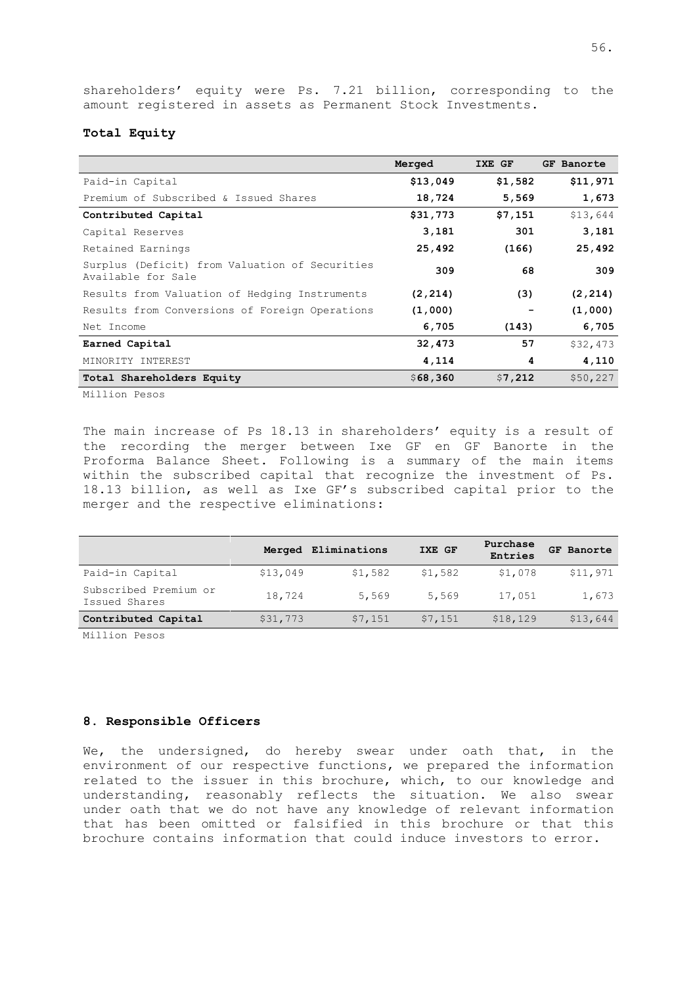shareholders' equity were Ps. 7.21 billion, corresponding to the amount registered in assets as Permanent Stock Investments.

## **Total Equity**

|                                                                      | Merged   | IXE GF  | GF Banorte |
|----------------------------------------------------------------------|----------|---------|------------|
| Paid-in Capital                                                      | \$13,049 | \$1,582 | \$11,971   |
| Premium of Subscribed & Issued Shares                                | 18,724   | 5,569   | 1,673      |
| Contributed Capital                                                  | \$31,773 | \$7,151 | \$13,644   |
| Capital Reserves                                                     | 3,181    | 301     | 3,181      |
| Retained Earnings                                                    | 25,492   | (166)   | 25,492     |
| Surplus (Deficit) from Valuation of Securities<br>Available for Sale | 309      | 68      | 309        |
| Results from Valuation of Hedging Instruments                        | (2, 214) | (3)     | (2, 214)   |
| Results from Conversions of Foreign Operations                       | (1,000)  |         | (1,000)    |
| Net Income                                                           | 6,705    | (143)   | 6,705      |
| Earned Capital                                                       | 32,473   | 57      | \$32,473   |
| MINORITY INTEREST                                                    | 4,114    | 4       | 4,110      |
| Total Shareholders Equity                                            | \$68,360 | \$7,212 | \$50,227   |

Million Pesos

The main increase of Ps 18.13 in shareholders' equity is a result of the recording the merger between Ixe GF en GF Banorte in the Proforma Balance Sheet. Following is a summary of the main items within the subscribed capital that recognize the investment of Ps. 18.13 billion, as well as Ixe GF's subscribed capital prior to the merger and the respective eliminations:

|                                        |          | Merged Eliminations | IXE GF  | Purchase<br>Entries | GF Banorte |
|----------------------------------------|----------|---------------------|---------|---------------------|------------|
| Paid-in Capital                        | \$13,049 | \$1,582             | \$1,582 | \$1,078             | \$11,971   |
| Subscribed Premium or<br>Issued Shares | 18,724   | 5,569               | 5,569   | 17,051              | 1,673      |
| Contributed Capital                    | \$31,773 | \$7,151             | \$7,151 | \$18,129            | \$13,644   |

Million Pesos

## <span id="page-58-0"></span>**8. Responsible Officers**

We, the undersigned, do hereby swear under oath that, in the environment of our respective functions, we prepared the information related to the issuer in this brochure, which, to our knowledge and understanding, reasonably reflects the situation. We also swear under oath that we do not have any knowledge of relevant information that has been omitted or falsified in this brochure or that this brochure contains information that could induce investors to error.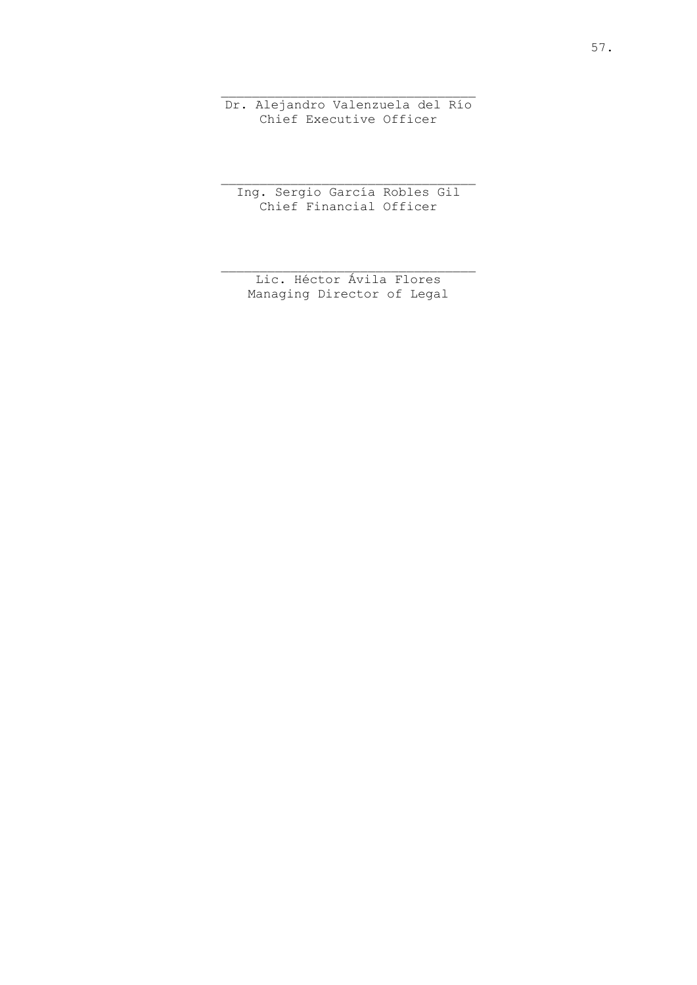Dr. Alejandro Valenzuela del Río Chief Executive Officer

Ing. Sergio García Robles Gil Chief Financial Officer

Lic. Héctor Ávila Flores Managing Director of Legal